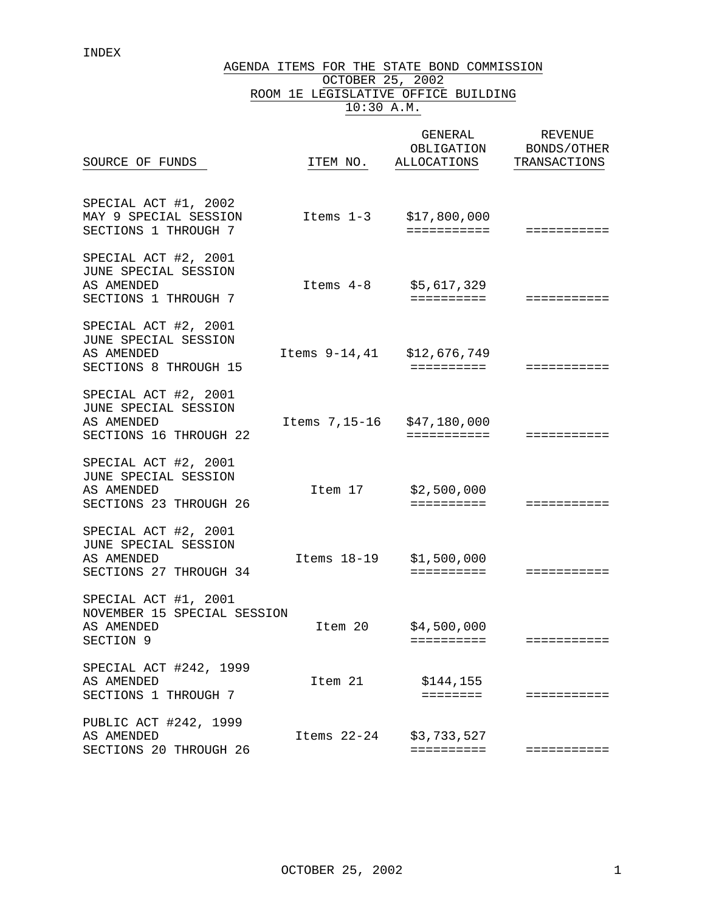INDEX

AGENDA ITEMS FOR THE STATE BOND COMMISSION OCTOBER 25, 2002

|  | 10:30 A.M. |                                     |
|--|------------|-------------------------------------|
|  |            | ROOM 1E LEGISLATIVE OFFICE BUILDING |

| SOURCE OF FUNDS                                                                      | ITEM NO.      | GENERAL<br>OBLIGATION<br>ALLOCATIONS | <b>REVENUE</b><br>BONDS/OTHER<br>TRANSACTIONS |
|--------------------------------------------------------------------------------------|---------------|--------------------------------------|-----------------------------------------------|
| SPECIAL ACT #1, 2002<br>MAY 9 SPECIAL SESSION<br>SECTIONS 1 THROUGH 7                | Items 1-3     | \$17,800,000<br>===========          | ===========                                   |
| SPECIAL ACT #2, 2001<br>JUNE SPECIAL SESSION<br>AS AMENDED<br>SECTIONS 1 THROUGH 7   | Items 4-8     | \$5,617,329<br>==========            | ===========                                   |
| SPECIAL ACT #2, 2001<br>JUNE SPECIAL SESSION<br>AS AMENDED<br>SECTIONS 8 THROUGH 15  | Items 9-14,41 | \$12,676,749<br>==========           | ===========                                   |
| SPECIAL ACT #2, 2001<br>JUNE SPECIAL SESSION<br>AS AMENDED<br>SECTIONS 16 THROUGH 22 | Items 7,15-16 | \$47,180,000<br>===========          | ===========                                   |
| SPECIAL ACT #2, 2001<br>JUNE SPECIAL SESSION<br>AS AMENDED<br>SECTIONS 23 THROUGH 26 | Item 17       | \$2,500,000<br>==========            | ===========                                   |
| SPECIAL ACT #2, 2001<br>JUNE SPECIAL SESSION<br>AS AMENDED<br>SECTIONS 27 THROUGH 34 | Items 18-19   | \$1,500,000<br>$=$ = = = = = = = = = | ===========                                   |
| SPECIAL ACT #1, 2001<br>NOVEMBER 15 SPECIAL SESSION<br>AS AMENDED<br>SECTION 9       | Item 20       | \$4,500,000<br>==========            | ===========                                   |
| SPECIAL ACT #242, 1999<br>AS AMENDED<br>SECTIONS 1 THROUGH 7                         | Item 21       | \$144,155<br>========                | ===========                                   |
| PUBLIC ACT #242, 1999<br>AS AMENDED<br>SECTIONS 20 THROUGH 26                        | Items 22-24   | \$3,733,527<br>==========            | ===========                                   |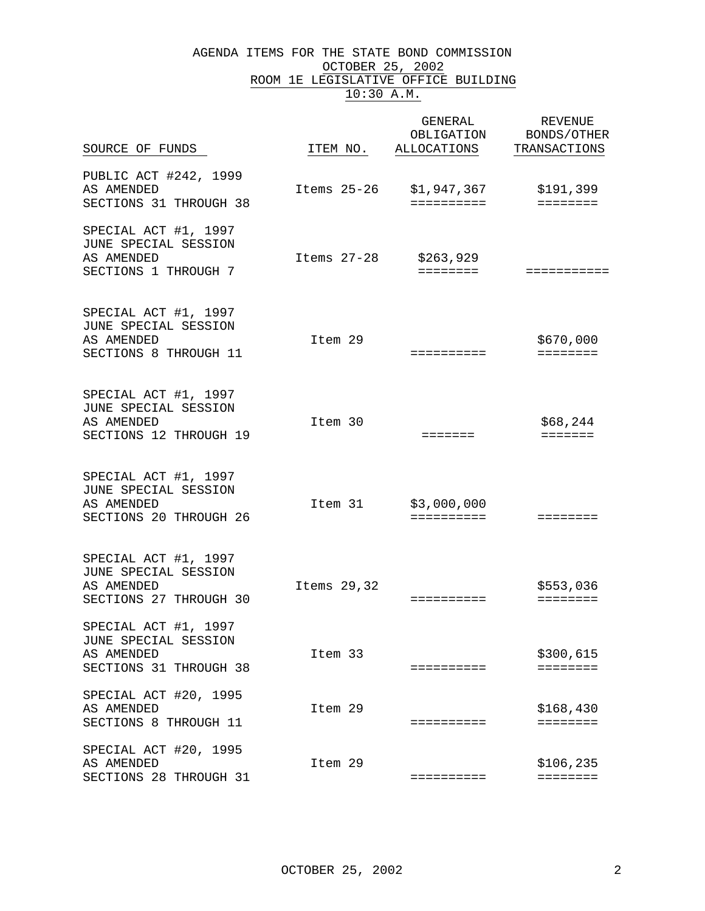#### AGENDA ITEMS FOR THE STATE BOND COMMISSION OCTOBER 25, 2002 ROOM 1E LEGISLATIVE OFFICE BUILDING 10:30 A.M.

| SOURCE OF FUNDS                                                                      | ITEM NO.      | GENERAL<br>OBLIGATION<br>ALLOCATIONS | REVENUE<br>BONDS/OTHER<br>TRANSACTIONS |
|--------------------------------------------------------------------------------------|---------------|--------------------------------------|----------------------------------------|
| PUBLIC ACT #242, 1999<br>AS AMENDED<br>SECTIONS 31 THROUGH 38                        | Items $25-26$ | \$1,947,367<br>==========            | \$191,399<br>========                  |
| SPECIAL ACT #1, 1997<br>JUNE SPECIAL SESSION<br>AS AMENDED<br>SECTIONS 1 THROUGH 7   | Items $27-28$ | \$263,929<br>========                | ===========                            |
| SPECIAL ACT #1, 1997<br>JUNE SPECIAL SESSION<br>AS AMENDED<br>SECTIONS 8 THROUGH 11  | Item 29       | ==========                           | \$670,000<br>$=$ = = = = = = =         |
| SPECIAL ACT #1, 1997<br>JUNE SPECIAL SESSION<br>AS AMENDED<br>SECTIONS 12 THROUGH 19 | Item 30       | =======                              | \$68,244<br><b>EEEEEEE</b>             |
| SPECIAL ACT #1, 1997<br>JUNE SPECIAL SESSION<br>AS AMENDED<br>SECTIONS 20 THROUGH 26 | Item 31       | \$3,000,000<br>==========            | ========                               |
| SPECIAL ACT #1, 1997<br>JUNE SPECIAL SESSION<br>AS AMENDED<br>SECTIONS 27 THROUGH 30 | Items 29,32   | ==========                           | \$553,036<br>========                  |
| SPECIAL ACT #1, 1997<br>JUNE SPECIAL SESSION<br>AS AMENDED<br>SECTIONS 31 THROUGH 38 | Item 33       | ==========                           | \$300,615<br>========                  |
| SPECIAL ACT #20, 1995<br>AS AMENDED<br>SECTIONS 8 THROUGH 11                         | Item 29       | ==========                           | \$168,430<br>========                  |
| SPECIAL ACT #20, 1995<br>AS AMENDED<br>SECTIONS 28 THROUGH 31                        | Item 29       | ==========                           | \$106, 235<br>========                 |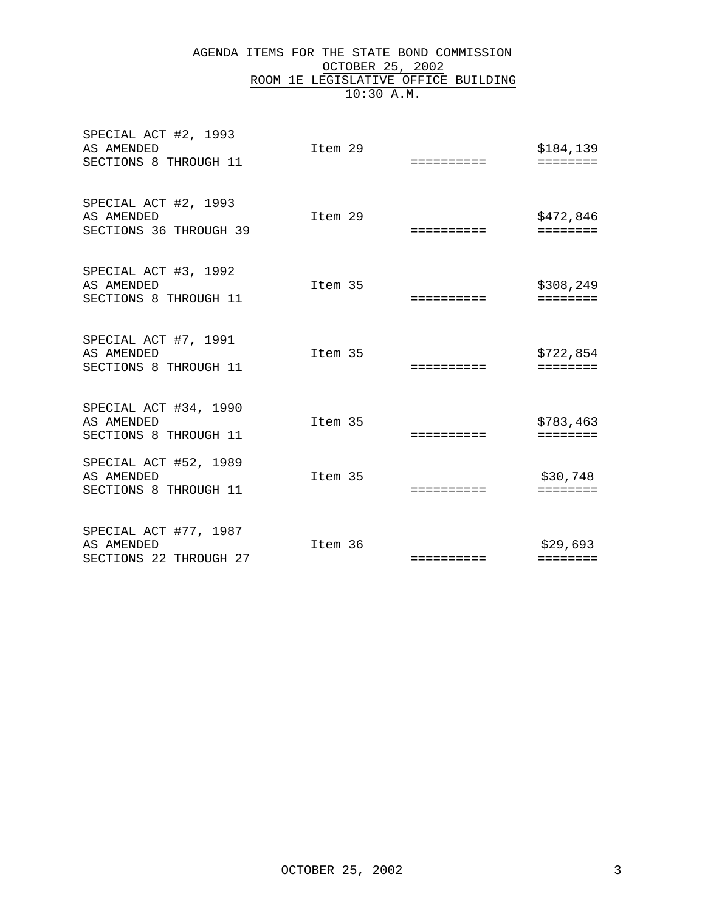#### AGENDA ITEMS FOR THE STATE BOND COMMISSION OCTOBER 25, 2002 ROOM 1E LEGISLATIVE OFFICE BUILDING 10:30 A.M.

| SPECIAL ACT #2, 1993<br>AS AMENDED<br>SECTIONS 8 THROUGH 11   | Item 29 | ========== | \$184,139<br>======== |
|---------------------------------------------------------------|---------|------------|-----------------------|
| SPECIAL ACT #2, 1993<br>AS AMENDED<br>SECTIONS 36 THROUGH 39  | Item 29 | ========== | \$472,846<br>======== |
| SPECIAL ACT #3, 1992<br>AS AMENDED<br>SECTIONS 8 THROUGH 11   | Item 35 |            | \$308,249<br>======== |
| SPECIAL ACT #7, 1991<br>AS AMENDED<br>SECTIONS 8 THROUGH 11   | Item 35 | ========== | \$722,854<br>======== |
| SPECIAL ACT #34, 1990<br>AS AMENDED<br>SECTIONS 8 THROUGH 11  | Item 35 | ========== | \$783,463<br>======== |
| SPECIAL ACT #52, 1989<br>AS AMENDED<br>SECTIONS 8 THROUGH 11  | Item 35 | ========== | \$30,748<br>========  |
| SPECIAL ACT #77, 1987<br>AS AMENDED<br>SECTIONS 22 THROUGH 27 | Item 36 | ========== | \$29,693<br>========  |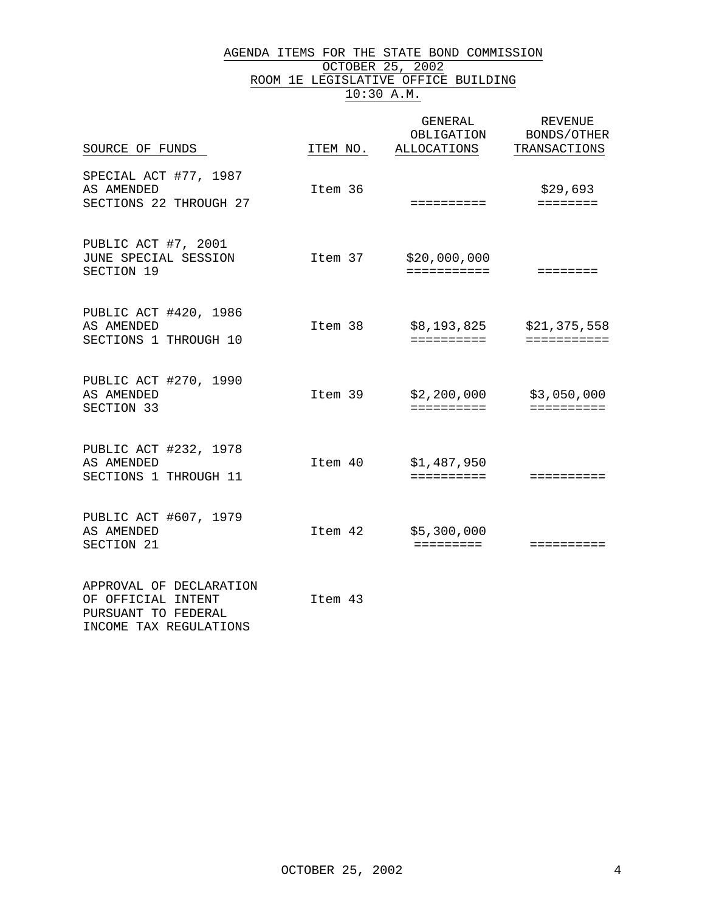#### AGENDA ITEMS FOR THE STATE BOND COMMISSION OCTOBER 25, 2002 ROOM 1E LEGISLATIVE OFFICE BUILDING 10:30 A.M.

| SOURCE OF FUNDS                                                                                | ITEM NO. | GENERAL<br>OBLIGATION<br>ALLOCATIONS | <b>REVENUE</b><br>BONDS/OTHER<br>TRANSACTIONS |
|------------------------------------------------------------------------------------------------|----------|--------------------------------------|-----------------------------------------------|
| SPECIAL ACT #77, 1987<br>AS AMENDED<br>SECTIONS 22 THROUGH 27                                  | Item 36  | ==========                           | \$29,693<br>========                          |
| PUBLIC ACT #7, 2001<br>JUNE SPECIAL SESSION<br>SECTION 19                                      | Item 37  | \$20,000,000<br>===========          |                                               |
| PUBLIC ACT #420, 1986<br>AS AMENDED<br>SECTIONS 1 THROUGH 10                                   | Item 38  | \$8,193,825<br>==========            | \$21,375,558<br>===========                   |
| PUBLIC ACT #270, 1990<br>AS AMENDED<br>SECTION 33                                              | Item 39  | \$2,200,000<br>==========            | \$3,050,000<br>==========                     |
| PUBLIC ACT #232, 1978<br>AS AMENDED<br>SECTIONS 1 THROUGH 11                                   | Item 40  | \$1,487,950<br>==========            | ==========                                    |
| PUBLIC ACT #607, 1979<br>AS AMENDED<br>SECTION 21                                              | Item 42  | \$5,300,000<br>=========             | ==========                                    |
| APPROVAL OF DECLARATION<br>OF OFFICIAL INTENT<br>PURSUANT TO FEDERAL<br>INCOME TAX REGULATIONS | Item 43  |                                      |                                               |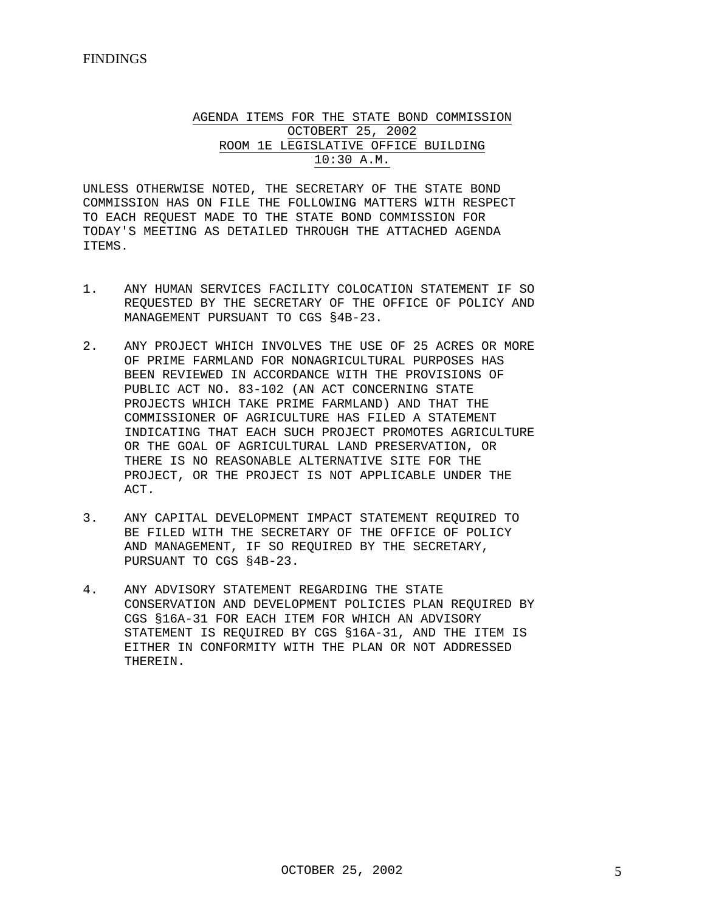AGENDA ITEMS FOR THE STATE BOND COMMISSION OCTOBERT 25, 2002 ROOM 1E LEGISLATIVE OFFICE BUILDING 10:30 A.M.

UNLESS OTHERWISE NOTED, THE SECRETARY OF THE STATE BOND COMMISSION HAS ON FILE THE FOLLOWING MATTERS WITH RESPECT TO EACH REQUEST MADE TO THE STATE BOND COMMISSION FOR TODAY'S MEETING AS DETAILED THROUGH THE ATTACHED AGENDA ITEMS.

- 1. ANY HUMAN SERVICES FACILITY COLOCATION STATEMENT IF SO REQUESTED BY THE SECRETARY OF THE OFFICE OF POLICY AND MANAGEMENT PURSUANT TO CGS §4B-23.
- 2. ANY PROJECT WHICH INVOLVES THE USE OF 25 ACRES OR MORE OF PRIME FARMLAND FOR NONAGRICULTURAL PURPOSES HAS BEEN REVIEWED IN ACCORDANCE WITH THE PROVISIONS OF PUBLIC ACT NO. 83-102 (AN ACT CONCERNING STATE PROJECTS WHICH TAKE PRIME FARMLAND) AND THAT THE COMMISSIONER OF AGRICULTURE HAS FILED A STATEMENT INDICATING THAT EACH SUCH PROJECT PROMOTES AGRICULTURE OR THE GOAL OF AGRICULTURAL LAND PRESERVATION, OR THERE IS NO REASONABLE ALTERNATIVE SITE FOR THE PROJECT, OR THE PROJECT IS NOT APPLICABLE UNDER THE ACT.
- 3. ANY CAPITAL DEVELOPMENT IMPACT STATEMENT REQUIRED TO BE FILED WITH THE SECRETARY OF THE OFFICE OF POLICY AND MANAGEMENT, IF SO REQUIRED BY THE SECRETARY, PURSUANT TO CGS §4B-23.
- 4. ANY ADVISORY STATEMENT REGARDING THE STATE CONSERVATION AND DEVELOPMENT POLICIES PLAN REQUIRED BY CGS §16A-31 FOR EACH ITEM FOR WHICH AN ADVISORY STATEMENT IS REQUIRED BY CGS §16A-31, AND THE ITEM IS EITHER IN CONFORMITY WITH THE PLAN OR NOT ADDRESSED THEREIN.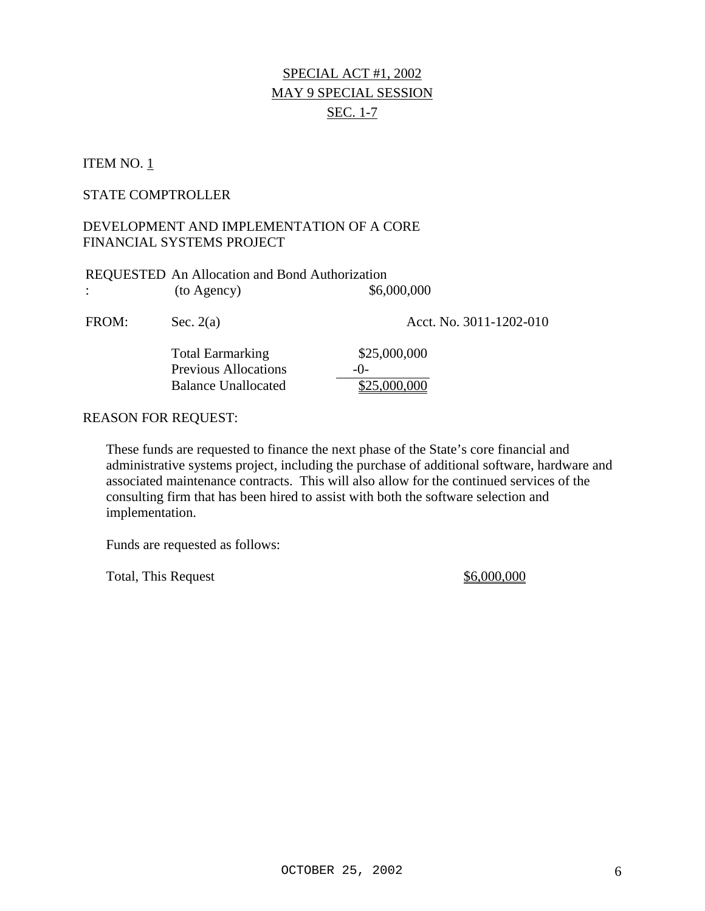# SPECIAL ACT #1, 2002 MAY 9 SPECIAL SESSION SEC. 1-7

### ITEM NO.  $1$

#### STATE COMPTROLLER

### DEVELOPMENT AND IMPLEMENTATION OF A CORE FINANCIAL SYSTEMS PROJECT

| REQUESTED An Allocation and Bond Authorization |                                                                                      |                                         |  |  |
|------------------------------------------------|--------------------------------------------------------------------------------------|-----------------------------------------|--|--|
| $\ddot{\phantom{a}}$                           | (to Agency)                                                                          | \$6,000,000                             |  |  |
| FROM:                                          | Sec. $2(a)$                                                                          | Acct. No. 3011-1202-010                 |  |  |
|                                                | <b>Total Earmarking</b><br><b>Previous Allocations</b><br><b>Balance Unallocated</b> | \$25,000,000<br>$-()$ -<br>\$25,000,000 |  |  |
| <b>REASON FOR REQUEST:</b>                     |                                                                                      |                                         |  |  |

These funds are requested to finance the next phase of the State's core financial and administrative systems project, including the purchase of additional software, hardware and associated maintenance contracts. This will also allow for the continued services of the consulting firm that has been hired to assist with both the software selection and implementation.

Funds are requested as follows:

Total, This Request  $\frac{$6,000,000}{2}$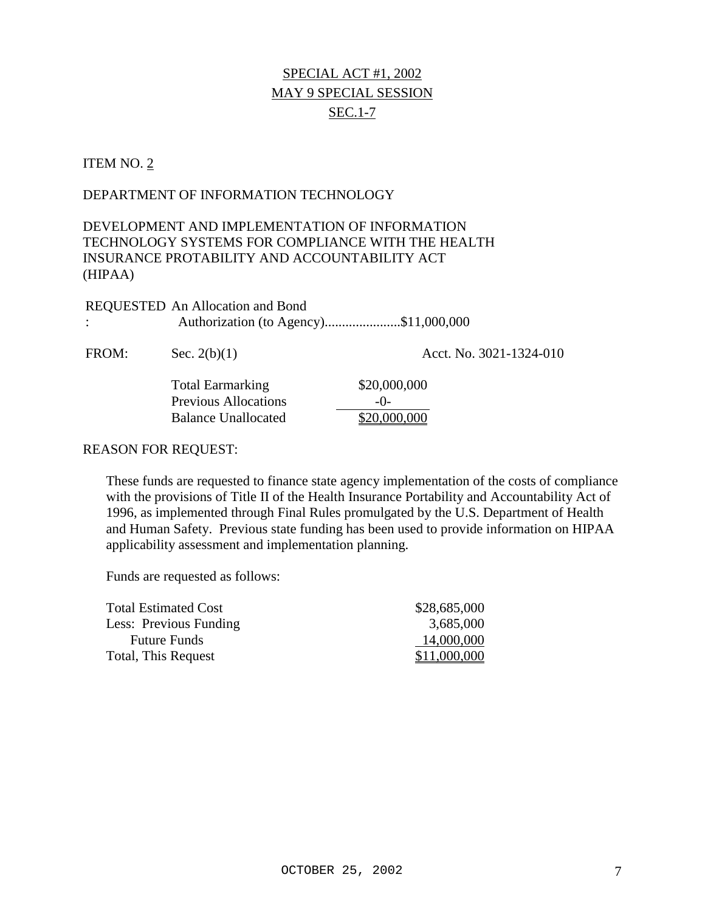# SPECIAL ACT #1, 2002 MAY 9 SPECIAL SESSION SEC.1-7

### ITEM NO. 2

### DEPARTMENT OF INFORMATION TECHNOLOGY

# DEVELOPMENT AND IMPLEMENTATION OF INFORMATION TECHNOLOGY SYSTEMS FOR COMPLIANCE WITH THE HEALTH INSURANCE PROTABILITY AND ACCOUNTABILITY ACT (HIPAA)

| REQUESTED An Allocation and Bond      |  |
|---------------------------------------|--|
| Authorization (to Agency)\$11,000,000 |  |

FROM: Sec. 2(b)(1) Acct. No. 3021-1324-010 Total Earmarking \$20,000,000 Previous Allocations -0-Balance Unallocated \$20,000,000

### REASON FOR REQUEST:

These funds are requested to finance state agency implementation of the costs of compliance with the provisions of Title II of the Health Insurance Portability and Accountability Act of 1996, as implemented through Final Rules promulgated by the U.S. Department of Health and Human Safety. Previous state funding has been used to provide information on HIPAA applicability assessment and implementation planning.

| <b>Total Estimated Cost</b> | \$28,685,000 |
|-----------------------------|--------------|
| Less: Previous Funding      | 3,685,000    |
| <b>Future Funds</b>         | 14,000,000   |
| Total, This Request         | \$11,000,000 |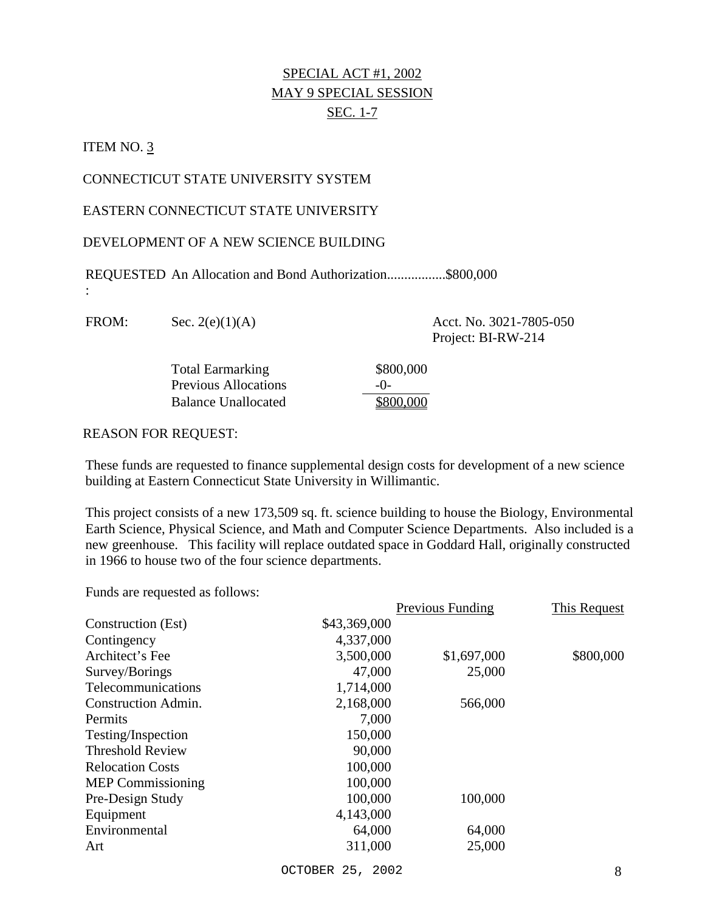# SPECIAL ACT #1, 2002 MAY 9 SPECIAL SESSION SEC. 1-7

### ITEM NO. 3

:

### CONNECTICUT STATE UNIVERSITY SYSTEM

EASTERN CONNECTICUT STATE UNIVERSITY

### DEVELOPMENT OF A NEW SCIENCE BUILDING

REQUESTED An Allocation and Bond Authorization.................\$800,000

FROM: Sec. 2(e)(1)(A) Acct. No. 3021-7805-050

Project: BI-RW-214

| <b>Total Earmarking</b>     | \$80  |
|-----------------------------|-------|
| <b>Previous Allocations</b> | $-()$ |
| <b>Balance Unallocated</b>  | \$80  |

### REASON FOR REQUEST:

These funds are requested to finance supplemental design costs for development of a new science building at Eastern Connecticut State University in Willimantic.

\$800,000

\$800,000

This project consists of a new 173,509 sq. ft. science building to house the Biology, Environmental Earth Science, Physical Science, and Math and Computer Science Departments. Also included is a new greenhouse. This facility will replace outdated space in Goddard Hall, originally constructed in 1966 to house two of the four science departments.

|                            |              | Previous Funding | This Request |
|----------------------------|--------------|------------------|--------------|
| Construction (Est)         | \$43,369,000 |                  |              |
| Contingency                | 4,337,000    |                  |              |
| Architect's Fee            | 3,500,000    | \$1,697,000      | \$800,000    |
| Survey/Borings             | 47,000       | 25,000           |              |
| Telecommunications         | 1,714,000    |                  |              |
| <b>Construction Admin.</b> | 2,168,000    | 566,000          |              |
| Permits                    | 7,000        |                  |              |
| Testing/Inspection         | 150,000      |                  |              |
| <b>Threshold Review</b>    | 90,000       |                  |              |
| <b>Relocation Costs</b>    | 100,000      |                  |              |
| <b>MEP</b> Commissioning   | 100,000      |                  |              |
| Pre-Design Study           | 100,000      | 100,000          |              |
| Equipment                  | 4,143,000    |                  |              |
| Environmental              | 64,000       | 64,000           |              |
| Art                        | 311,000      | 25,000           |              |
|                            |              |                  |              |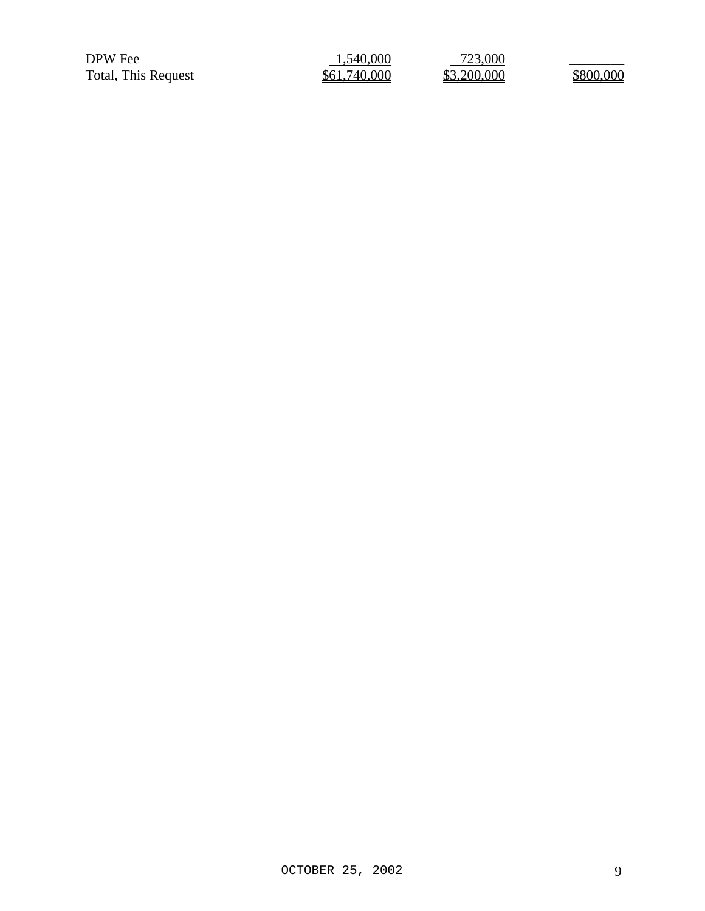DPW Fee 2000 1,540,000 723,000 DPW Fee  $\frac{1,540,000}{\$61,740,000}$   $\frac{723,000}{\$3,200,000}$   $\frac{\$800,000}{\$800,000}$ 

| 1,540,000    |  |
|--------------|--|
| \$61,740,000 |  |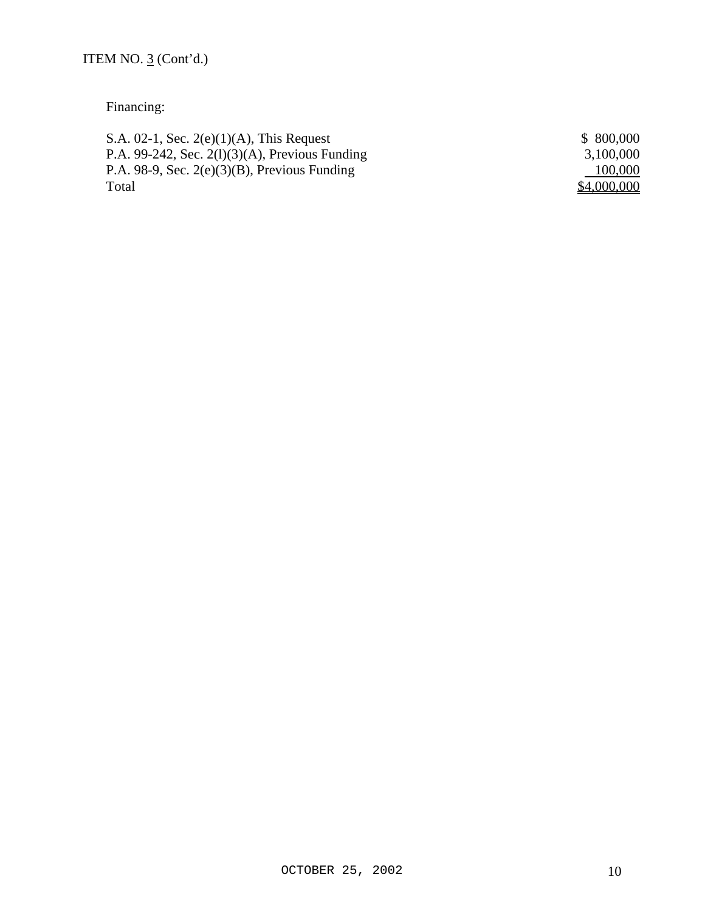# Financing:

| S.A. 02-1, Sec. $2(e)(1)(A)$ , This Request       | \$ 800,000  |
|---------------------------------------------------|-------------|
| P.A. 99-242, Sec. $2(1)(3)(A)$ , Previous Funding | 3,100,000   |
| P.A. 98-9, Sec. $2(e)(3)(B)$ , Previous Funding   | 100,000     |
| Total                                             | \$4,000,000 |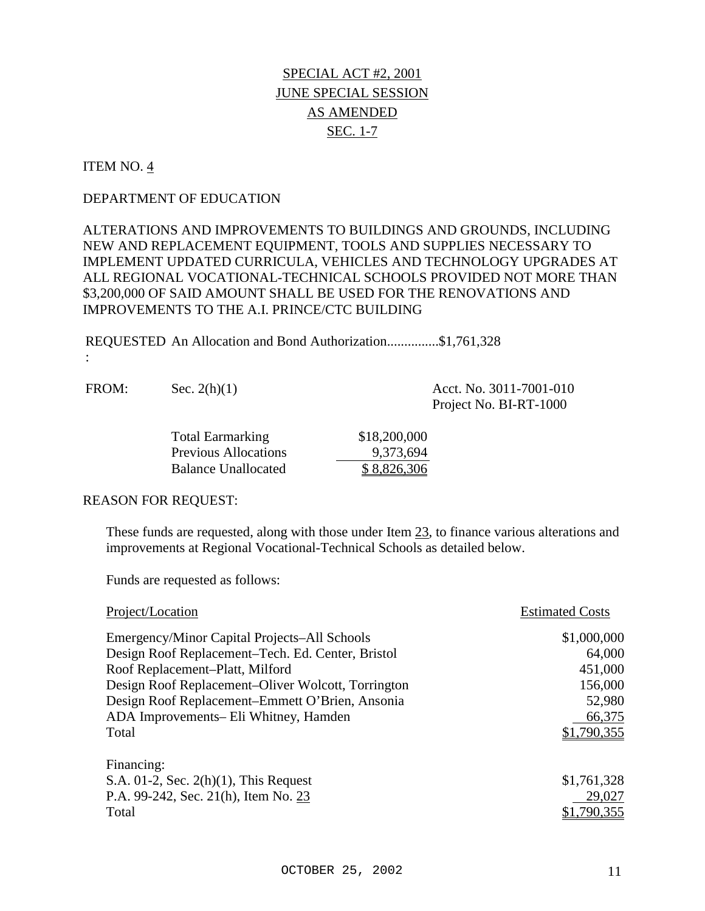### ITEM NO. 4

:

### DEPARTMENT OF EDUCATION

ALTERATIONS AND IMPROVEMENTS TO BUILDINGS AND GROUNDS, INCLUDING NEW AND REPLACEMENT EQUIPMENT, TOOLS AND SUPPLIES NECESSARY TO IMPLEMENT UPDATED CURRICULA, VEHICLES AND TECHNOLOGY UPGRADES AT ALL REGIONAL VOCATIONAL-TECHNICAL SCHOOLS PROVIDED NOT MORE THAN \$3,200,000 OF SAID AMOUNT SHALL BE USED FOR THE RENOVATIONS AND IMPROVEMENTS TO THE A.I. PRINCE/CTC BUILDING

REQUESTED An Allocation and Bond Authorization...............\$1,761,328

FROM: Sec. 2(h)(1) Acct. No. 3011-7001-010

Project No. BI-RT-1000

| <b>Total Earmarking</b>     | \$18,200,000 |
|-----------------------------|--------------|
| <b>Previous Allocations</b> | 9,373,694    |
| Balance Unallocated         | \$8,826,306  |

#### REASON FOR REQUEST:

These funds are requested, along with those under Item 23, to finance various alterations and improvements at Regional Vocational-Technical Schools as detailed below.

| Project/Location                                   | <b>Estimated Costs</b> |
|----------------------------------------------------|------------------------|
| Emergency/Minor Capital Projects–All Schools       | \$1,000,000            |
| Design Roof Replacement–Tech. Ed. Center, Bristol  | 64,000                 |
| Roof Replacement-Platt, Milford                    | 451,000                |
| Design Roof Replacement-Oliver Wolcott, Torrington | 156,000                |
| Design Roof Replacement–Emmett O'Brien, Ansonia    | 52,980                 |
| ADA Improvements– Eli Whitney, Hamden              | 66,375                 |
| Total                                              | \$1,790,355            |
| Financing:                                         |                        |
| S.A. $01-2$ , Sec. $2(h)(1)$ , This Request        | \$1,761,328            |
| P.A. 99-242, Sec. 21(h), Item No. 23               | 29,027                 |
| Total                                              | ,790,355               |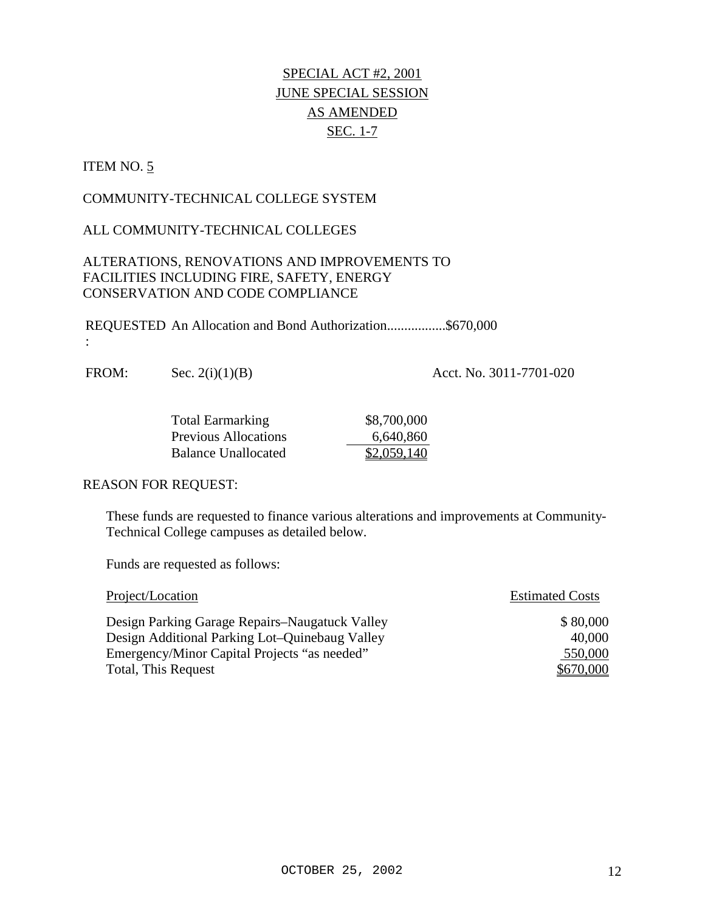# ITEM NO. 5

:

# COMMUNITY-TECHNICAL COLLEGE SYSTEM

# ALL COMMUNITY-TECHNICAL COLLEGES

# ALTERATIONS, RENOVATIONS AND IMPROVEMENTS TO FACILITIES INCLUDING FIRE, SAFETY, ENERGY CONSERVATION AND CODE COMPLIANCE

REQUESTED An Allocation and Bond Authorization.................\$670,000

FROM: Sec. 2(i)(1)(B) Acct. No. 3011-7701-020

| <b>Total Earmarking</b>     | \$8,700,000 |
|-----------------------------|-------------|
| <b>Previous Allocations</b> | 6,640,860   |
| Balance Unallocated         | \$2,059,140 |

### REASON FOR REQUEST:

These funds are requested to finance various alterations and improvements at Community-Technical College campuses as detailed below.

| Project/Location                               | <b>Estimated Costs</b> |
|------------------------------------------------|------------------------|
| Design Parking Garage Repairs–Naugatuck Valley | \$80,000               |
| Design Additional Parking Lot-Quinebaug Valley | 40,000                 |
| Emergency/Minor Capital Projects "as needed"   | 550,000                |
| Total, This Request                            | \$670,000              |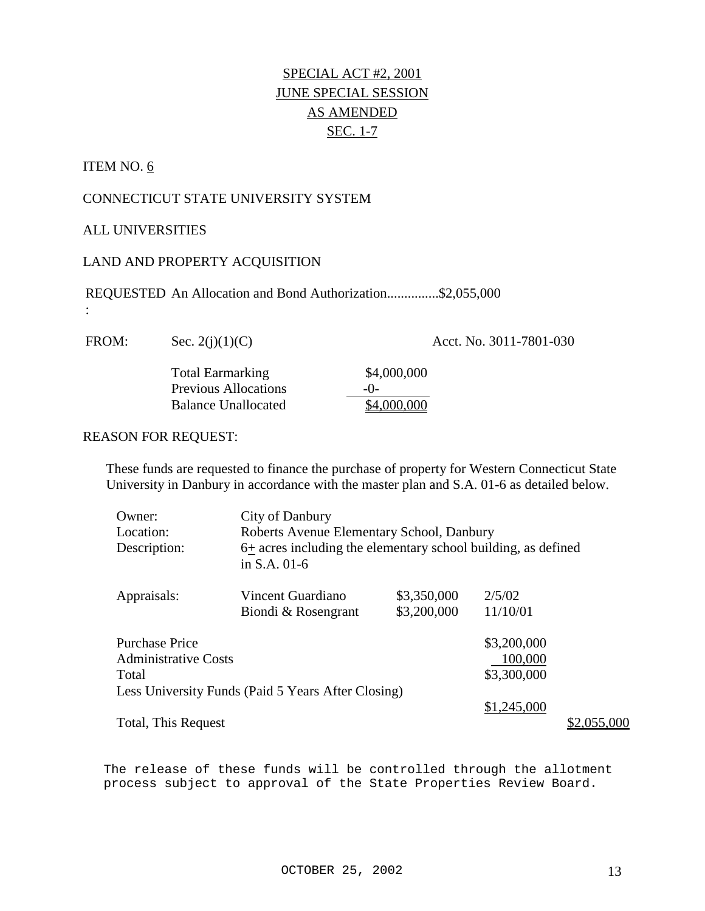### ITEM NO. 6

:

# CONNECTICUT STATE UNIVERSITY SYSTEM

### ALL UNIVERSITIES

### LAND AND PROPERTY ACQUISITION

REQUESTED An Allocation and Bond Authorization...............\$2,055,000

FROM: Sec. 2(j)(1)(C) Acct. No. 3011-7801-030

Total Earmarking \$4,000,000 Previous Allocations -0- Balance Unallocated  $\overline{\text{84,000,000}}$ 

#### REASON FOR REQUEST:

These funds are requested to finance the purchase of property for Western Connecticut State University in Danbury in accordance with the master plan and S.A. 01-6 as detailed below.

| Owner:                      | City of Danbury                                                               |             |             |             |
|-----------------------------|-------------------------------------------------------------------------------|-------------|-------------|-------------|
| Location:                   | Roberts Avenue Elementary School, Danbury                                     |             |             |             |
| Description:                | 6+ acres including the elementary school building, as defined<br>in S.A. 01-6 |             |             |             |
| Appraisals:                 | Vincent Guardiano                                                             | \$3,350,000 | 2/5/02      |             |
|                             | Biondi & Rosengrant                                                           | \$3,200,000 | 11/10/01    |             |
| <b>Purchase Price</b>       |                                                                               |             | \$3,200,000 |             |
| <b>Administrative Costs</b> |                                                                               |             | 100,000     |             |
| Total                       |                                                                               |             | \$3,300,000 |             |
|                             | Less University Funds (Paid 5 Years After Closing)                            |             |             |             |
|                             |                                                                               |             | \$1,245,000 |             |
| Total, This Request         |                                                                               |             |             | \$2,055,000 |

The release of these funds will be controlled through the allotment process subject to approval of the State Properties Review Board.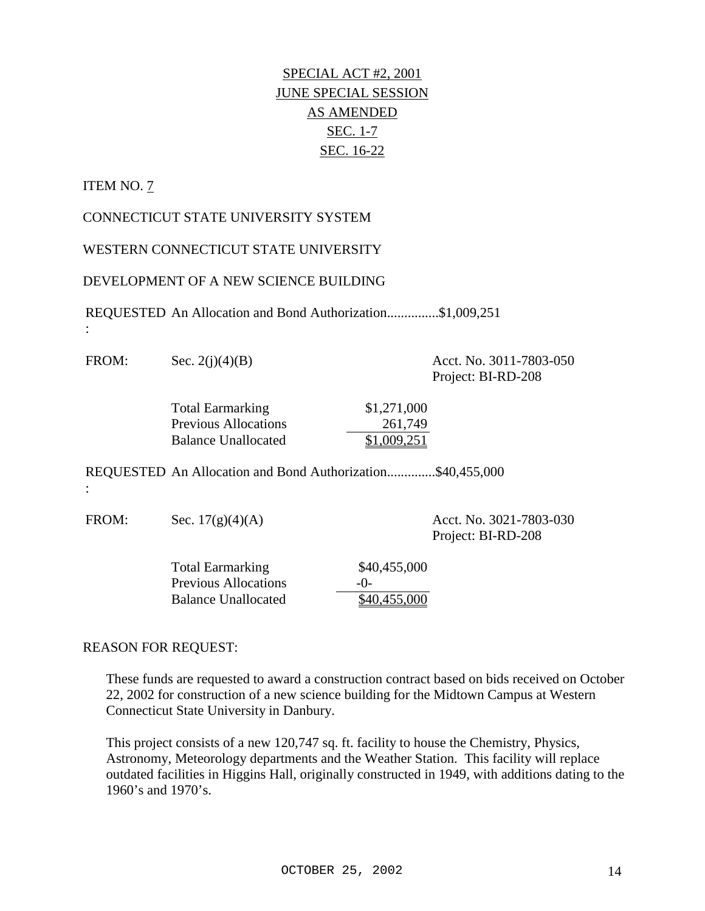# ITEM NO. 7

:

:

CONNECTICUT STATE UNIVERSITY SYSTEM

WESTERN CONNECTICUT STATE UNIVERSITY

DEVELOPMENT OF A NEW SCIENCE BUILDING

REQUESTED An Allocation and Bond Authorization...............\$1,009,251

FROM: Sec. 2(j)(4)(B) Acct. No. 3011-7803-050 Project: BI-RD-208 Total Earmarking \$1,271,000 Previous Allocations 261,749 Balance Unallocated \$1,009,251 REQUESTED An Allocation and Bond Authorization..............\$40,455,000

FROM: Sec. 17(g)(4)(A) Acct. No. 3021-7803-030

Project: BI-RD-208

Total Earmarking \$40,455,000 Previous Allocations -0-Balance Unallocated \$40,455,000

### REASON FOR REQUEST:

These funds are requested to award a construction contract based on bids received on October 22, 2002 for construction of a new science building for the Midtown Campus at Western Connecticut State University in Danbury.

This project consists of a new 120,747 sq. ft. facility to house the Chemistry, Physics, Astronomy, Meteorology departments and the Weather Station. This facility will replace outdated facilities in Higgins Hall, originally constructed in 1949, with additions dating to the 1960's and 1970's.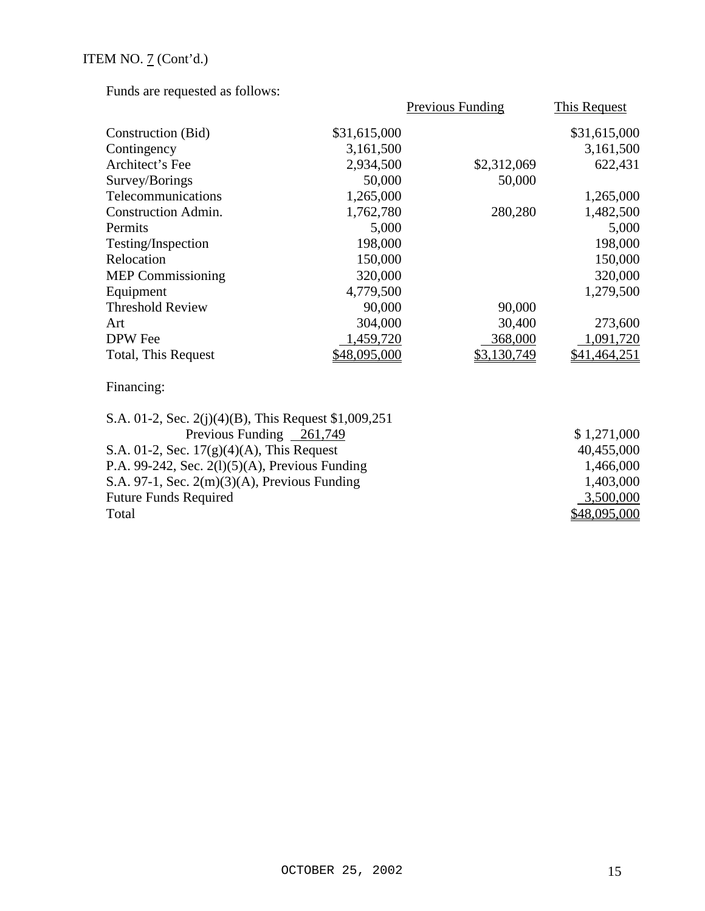| $\frac{1}{2}$ and $\frac{1}{2}$ requested as follows: |              |                  |                     |
|-------------------------------------------------------|--------------|------------------|---------------------|
|                                                       |              | Previous Funding | This Request        |
| Construction (Bid)                                    | \$31,615,000 |                  | \$31,615,000        |
| Contingency                                           | 3,161,500    |                  | 3,161,500           |
| Architect's Fee                                       | 2,934,500    | \$2,312,069      | 622,431             |
| Survey/Borings                                        | 50,000       | 50,000           |                     |
| Telecommunications                                    | 1,265,000    |                  | 1,265,000           |
| <b>Construction Admin.</b>                            | 1,762,780    | 280,280          | 1,482,500           |
| Permits                                               | 5,000        |                  | 5,000               |
| Testing/Inspection                                    | 198,000      |                  | 198,000             |
| Relocation                                            | 150,000      |                  | 150,000             |
| <b>MEP</b> Commissioning                              | 320,000      |                  | 320,000             |
| Equipment                                             | 4,779,500    |                  | 1,279,500           |
| <b>Threshold Review</b>                               | 90,000       | 90,000           |                     |
| Art                                                   | 304,000      | 30,400           | 273,600             |
| DPW Fee                                               | 1,459,720    | 368,000          | 1,091,720           |
| Total, This Request                                   | \$48,095,000 | \$3,130,749      | <u>\$41,464,251</u> |
| Financing:                                            |              |                  |                     |
| S.A. 01-2, Sec. 2(j)(4)(B), This Request $$1,009,251$ |              |                  |                     |
| Previous Funding 261,749                              |              |                  | \$1,271,000         |
| $S \wedge 01.2$ $S_{00}$ $17(a)(4)(A)$ This Dequast   |              |                  | $AO$ $455$ $OO$     |

| S.A. 01-2, Sec. $17(g)(4)(A)$ , This Request      | 40,455,000   |
|---------------------------------------------------|--------------|
| P.A. 99-242, Sec. $2(1)(5)(A)$ , Previous Funding | 1,466,000    |
| S.A. 97-1, Sec. $2(m)(3)(A)$ , Previous Funding   | 1,403,000    |
| <b>Future Funds Required</b>                      | 3,500,000    |
| Total                                             | \$48,095,000 |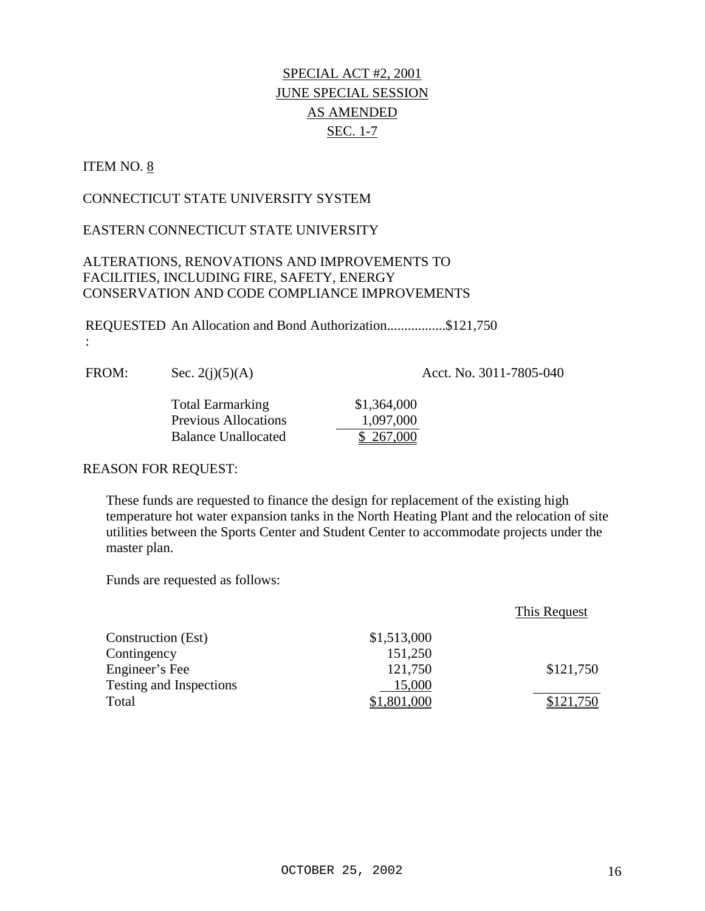# ITEM NO. 8

:

# CONNECTICUT STATE UNIVERSITY SYSTEM

### EASTERN CONNECTICUT STATE UNIVERSITY

### ALTERATIONS, RENOVATIONS AND IMPROVEMENTS TO FACILITIES, INCLUDING FIRE, SAFETY, ENERGY CONSERVATION AND CODE COMPLIANCE IMPROVEMENTS

REQUESTED An Allocation and Bond Authorization.................\$121,750

FROM: Sec. 2(j)(5)(A) Acct. No. 3011-7805-040

| <b>Total Earmarking</b>     | \$1,364,000 |
|-----------------------------|-------------|
| <b>Previous Allocations</b> | 1,097,000   |
| Balance Unallocated         | \$ 267,000  |

### REASON FOR REQUEST:

These funds are requested to finance the design for replacement of the existing high temperature hot water expansion tanks in the North Heating Plant and the relocation of site utilities between the Sports Center and Student Center to accommodate projects under the master plan.

|                         |             | This Request |
|-------------------------|-------------|--------------|
| Construction (Est)      | \$1,513,000 |              |
| Contingency             | 151,250     |              |
| Engineer's Fee          | 121,750     | \$121,750    |
| Testing and Inspections | 15,000      |              |
| Total                   | ,801,000    | \$121,750    |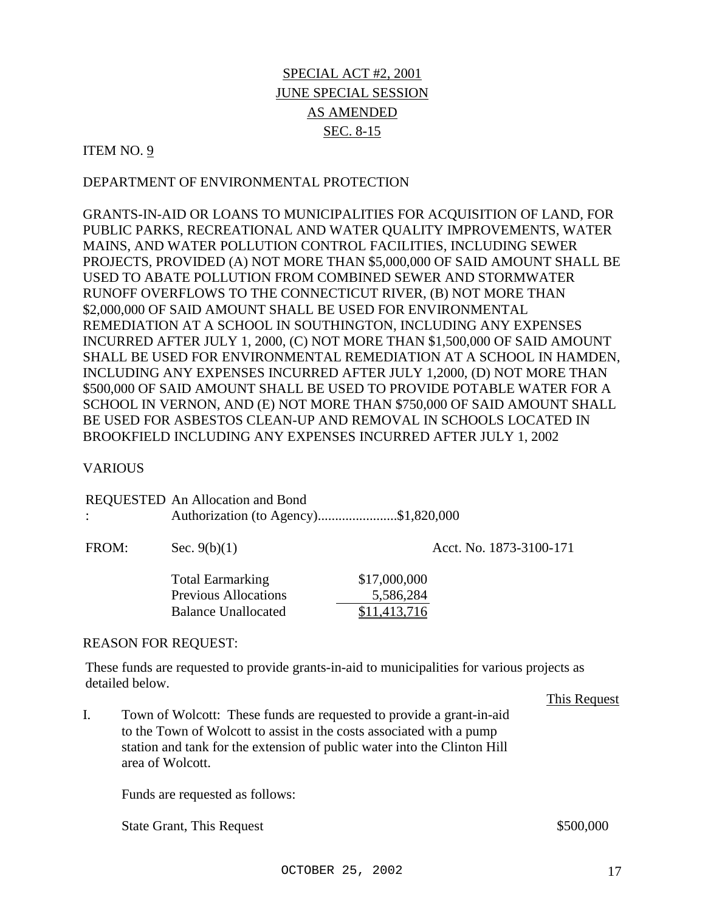### ITEM NO.  $9$

### DEPARTMENT OF ENVIRONMENTAL PROTECTION

GRANTS-IN-AID OR LOANS TO MUNICIPALITIES FOR ACQUISITION OF LAND, FOR PUBLIC PARKS, RECREATIONAL AND WATER QUALITY IMPROVEMENTS, WATER MAINS, AND WATER POLLUTION CONTROL FACILITIES, INCLUDING SEWER PROJECTS, PROVIDED (A) NOT MORE THAN \$5,000,000 OF SAID AMOUNT SHALL BE USED TO ABATE POLLUTION FROM COMBINED SEWER AND STORMWATER RUNOFF OVERFLOWS TO THE CONNECTICUT RIVER, (B) NOT MORE THAN \$2,000,000 OF SAID AMOUNT SHALL BE USED FOR ENVIRONMENTAL REMEDIATION AT A SCHOOL IN SOUTHINGTON, INCLUDING ANY EXPENSES INCURRED AFTER JULY 1, 2000, (C) NOT MORE THAN \$1,500,000 OF SAID AMOUNT SHALL BE USED FOR ENVIRONMENTAL REMEDIATION AT A SCHOOL IN HAMDEN, INCLUDING ANY EXPENSES INCURRED AFTER JULY 1,2000, (D) NOT MORE THAN \$500,000 OF SAID AMOUNT SHALL BE USED TO PROVIDE POTABLE WATER FOR A SCHOOL IN VERNON, AND (E) NOT MORE THAN \$750,000 OF SAID AMOUNT SHALL BE USED FOR ASBESTOS CLEAN-UP AND REMOVAL IN SCHOOLS LOCATED IN BROOKFIELD INCLUDING ANY EXPENSES INCURRED AFTER JULY 1, 2002

#### **VARIOUS**

| REQUESTED An Allocation and Bond     |
|--------------------------------------|
| Authorization (to Agency)\$1,820,000 |

FROM: Sec. 9(b)(1) Acct. No. 1873-3100-171 Total Earmarking \$17,000,000 Previous Allocations 5,586,284 Balance Unallocated \$11,413,716

#### REASON FOR REQUEST:

These funds are requested to provide grants-in-aid to municipalities for various projects as detailed below.

This Request

I. Town of Wolcott: These funds are requested to provide a grant-in-aid to the Town of Wolcott to assist in the costs associated with a pump station and tank for the extension of public water into the Clinton Hill area of Wolcott.

Funds are requested as follows:

State Grant, This Request  $$500,000$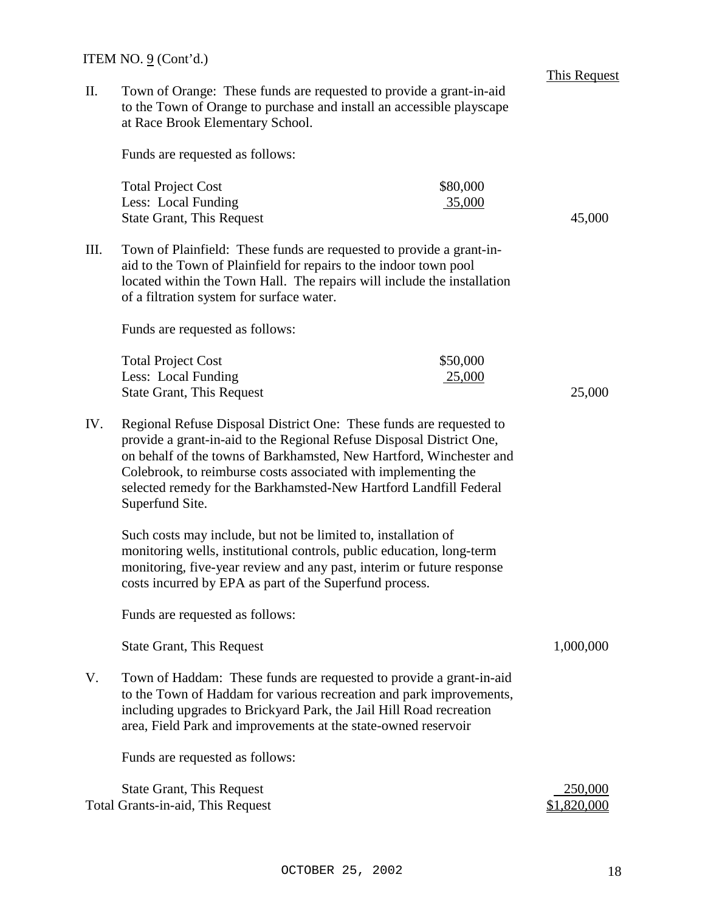II. Town of Orange: These funds are requested to provide a grant-in-aid to the Town of Orange to purchase and install an accessible playscape at Race Brook Elementary School.

Funds are requested as follows:

| <b>Total Project Cost</b>        | \$80,000 |        |
|----------------------------------|----------|--------|
| Less: Local Funding              | 35,000   |        |
| <b>State Grant, This Request</b> |          | 45,000 |

III. Town of Plainfield: These funds are requested to provide a grant-inaid to the Town of Plainfield for repairs to the indoor town pool located within the Town Hall. The repairs will include the installation of a filtration system for surface water.

Funds are requested as follows:

| <b>Total Project Cost</b>        | \$50,000 |  |
|----------------------------------|----------|--|
| Less: Local Funding              | 25,000   |  |
| <b>State Grant, This Request</b> | 25,000   |  |

IV. Regional Refuse Disposal District One: These funds are requested to provide a grant-in-aid to the Regional Refuse Disposal District One, on behalf of the towns of Barkhamsted, New Hartford, Winchester and Colebrook, to reimburse costs associated with implementing the selected remedy for the Barkhamsted-New Hartford Landfill Federal Superfund Site.

Such costs may include, but not be limited to, installation of monitoring wells, institutional controls, public education, long-term monitoring, five-year review and any past, interim or future response costs incurred by EPA as part of the Superfund process.

Funds are requested as follows:

State Grant, This Request 1,000,000 and 1,000,000 and 1,000,000 and 1,000,000 and 1,000,000 and 1,000,000 and 1,000,000 and 1,000,000 and 1,000,000 and 1,000,000 and 1,000,000 and 1,000,000 and 1,000,000 and 1,000,000 and

V. Town of Haddam: These funds are requested to provide a grant-in-aid to the Town of Haddam for various recreation and park improvements, including upgrades to Brickyard Park, the Jail Hill Road recreation area, Field Park and improvements at the state-owned reservoir

Funds are requested as follows:

State Grant, This Request 250,000 Total Grants-in-aid, This Request  $$1,820,000$ 

This Request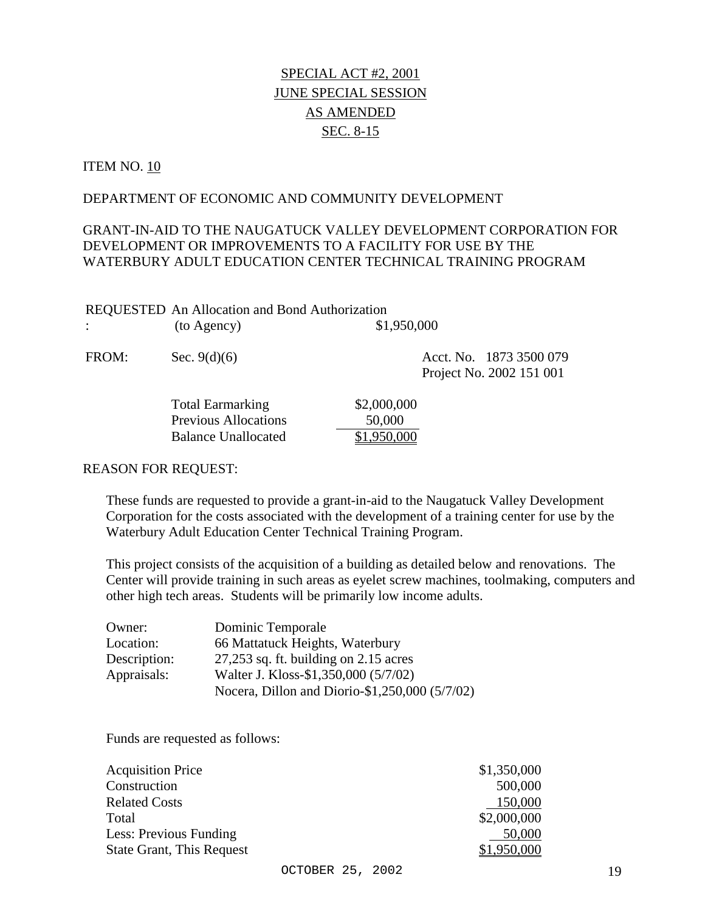### ITEM NO. 10

### DEPARTMENT OF ECONOMIC AND COMMUNITY DEVELOPMENT

# GRANT-IN-AID TO THE NAUGATUCK VALLEY DEVELOPMENT CORPORATION FOR DEVELOPMENT OR IMPROVEMENTS TO A FACILITY FOR USE BY THE WATERBURY ADULT EDUCATION CENTER TECHNICAL TRAINING PROGRAM

| <b>REQUESTED</b> An Allocation and Bond Authorization |             |
|-------------------------------------------------------|-------------|
| (to Agency)                                           | \$1,950,000 |
|                                                       |             |

| FROM: | Sec. $9(d)(6)$ | Acct. No. 1873 3500 079  |
|-------|----------------|--------------------------|
|       |                | Project No. 2002 151 001 |

| <b>Total Earmarking</b>     | \$2,000,000 |
|-----------------------------|-------------|
| <b>Previous Allocations</b> | 50,000      |
| <b>Balance Unallocated</b>  | \$1,950,000 |

#### REASON FOR REQUEST:

These funds are requested to provide a grant-in-aid to the Naugatuck Valley Development Corporation for the costs associated with the development of a training center for use by the Waterbury Adult Education Center Technical Training Program.

This project consists of the acquisition of a building as detailed below and renovations. The Center will provide training in such areas as eyelet screw machines, toolmaking, computers and other high tech areas. Students will be primarily low income adults.

| Owner:       | Dominic Temporale                              |
|--------------|------------------------------------------------|
| Location:    | 66 Mattatuck Heights, Waterbury                |
| Description: | $27,253$ sq. ft. building on 2.15 acres        |
| Appraisals:  | Walter J. Kloss-\$1,350,000 (5/7/02)           |
|              | Nocera, Dillon and Diorio-\$1,250,000 (5/7/02) |

| <b>Acquisition Price</b>         | \$1,350,000 |
|----------------------------------|-------------|
| Construction                     | 500,000     |
| <b>Related Costs</b>             | 150,000     |
| Total                            | \$2,000,000 |
| Less: Previous Funding           | 50,000      |
| <b>State Grant, This Request</b> | \$1,950,000 |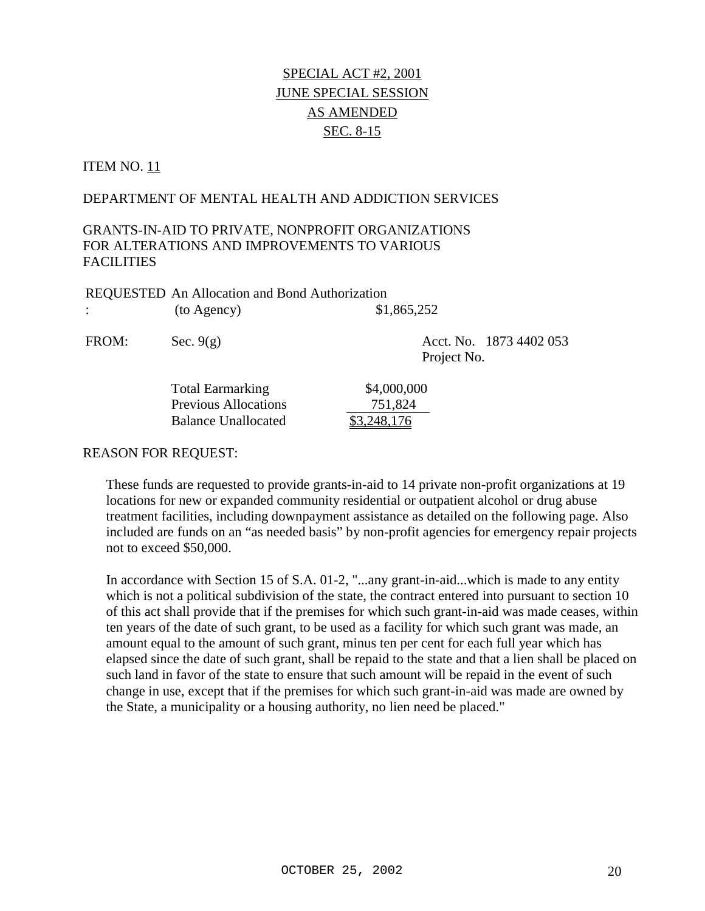# **ITEM NO. 11**

### DEPARTMENT OF MENTAL HEALTH AND ADDICTION SERVICES

# GRANTS-IN-AID TO PRIVATE, NONPROFIT ORGANIZATIONS FOR ALTERATIONS AND IMPROVEMENTS TO VARIOUS FACILITIES

| <b>REQUESTED</b> An Allocation and Bond Authorization |             |
|-------------------------------------------------------|-------------|
| (to Agency)                                           | \$1,865,252 |

FROM: Sec. 9(g) Acct. No. 1873 4402 053 Project No.

| <b>Total Earmarking</b>     |  |
|-----------------------------|--|
| <b>Previous Allocations</b> |  |
| <b>Balance Unallocated</b>  |  |

#### REASON FOR REQUEST:

These funds are requested to provide grants-in-aid to 14 private non-profit organizations at 19 locations for new or expanded community residential or outpatient alcohol or drug abuse treatment facilities, including downpayment assistance as detailed on the following page. Also included are funds on an "as needed basis" by non-profit agencies for emergency repair projects not to exceed \$50,000.

 $$4,000,000$ 751,824  $$3,248,176$ 

In accordance with Section 15 of S.A. 01-2, "...any grant-in-aid...which is made to any entity which is not a political subdivision of the state, the contract entered into pursuant to section 10 of this act shall provide that if the premises for which such grant-in-aid was made ceases, within ten years of the date of such grant, to be used as a facility for which such grant was made, an amount equal to the amount of such grant, minus ten per cent for each full year which has elapsed since the date of such grant, shall be repaid to the state and that a lien shall be placed on such land in favor of the state to ensure that such amount will be repaid in the event of such change in use, except that if the premises for which such grant-in-aid was made are owned by the State, a municipality or a housing authority, no lien need be placed."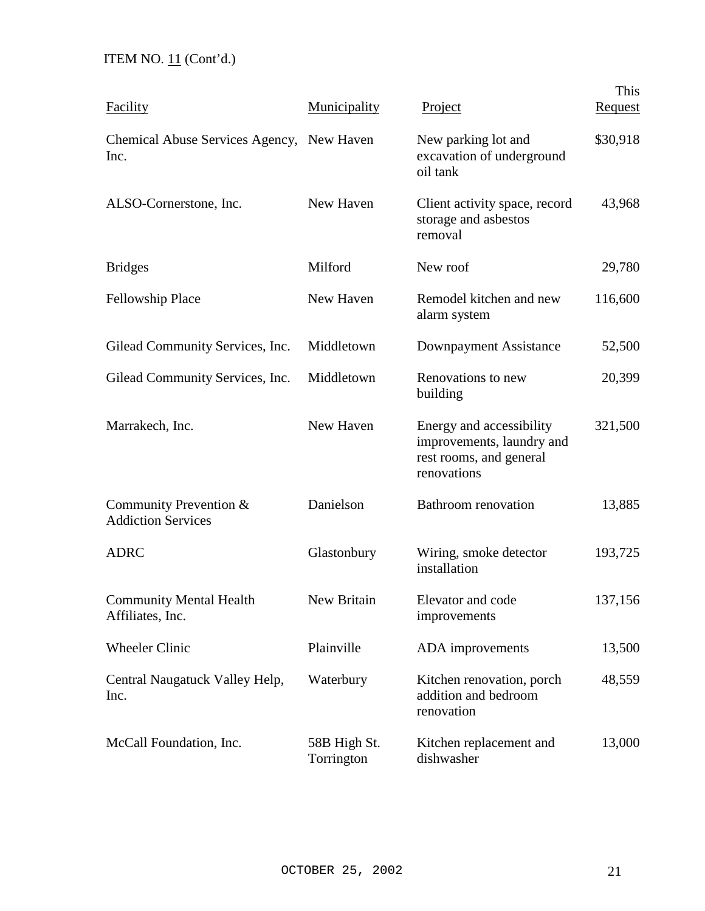# ITEM NO.  $11$  (Cont'd.)

| Facility                                            | Municipality               | Project                                                                                         | This<br><b>Request</b> |
|-----------------------------------------------------|----------------------------|-------------------------------------------------------------------------------------------------|------------------------|
| Chemical Abuse Services Agency, New Haven<br>Inc.   |                            | New parking lot and<br>excavation of underground<br>oil tank                                    | \$30,918               |
| ALSO-Cornerstone, Inc.                              | New Haven                  | Client activity space, record<br>storage and asbestos<br>removal                                | 43,968                 |
| <b>Bridges</b>                                      | Milford                    | New roof                                                                                        | 29,780                 |
| <b>Fellowship Place</b>                             | New Haven                  | Remodel kitchen and new<br>alarm system                                                         | 116,600                |
| Gilead Community Services, Inc.                     | Middletown                 | Downpayment Assistance                                                                          | 52,500                 |
| Gilead Community Services, Inc.                     | Middletown                 | Renovations to new<br>building                                                                  | 20,399                 |
| Marrakech, Inc.                                     | New Haven                  | Energy and accessibility<br>improvements, laundry and<br>rest rooms, and general<br>renovations | 321,500                |
| Community Prevention &<br><b>Addiction Services</b> | Danielson                  | Bathroom renovation                                                                             | 13,885                 |
| <b>ADRC</b>                                         | Glastonbury                | Wiring, smoke detector<br>installation                                                          | 193,725                |
| <b>Community Mental Health</b><br>Affiliates, Inc.  | New Britain                | Elevator and code<br>improvements                                                               | 137,156                |
| <b>Wheeler Clinic</b>                               | Plainville                 | ADA improvements                                                                                | 13,500                 |
| Central Naugatuck Valley Help,<br>Inc.              | Waterbury                  | Kitchen renovation, porch<br>addition and bedroom<br>renovation                                 | 48,559                 |
| McCall Foundation, Inc.                             | 58B High St.<br>Torrington | Kitchen replacement and<br>dishwasher                                                           | 13,000                 |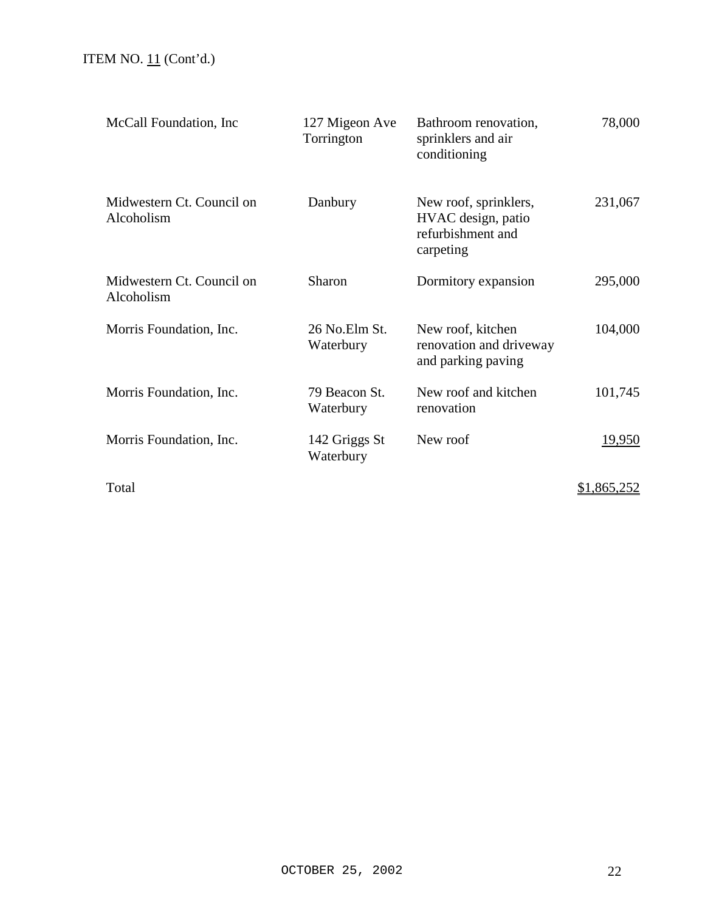| McCall Foundation, Inc.                 | 127 Migeon Ave<br>Torrington | Bathroom renovation,<br>sprinklers and air<br>conditioning                    | 78,000             |
|-----------------------------------------|------------------------------|-------------------------------------------------------------------------------|--------------------|
| Midwestern Ct. Council on<br>Alcoholism | Danbury                      | New roof, sprinklers,<br>HVAC design, patio<br>refurbishment and<br>carpeting | 231,067            |
| Midwestern Ct. Council on<br>Alcoholism | Sharon                       | Dormitory expansion                                                           | 295,000            |
| Morris Foundation, Inc.                 | 26 No.Elm St.<br>Waterbury   | New roof, kitchen<br>renovation and driveway<br>and parking paving            | 104,000            |
| Morris Foundation, Inc.                 | 79 Beacon St.<br>Waterbury   | New roof and kitchen<br>renovation                                            | 101,745            |
| Morris Foundation, Inc.                 | 142 Griggs St<br>Waterbury   | New roof                                                                      | <u>19,950</u>      |
| Total                                   |                              |                                                                               | <u>\$1,865,252</u> |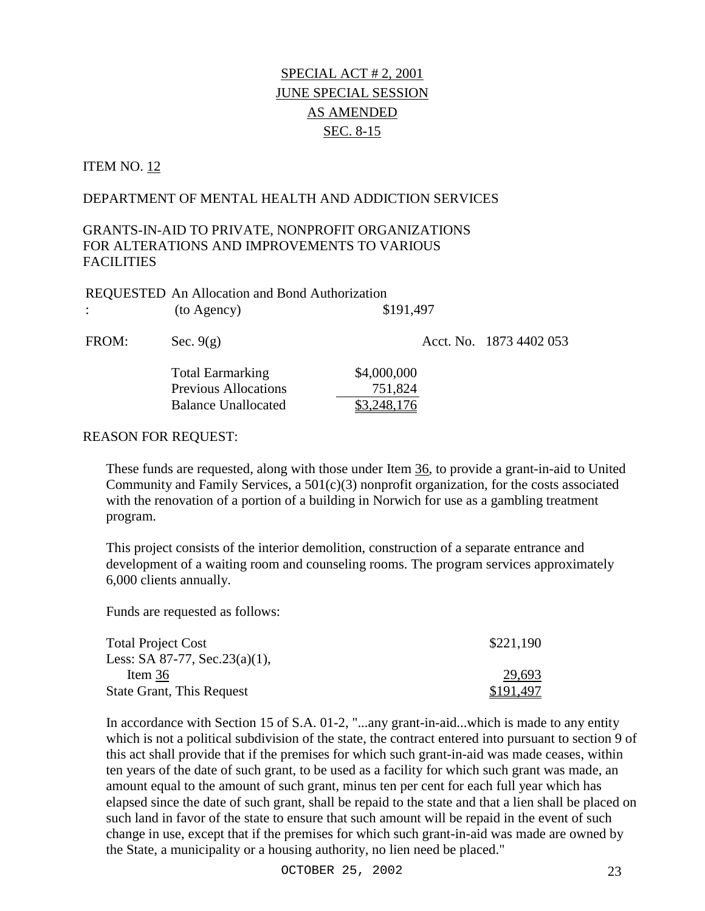### ITEM NO. 12

### DEPARTMENT OF MENTAL HEALTH AND ADDICTION SERVICES

# GRANTS-IN-AID TO PRIVATE, NONPROFIT ORGANIZATIONS FOR ALTERATIONS AND IMPROVEMENTS TO VARIOUS FACILITIES

|              | REQUESTED An Allocation and Bond Authorization |             |                         |
|--------------|------------------------------------------------|-------------|-------------------------|
| $\therefore$ | (to Agency)                                    | \$191,497   |                         |
| FROM:        | Sec. $9(g)$                                    |             | Acct. No. 1873 4402 053 |
|              | <b>Total Earmarking</b>                        | \$4,000,000 |                         |
|              | <b>Previous Allocations</b>                    | 751,824     |                         |
|              | <b>Balance Unallocated</b>                     |             |                         |

#### REASON FOR REQUEST:

These funds are requested, along with those under Item 36, to provide a grant-in-aid to United Community and Family Services, a  $501(c)(3)$  nonprofit organization, for the costs associated with the renovation of a portion of a building in Norwich for use as a gambling treatment program.

This project consists of the interior demolition, construction of a separate entrance and development of a waiting room and counseling rooms. The program services approximately 6,000 clients annually.

Funds are requested as follows:

| <b>Total Project Cost</b>         | \$221,190 |
|-----------------------------------|-----------|
| Less: SA 87-77, Sec. $23(a)(1)$ , |           |
| Item $36$                         | 29,693    |
| <b>State Grant, This Request</b>  | \$191,497 |

In accordance with Section 15 of S.A. 01-2, "...any grant-in-aid...which is made to any entity which is not a political subdivision of the state, the contract entered into pursuant to section 9 of this act shall provide that if the premises for which such grant-in-aid was made ceases, within ten years of the date of such grant, to be used as a facility for which such grant was made, an amount equal to the amount of such grant, minus ten per cent for each full year which has elapsed since the date of such grant, shall be repaid to the state and that a lien shall be placed on such land in favor of the state to ensure that such amount will be repaid in the event of such change in use, except that if the premises for which such grant-in-aid was made are owned by the State, a municipality or a housing authority, no lien need be placed."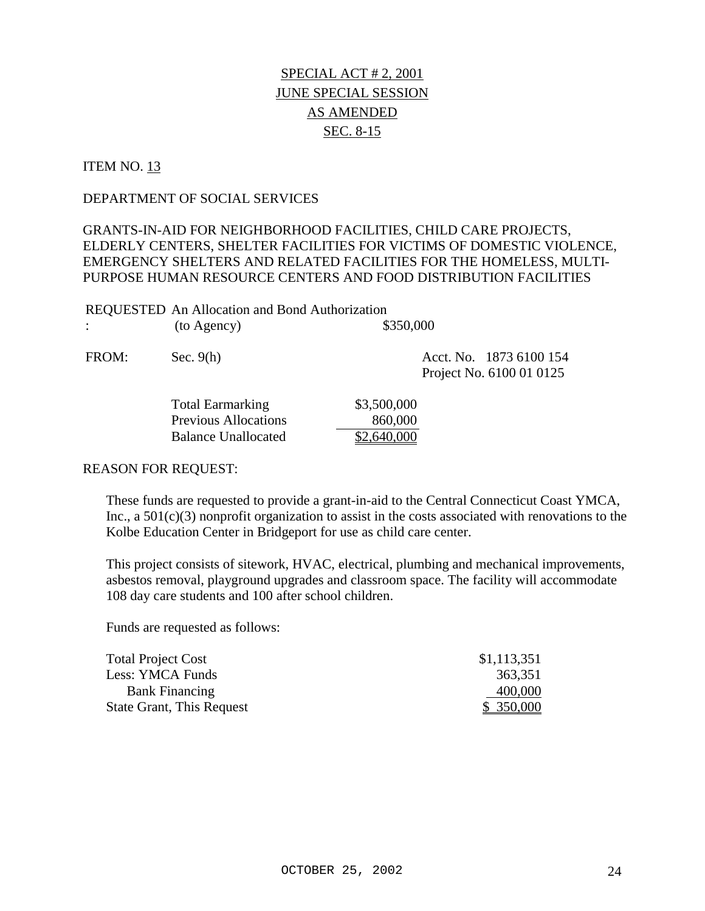### ITEM NO. 13

### DEPARTMENT OF SOCIAL SERVICES

# GRANTS-IN-AID FOR NEIGHBORHOOD FACILITIES, CHILD CARE PROJECTS, ELDERLY CENTERS, SHELTER FACILITIES FOR VICTIMS OF DOMESTIC VIOLENCE, EMERGENCY SHELTERS AND RELATED FACILITIES FOR THE HOMELESS, MULTI-PURPOSE HUMAN RESOURCE CENTERS AND FOOD DISTRIBUTION FACILITIES

| <b>REQUESTED</b> An Allocation and Bond Authorization |             |           |
|-------------------------------------------------------|-------------|-----------|
|                                                       | (to Agency) | \$350,000 |

| FROM: | Sec. $9(h)$ | Acct. No. 1873 6100 154  |
|-------|-------------|--------------------------|
|       |             | Project No. 6100 01 0125 |

| <b>Total Earmarking</b>     | \$3,500,000 |
|-----------------------------|-------------|
| <b>Previous Allocations</b> | 860,000     |
| Balance Unallocated         | \$2,640,000 |

#### REASON FOR REQUEST:

These funds are requested to provide a grant-in-aid to the Central Connecticut Coast YMCA, Inc., a 501(c)(3) nonprofit organization to assist in the costs associated with renovations to the Kolbe Education Center in Bridgeport for use as child care center.

This project consists of sitework, HVAC, electrical, plumbing and mechanical improvements, asbestos removal, playground upgrades and classroom space. The facility will accommodate 108 day care students and 100 after school children.

| <b>Total Project Cost</b>        | \$1,113,351 |
|----------------------------------|-------------|
| Less: YMCA Funds                 | 363,351     |
| <b>Bank Financing</b>            | 400,000     |
| <b>State Grant, This Request</b> | \$ 350,000  |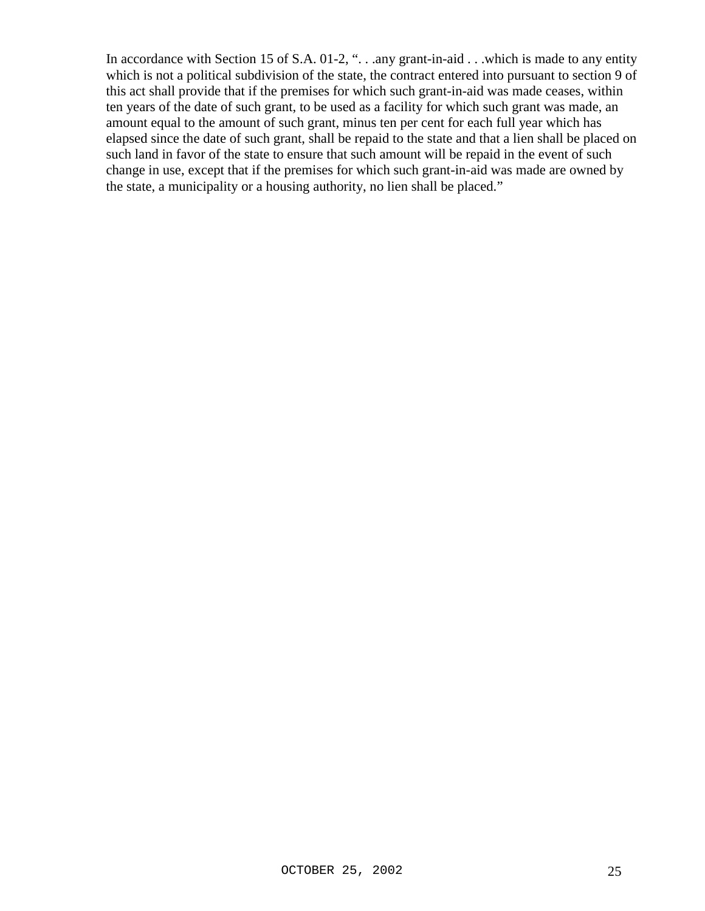In accordance with Section 15 of S.A. 01-2, "... any grant-in-aid ... which is made to any entity which is not a political subdivision of the state, the contract entered into pursuant to section 9 of this act shall provide that if the premises for which such grant-in-aid was made ceases, within ten years of the date of such grant, to be used as a facility for which such grant was made, an amount equal to the amount of such grant, minus ten per cent for each full year which has elapsed since the date of such grant, shall be repaid to the state and that a lien shall be placed on such land in favor of the state to ensure that such amount will be repaid in the event of such change in use, except that if the premises for which such grant-in-aid was made are owned by the state, a municipality or a housing authority, no lien shall be placed."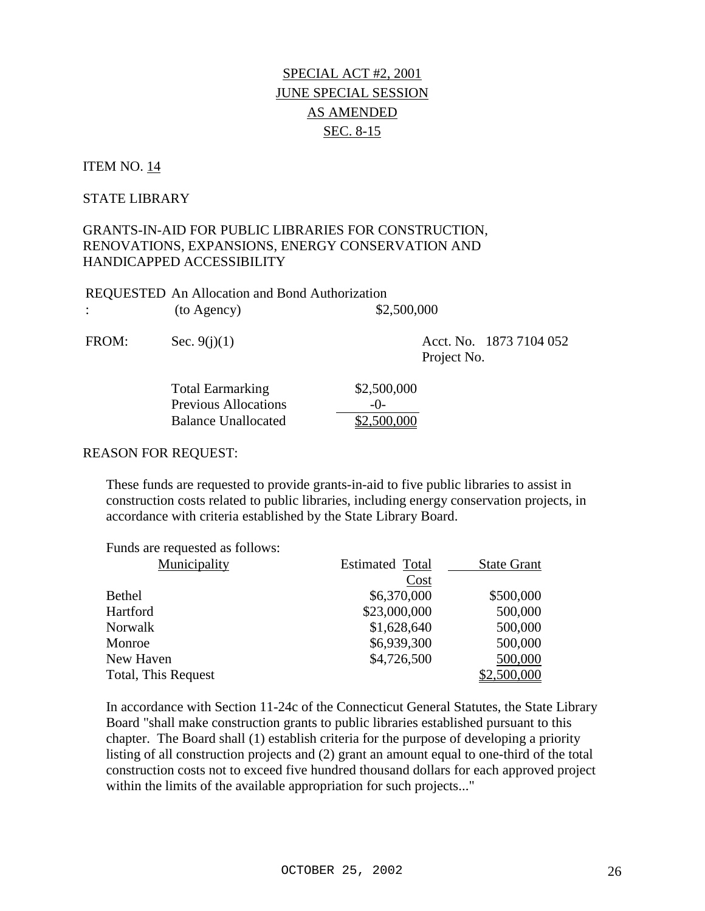### ITEM NO. 14

### STATE LIBRARY

# GRANTS-IN-AID FOR PUBLIC LIBRARIES FOR CONSTRUCTION, RENOVATIONS, EXPANSIONS, ENERGY CONSERVATION AND HANDICAPPED ACCESSIBILITY

| <b>REQUESTED</b> An Allocation and Bond Authorization |             |
|-------------------------------------------------------|-------------|
| (to Agency)                                           | \$2,500,000 |

FROM: Sec. 9(j)(1) Acct. No. 1873 7104 052 Project No.

| <b>Total Earmarking</b>     | \$2,500,000 |
|-----------------------------|-------------|
| <b>Previous Allocations</b> | $-()$       |
| Balance Unallocated         | \$2,500,000 |

#### REASON FOR REQUEST:

These funds are requested to provide grants-in-aid to five public libraries to assist in construction costs related to public libraries, including energy conservation projects, in accordance with criteria established by the State Library Board.

| Funds are requested as follows: |                        |                    |
|---------------------------------|------------------------|--------------------|
| Municipality                    | <b>Estimated Total</b> | <b>State Grant</b> |
|                                 | Cost                   |                    |
| <b>Bethel</b>                   | \$6,370,000            | \$500,000          |
| Hartford                        | \$23,000,000           | 500,000            |
| Norwalk                         | \$1,628,640            | 500,000            |
| Monroe                          | \$6,939,300            | 500,000            |
| New Haven                       | \$4,726,500            | 500,000            |
| Total, This Request             |                        | \$2,500,000        |

In accordance with Section 11-24c of the Connecticut General Statutes, the State Library Board "shall make construction grants to public libraries established pursuant to this chapter. The Board shall (1) establish criteria for the purpose of developing a priority listing of all construction projects and (2) grant an amount equal to one-third of the total construction costs not to exceed five hundred thousand dollars for each approved project within the limits of the available appropriation for such projects..."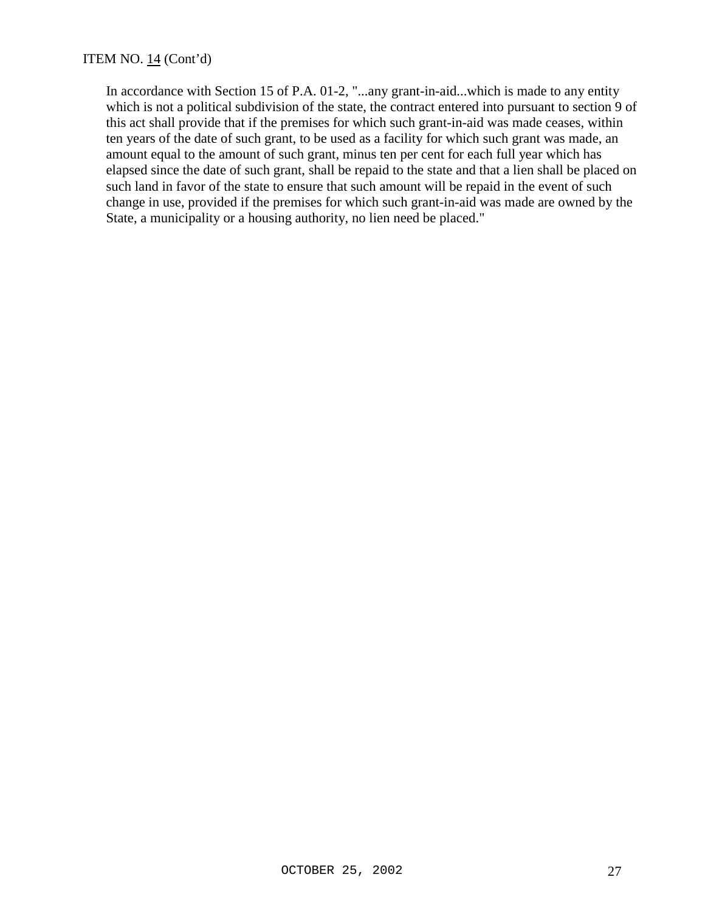In accordance with Section 15 of P.A. 01-2, "...any grant-in-aid...which is made to any entity which is not a political subdivision of the state, the contract entered into pursuant to section 9 of this act shall provide that if the premises for which such grant-in-aid was made ceases, within ten years of the date of such grant, to be used as a facility for which such grant was made, an amount equal to the amount of such grant, minus ten per cent for each full year which has elapsed since the date of such grant, shall be repaid to the state and that a lien shall be placed on such land in favor of the state to ensure that such amount will be repaid in the event of such change in use, provided if the premises for which such grant-in-aid was made are owned by the State, a municipality or a housing authority, no lien need be placed."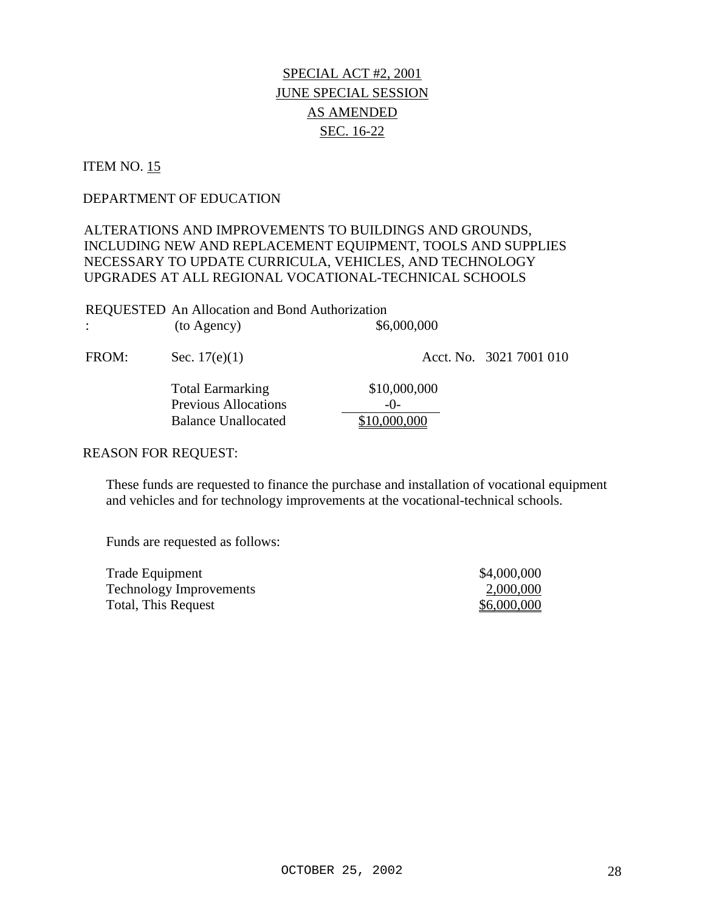### ITEM NO. 15

### DEPARTMENT OF EDUCATION

# ALTERATIONS AND IMPROVEMENTS TO BUILDINGS AND GROUNDS, INCLUDING NEW AND REPLACEMENT EQUIPMENT, TOOLS AND SUPPLIES NECESSARY TO UPDATE CURRICULA, VEHICLES, AND TECHNOLOGY UPGRADES AT ALL REGIONAL VOCATIONAL-TECHNICAL SCHOOLS

| <b>REQUESTED</b> An Allocation and Bond Authorization |             |
|-------------------------------------------------------|-------------|
| (to Agency)                                           | \$6,000,000 |

FROM: Sec. 17(e)(1) Acct. No. 3021 7001 010 Total Earmarking \$10,000,000 Previous Allocations -0-Balance Unallocated \$10,000,000

### REASON FOR REQUEST:

These funds are requested to finance the purchase and installation of vocational equipment and vehicles and for technology improvements at the vocational-technical schools.

| Trade Equipment                | \$4,000,000 |
|--------------------------------|-------------|
| <b>Technology Improvements</b> | 2,000,000   |
| Total, This Request            | \$6,000,000 |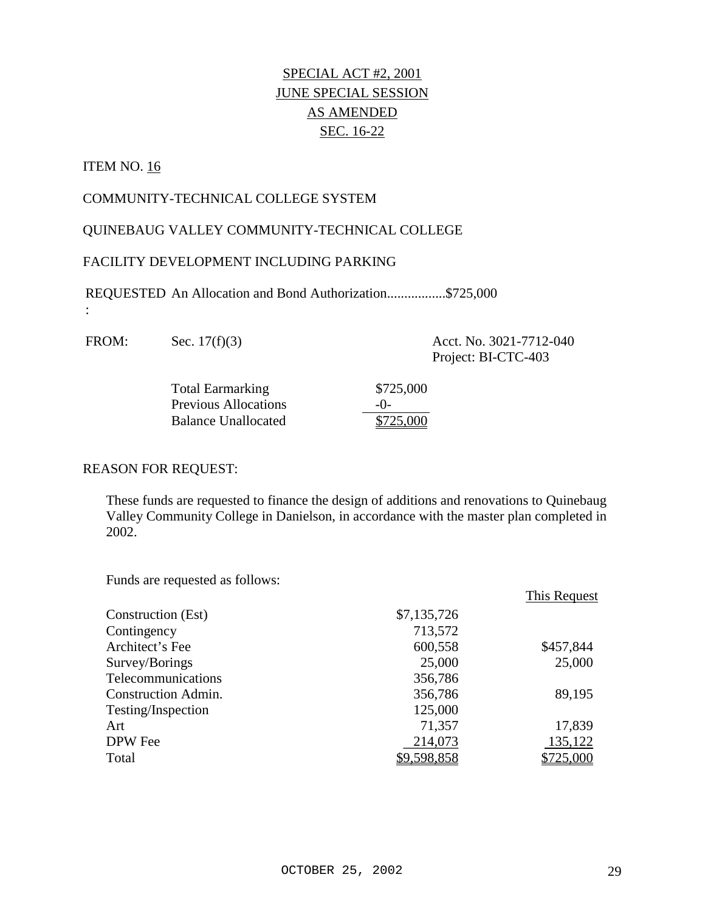# ITEM NO. 16

:

## COMMUNITY-TECHNICAL COLLEGE SYSTEM

### QUINEBAUG VALLEY COMMUNITY-TECHNICAL COLLEGE

### FACILITY DEVELOPMENT INCLUDING PARKING

REQUESTED An Allocation and Bond Authorization.................\$725,000

FROM: Sec. 17(f)(3) Acct. No. 3021-7712-040 Project: BI-CTC-403

| <b>Total Earmarking</b>     | \$725,000 |
|-----------------------------|-----------|
| <b>Previous Allocations</b> | $-()$     |
| <b>Balance Unallocated</b>  | \$725,000 |

### REASON FOR REQUEST:

These funds are requested to finance the design of additions and renovations to Quinebaug Valley Community College in Danielson, in accordance with the master plan completed in 2002.

|                     |             | This Request |
|---------------------|-------------|--------------|
| Construction (Est)  | \$7,135,726 |              |
| Contingency         | 713,572     |              |
| Architect's Fee     | 600,558     | \$457,844    |
| Survey/Borings      | 25,000      | 25,000       |
| Telecommunications  | 356,786     |              |
| Construction Admin. | 356,786     | 89,195       |
| Testing/Inspection  | 125,000     |              |
| Art                 | 71,357      | 17,839       |
| DPW Fee             | 214,073     | 135,122      |
| Total               | \$9,598,858 | \$725,000    |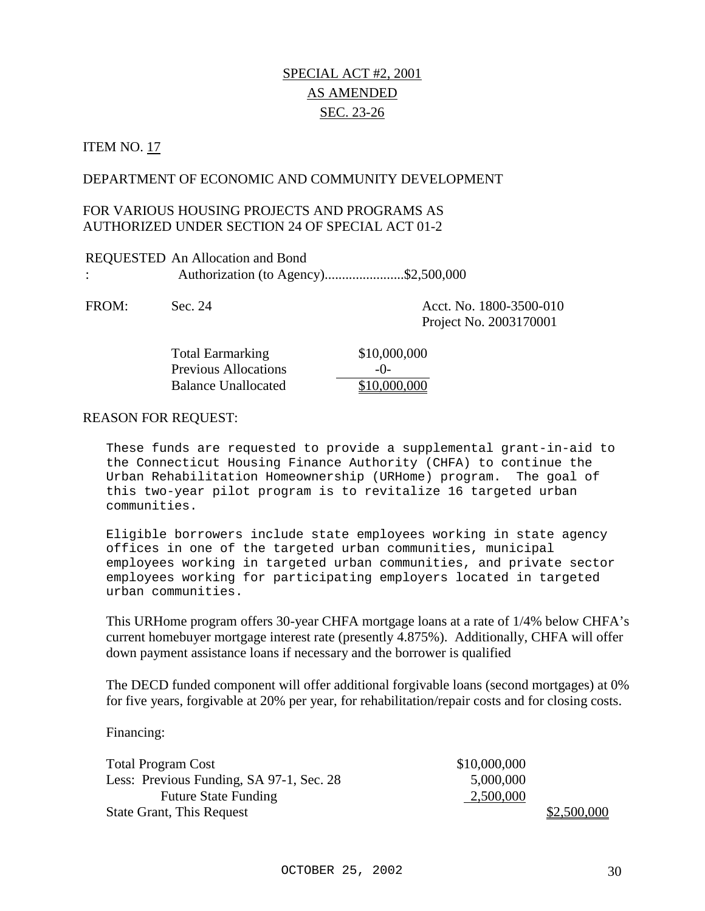# SPECIAL ACT #2, 2001 AS AMENDED SEC. 23-26

### **ITEM NO. 17**

### DEPARTMENT OF ECONOMIC AND COMMUNITY DEVELOPMENT

### FOR VARIOUS HOUSING PROJECTS AND PROGRAMS AS AUTHORIZED UNDER SECTION 24 OF SPECIAL ACT 01-2

| REQUESTED An Allocation and Bond     |  |
|--------------------------------------|--|
| Authorization (to Agency)\$2,500,000 |  |

FROM: Sec. 24 Acct. No. 1800-3500-010 Project No. 2003170001

| <b>Total Earmarking</b>     | \$10,00 |
|-----------------------------|---------|
| <b>Previous Allocations</b> | $-()$   |
| <b>Balance Unallocated</b>  | \$10,00 |

#### REASON FOR REQUEST:

These funds are requested to provide a supplemental grant-in-aid to the Connecticut Housing Finance Authority (CHFA) to continue the Urban Rehabilitation Homeownership (URHome) program. The goal of this two-year pilot program is to revitalize 16 targeted urban communities.

 $$10,000,000$ 

 $$10,000,000$ 

Eligible borrowers include state employees working in state agency offices in one of the targeted urban communities, municipal employees working in targeted urban communities, and private sector employees working for participating employers located in targeted urban communities.

This URHome program offers 30-year CHFA mortgage loans at a rate of 1/4% below CHFA's current homebuyer mortgage interest rate (presently 4.875%). Additionally, CHFA will offer down payment assistance loans if necessary and the borrower is qualified

The DECD funded component will offer additional forgivable loans (second mortgages) at 0% for five years, forgivable at 20% per year, for rehabilitation/repair costs and for closing costs.

Financing:

| <b>Total Program Cost</b>                | \$10,000,000 |
|------------------------------------------|--------------|
| Less: Previous Funding, SA 97-1, Sec. 28 | 5,000,000    |
| <b>Future State Funding</b>              | 2,500,000    |
| <b>State Grant, This Request</b>         | \$2,500,000  |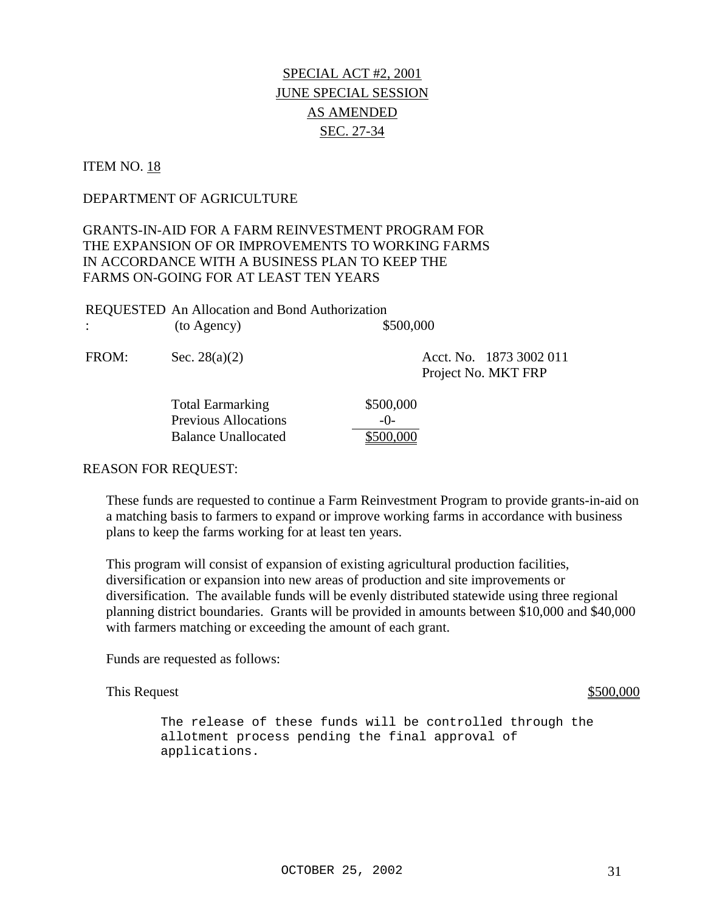# **ITEM NO. 18**

### DEPARTMENT OF AGRICULTURE

# GRANTS-IN-AID FOR A FARM REINVESTMENT PROGRAM FOR THE EXPANSION OF OR IMPROVEMENTS TO WORKING FARMS IN ACCORDANCE WITH A BUSINESS PLAN TO KEEP THE FARMS ON-GOING FOR AT LEAST TEN YEARS

|             | <b>REQUESTED</b> An Allocation and Bond Authorization |           |
|-------------|-------------------------------------------------------|-----------|
| (to Agency) |                                                       | \$500,000 |

FROM: Sec. 28(a)(2) Acct. No. 1873 3002 011 Project No. MKT FRP

| <b>Total Earmarking</b>     | \$500,000 |
|-----------------------------|-----------|
| <b>Previous Allocations</b> | $-()$     |
| <b>Balance Unallocated</b>  | \$500,000 |

### REASON FOR REQUEST:

These funds are requested to continue a Farm Reinvestment Program to provide grants-in-aid on a matching basis to farmers to expand or improve working farms in accordance with business plans to keep the farms working for at least ten years.

This program will consist of expansion of existing agricultural production facilities, diversification or expansion into new areas of production and site improvements or diversification. The available funds will be evenly distributed statewide using three regional planning district boundaries. Grants will be provided in amounts between \$10,000 and \$40,000 with farmers matching or exceeding the amount of each grant.

Funds are requested as follows:

This Request  $\frac{$500,000}{2}$ 

The release of these funds will be controlled through the allotment process pending the final approval of applications.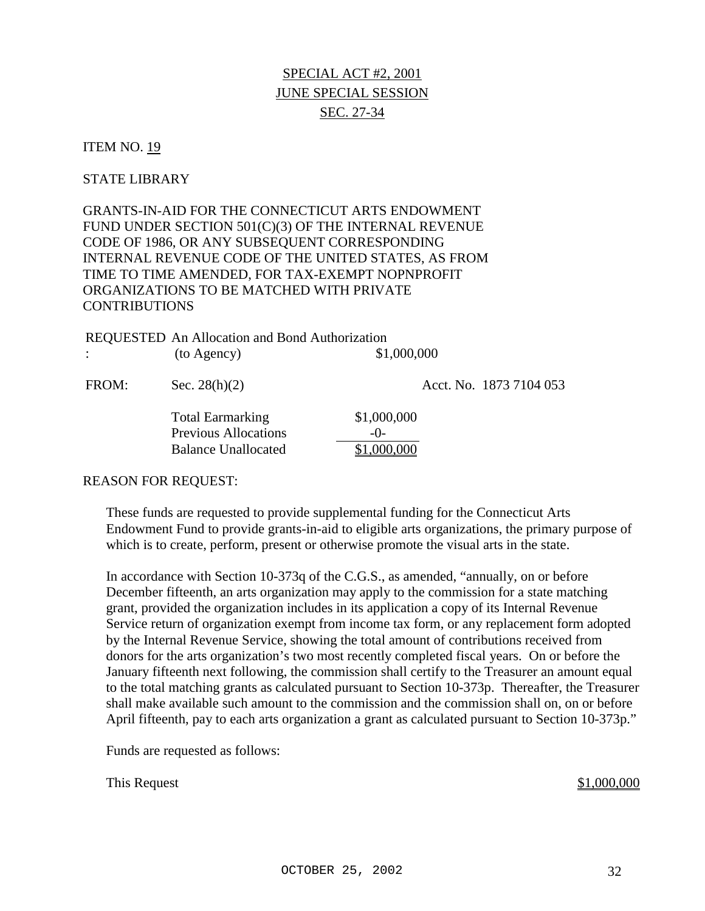# SPECIAL ACT #2, 2001 JUNE SPECIAL SESSION SEC. 27-34

### **ITEM NO. 19**

### STATE LIBRARY

GRANTS-IN-AID FOR THE CONNECTICUT ARTS ENDOWMENT FUND UNDER SECTION 501(C)(3) OF THE INTERNAL REVENUE CODE OF 1986, OR ANY SUBSEQUENT CORRESPONDING INTERNAL REVENUE CODE OF THE UNITED STATES, AS FROM TIME TO TIME AMENDED, FOR TAX-EXEMPT NOPNPROFIT ORGANIZATIONS TO BE MATCHED WITH PRIVATE CONTRIBUTIONS

|                      | REQUESTED An Allocation and Bond Authorization                                       |                                       |                         |
|----------------------|--------------------------------------------------------------------------------------|---------------------------------------|-------------------------|
| $\ddot{\phantom{a}}$ | (to Agency)                                                                          | \$1,000,000                           |                         |
| FROM:                | Sec. $28(h)(2)$                                                                      |                                       | Acct. No. 1873 7104 053 |
|                      | <b>Total Earmarking</b><br><b>Previous Allocations</b><br><b>Balance Unallocated</b> | \$1,000,000<br>$-()$ -<br>$000,000$ . |                         |

#### REASON FOR REQUEST:

These funds are requested to provide supplemental funding for the Connecticut Arts Endowment Fund to provide grants-in-aid to eligible arts organizations, the primary purpose of which is to create, perform, present or otherwise promote the visual arts in the state.

In accordance with Section 10-373q of the C.G.S., as amended, "annually, on or before December fifteenth, an arts organization may apply to the commission for a state matching grant, provided the organization includes in its application a copy of its Internal Revenue Service return of organization exempt from income tax form, or any replacement form adopted by the Internal Revenue Service, showing the total amount of contributions received from donors for the arts organization's two most recently completed fiscal years. On or before the January fifteenth next following, the commission shall certify to the Treasurer an amount equal to the total matching grants as calculated pursuant to Section 10-373p. Thereafter, the Treasurer shall make available such amount to the commission and the commission shall on, on or before April fifteenth, pay to each arts organization a grant as calculated pursuant to Section 10-373p."

Funds are requested as follows:

This Request  $\frac{$1,000,000}{2}$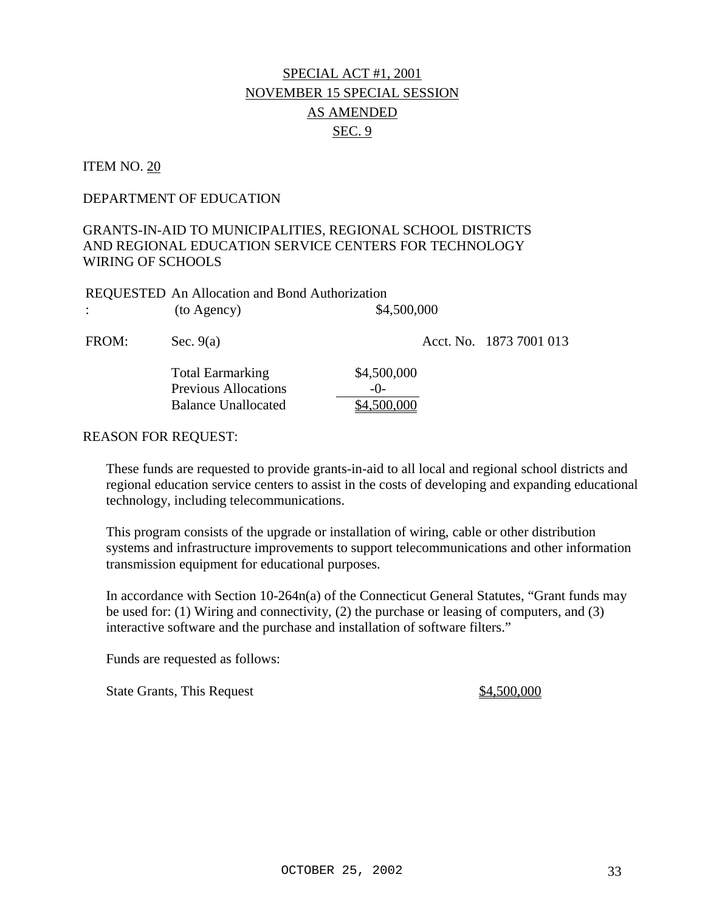# SPECIAL ACT #1, 2001 NOVEMBER 15 SPECIAL SESSION AS AMENDED SEC. 9

### ITEM NO. 20

### DEPARTMENT OF EDUCATION

# GRANTS-IN-AID TO MUNICIPALITIES, REGIONAL SCHOOL DISTRICTS AND REGIONAL EDUCATION SERVICE CENTERS FOR TECHNOLOGY WIRING OF SCHOOLS

FROM: Sec. 9(a) Acct. No. 1873 7001 013

| <b>REQUESTED</b> An Allocation and Bond Authorization |             |
|-------------------------------------------------------|-------------|
| (to Agency)                                           | \$4,500,000 |
|                                                       |             |

Total Earmarking \$4,500,000 Previous Allocations -0-Balance Unallocated \$4,500,000

### REASON FOR REQUEST:

These funds are requested to provide grants-in-aid to all local and regional school districts and regional education service centers to assist in the costs of developing and expanding educational technology, including telecommunications.

This program consists of the upgrade or installation of wiring, cable or other distribution systems and infrastructure improvements to support telecommunications and other information transmission equipment for educational purposes.

In accordance with Section 10-264n(a) of the Connecticut General Statutes, "Grant funds may be used for: (1) Wiring and connectivity, (2) the purchase or leasing of computers, and (3) interactive software and the purchase and installation of software filters."

Funds are requested as follows:

State Grants, This Request  $\frac{$4,500,000}{2}$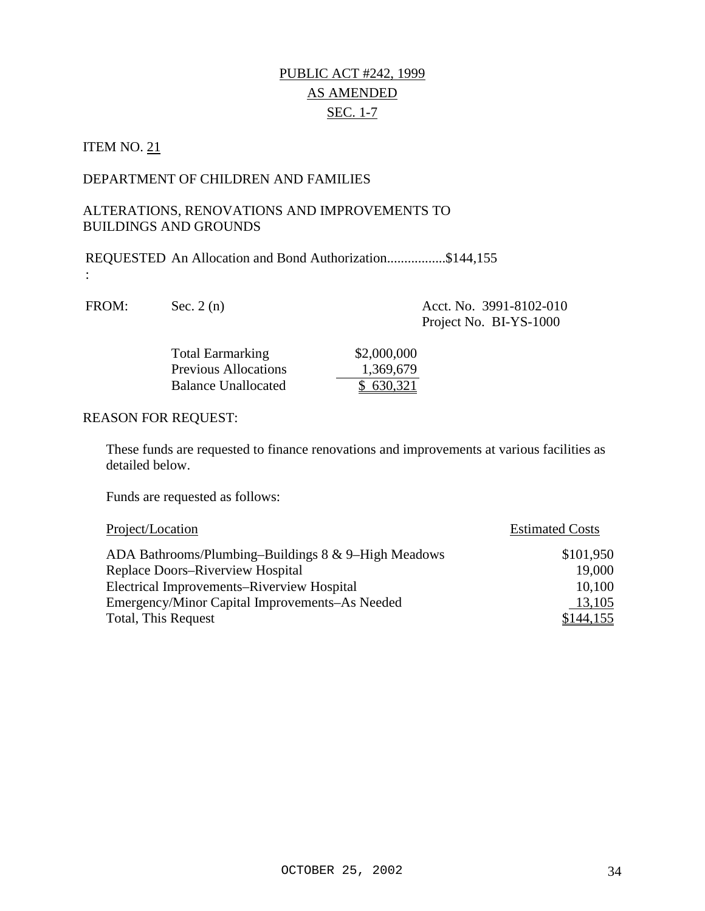# PUBLIC ACT #242, 1999 AS AMENDED SEC. 1-7

# ITEM NO. 21

# DEPARTMENT OF CHILDREN AND FAMILIES

### ALTERATIONS, RENOVATIONS AND IMPROVEMENTS TO BUILDINGS AND GROUNDS

REQUESTED An Allocation and Bond Authorization.................\$144,155 :

| FROM: | Sec. $2(n)$             | Acct. No. 3991-8102-010<br>Project No. BI-YS-1000 |
|-------|-------------------------|---------------------------------------------------|
|       | <b>Total Earmarking</b> | \$2,000,000                                       |

| Total Earmarking            | \$2,000,000 |
|-----------------------------|-------------|
| <b>Previous Allocations</b> | 1,369,679   |
| Balance Unallocated         | \$630,321   |

### REASON FOR REQUEST:

These funds are requested to finance renovations and improvements at various facilities as detailed below.

| Project/Location                                    | <b>Estimated Costs</b> |  |
|-----------------------------------------------------|------------------------|--|
| ADA Bathrooms/Plumbing-Buildings 8 & 9-High Meadows | \$101,950              |  |
| Replace Doors-Riverview Hospital                    | 19,000                 |  |
| Electrical Improvements–Riverview Hospital          | 10,100                 |  |
| Emergency/Minor Capital Improvements–As Needed      | 13,105                 |  |
| Total, This Request                                 | \$144,155              |  |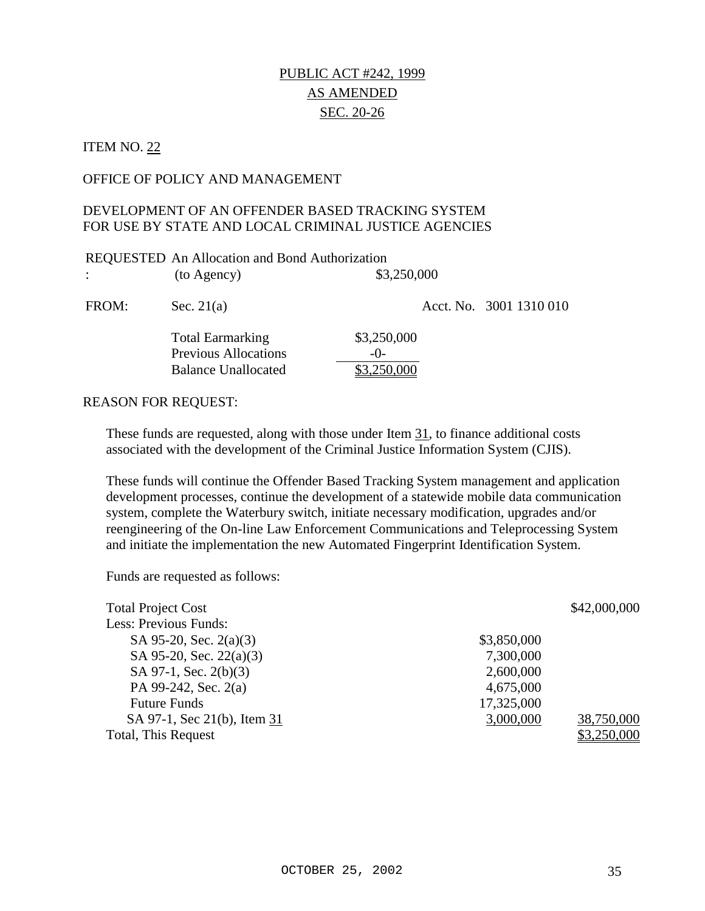# PUBLIC ACT #242, 1999 AS AMENDED SEC. 20-26

### **ITEM NO. 22**

### OFFICE OF POLICY AND MANAGEMENT

# DEVELOPMENT OF AN OFFENDER BASED TRACKING SYSTEM FOR USE BY STATE AND LOCAL CRIMINAL JUSTICE AGENCIES

|                      | REQUESTED An Allocation and Bond Authorization                                       |                      |                         |
|----------------------|--------------------------------------------------------------------------------------|----------------------|-------------------------|
| $\ddot{\phantom{a}}$ | (to Agency)                                                                          | \$3,250,000          |                         |
| FROM:                | Sec. $21(a)$                                                                         |                      | Acct. No. 3001 1310 010 |
|                      | <b>Total Earmarking</b><br><b>Previous Allocations</b><br><b>Balance Unallocated</b> | \$3,250,000<br>$-()$ |                         |

#### REASON FOR REQUEST:

These funds are requested, along with those under Item 31, to finance additional costs associated with the development of the Criminal Justice Information System (CJIS).

These funds will continue the Offender Based Tracking System management and application development processes, continue the development of a statewide mobile data communication system, complete the Waterbury switch, initiate necessary modification, upgrades and/or reengineering of the On-line Law Enforcement Communications and Teleprocessing System and initiate the implementation the new Automated Fingerprint Identification System.

| <b>Total Project Cost</b>   |             | \$42,000,000 |
|-----------------------------|-------------|--------------|
| Less: Previous Funds:       |             |              |
| SA 95-20, Sec. $2(a)(3)$    | \$3,850,000 |              |
| SA 95-20, Sec. 22(a)(3)     | 7,300,000   |              |
| SA 97-1, Sec. 2(b)(3)       | 2,600,000   |              |
| PA 99-242, Sec. 2(a)        | 4,675,000   |              |
| <b>Future Funds</b>         | 17,325,000  |              |
| SA 97-1, Sec 21(b), Item 31 | 3,000,000   | 38,750,000   |
| <b>Total, This Request</b>  |             | \$3,250,000  |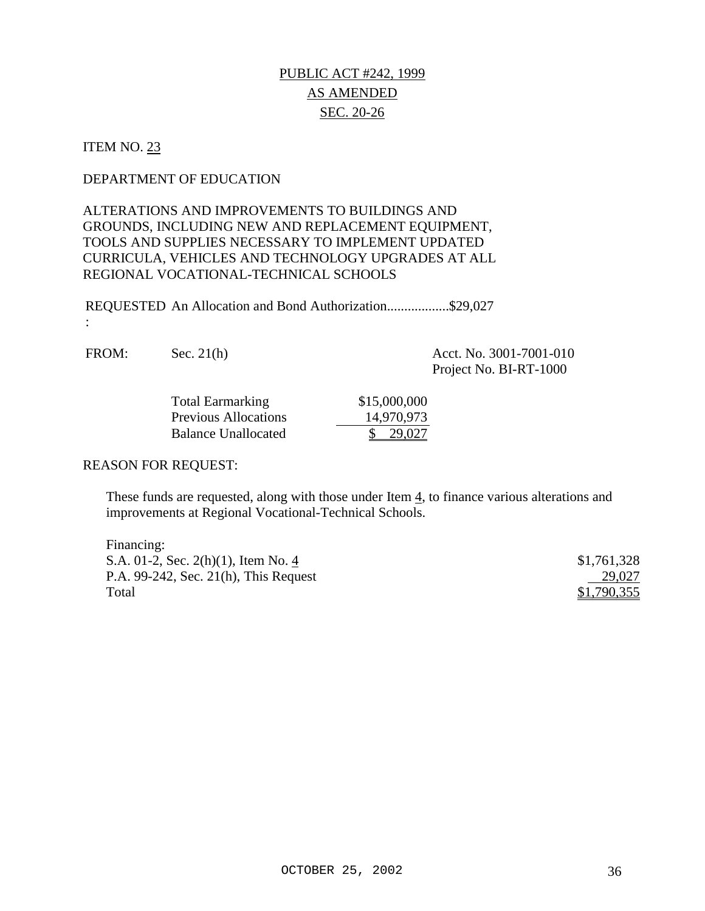# PUBLIC ACT #242, 1999 AS AMENDED SEC. 20-26

# ITEM NO. 23

:

### DEPARTMENT OF EDUCATION

# ALTERATIONS AND IMPROVEMENTS TO BUILDINGS AND GROUNDS, INCLUDING NEW AND REPLACEMENT EQUIPMENT, TOOLS AND SUPPLIES NECESSARY TO IMPLEMENT UPDATED CURRICULA, VEHICLES AND TECHNOLOGY UPGRADES AT ALL REGIONAL VOCATIONAL-TECHNICAL SCHOOLS

REQUESTED An Allocation and Bond Authorization..................\$29,027

| FROM: | Sec. $21$ ( $\frac{1}{2}$ ) |  |  |
|-------|-----------------------------|--|--|
|-------|-----------------------------|--|--|

 $\text{A}$ (h)  $\text{A}$ (ct. No. 3001-7001-010 Project No. BI-RT-1000

| <b>Total Earmarking</b>     | \$15,000,000 |
|-----------------------------|--------------|
| <b>Previous Allocations</b> | 14,970,973   |
| <b>Balance Unallocated</b>  | 29.027       |

#### REASON FOR REQUEST:

These funds are requested, along with those under Item 4, to finance various alterations and improvements at Regional Vocational-Technical Schools.

| Financing:                                  |             |
|---------------------------------------------|-------------|
| S.A. 01-2, Sec. 2(h)(1), Item No. 4         | \$1,761,328 |
| P.A. $99-242$ , Sec. $21(h)$ , This Request | 29,027      |
| Total                                       | \$1,790,355 |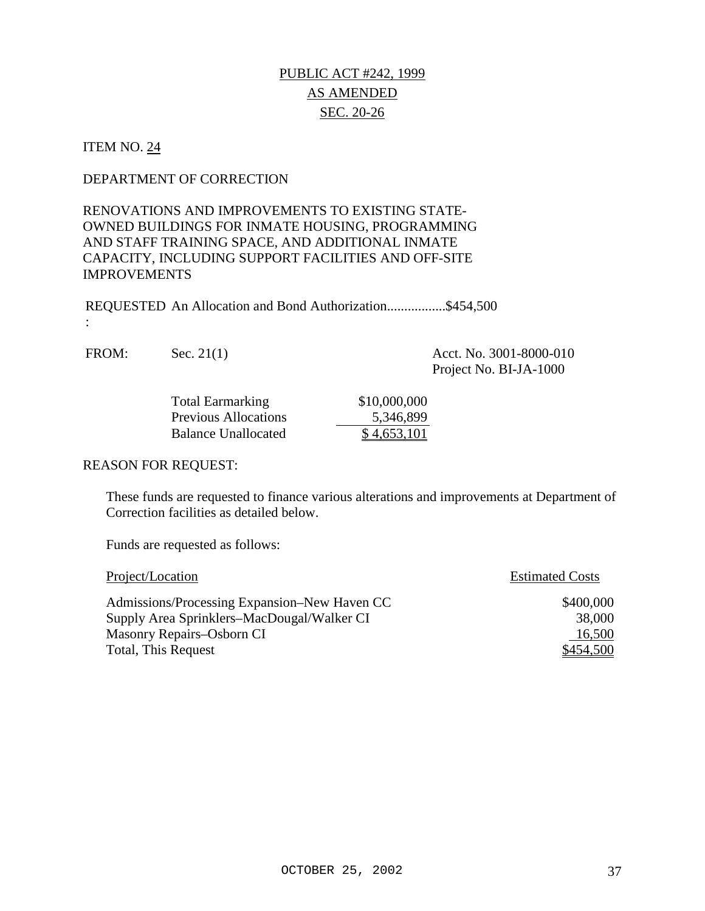# PUBLIC ACT #242, 1999 AS AMENDED SEC. 20-26

#### ITEM NO. 24

#### DEPARTMENT OF CORRECTION

## RENOVATIONS AND IMPROVEMENTS TO EXISTING STATE-OWNED BUILDINGS FOR INMATE HOUSING, PROGRAMMING AND STAFF TRAINING SPACE, AND ADDITIONAL INMATE CAPACITY, INCLUDING SUPPORT FACILITIES AND OFF-SITE IMPROVEMENTS

REQUESTED An Allocation and Bond Authorization.................\$454,500

:

FROM: Sec. 21(1) Acct. No. 3001-8000-010 Project No. BI-JA-1000

| <b>Total Earmarking</b>     | \$10,000,000 |
|-----------------------------|--------------|
| <b>Previous Allocations</b> | 5,346,899    |
| <b>Balance Unallocated</b>  | \$4,653,101  |

#### REASON FOR REQUEST:

These funds are requested to finance various alterations and improvements at Department of Correction facilities as detailed below.

| Project/Location                             | <b>Estimated Costs</b> |
|----------------------------------------------|------------------------|
| Admissions/Processing Expansion–New Haven CC | \$400,000              |
| Supply Area Sprinklers–MacDougal/Walker CI   | 38,000                 |
| Masonry Repairs–Osborn CI                    | 16,500                 |
| Total, This Request                          | \$454,500              |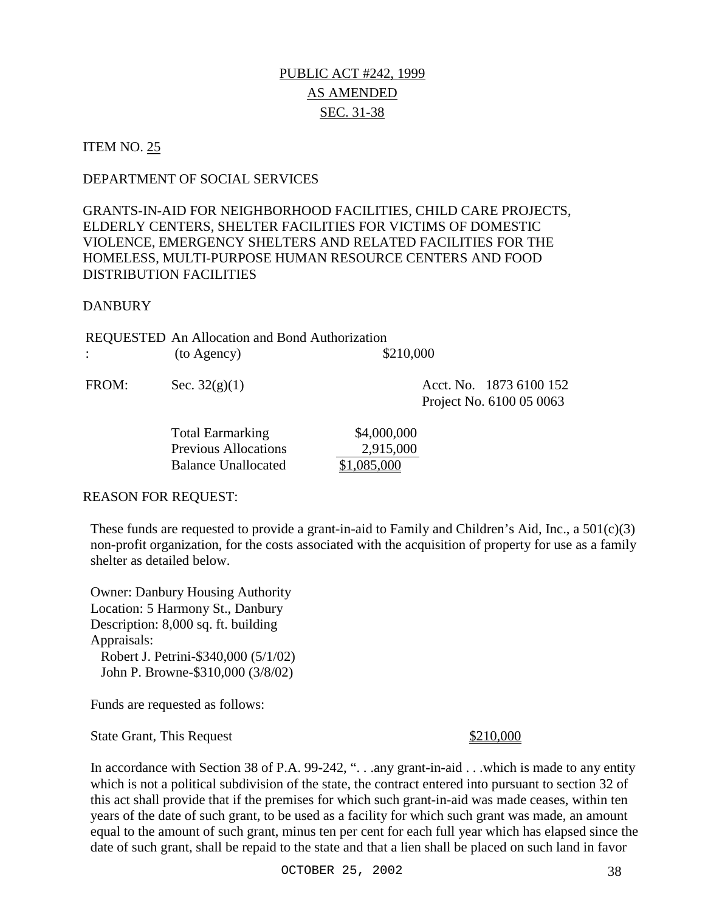## PUBLIC ACT #242, 1999 AS AMENDED SEC. 31-38

#### **ITEM NO. 25**

#### DEPARTMENT OF SOCIAL SERVICES

## GRANTS-IN-AID FOR NEIGHBORHOOD FACILITIES, CHILD CARE PROJECTS, ELDERLY CENTERS, SHELTER FACILITIES FOR VICTIMS OF DOMESTIC VIOLENCE, EMERGENCY SHELTERS AND RELATED FACILITIES FOR THE HOMELESS, MULTI-PURPOSE HUMAN RESOURCE CENTERS AND FOOD DISTRIBUTION FACILITIES

#### DANBURY

|       | <b>REQUESTED</b> An Allocation and Bond Authorization |           |                         |
|-------|-------------------------------------------------------|-----------|-------------------------|
|       | (to Agency)                                           | \$210,000 |                         |
| FROM: | Sec. $32(g)(1)$                                       |           | Acct. No. 1873 6100 152 |

 Project No. 6100 05 0063 Total Earmarking \$4,000,000

 Previous Allocations 2,915,000 Balance Unallocated \$1,085,000

#### REASON FOR REQUEST:

These funds are requested to provide a grant-in-aid to Family and Children's Aid, Inc., a  $501(c)(3)$ non-profit organization, for the costs associated with the acquisition of property for use as a family shelter as detailed below.

Owner: Danbury Housing Authority Location: 5 Harmony St., Danbury Description: 8,000 sq. ft. building Appraisals: Robert J. Petrini-\$340,000 (5/1/02) John P. Browne-\$310,000 (3/8/02)

Funds are requested as follows:

State Grant, This Request \$210,000

In accordance with Section 38 of P.A. 99-242, "...any grant-in-aid ... which is made to any entity which is not a political subdivision of the state, the contract entered into pursuant to section 32 of this act shall provide that if the premises for which such grant-in-aid was made ceases, within ten years of the date of such grant, to be used as a facility for which such grant was made, an amount equal to the amount of such grant, minus ten per cent for each full year which has elapsed since the date of such grant, shall be repaid to the state and that a lien shall be placed on such land in favor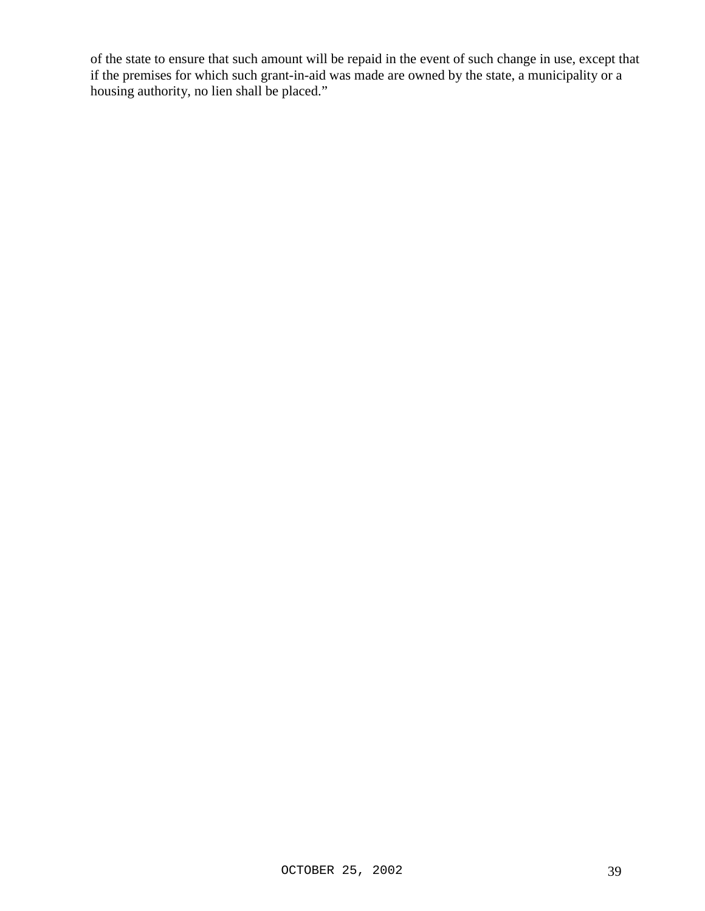of the state to ensure that such amount will be repaid in the event of such change in use, except that if the premises for which such grant-in-aid was made are owned by the state, a municipality or a housing authority, no lien shall be placed."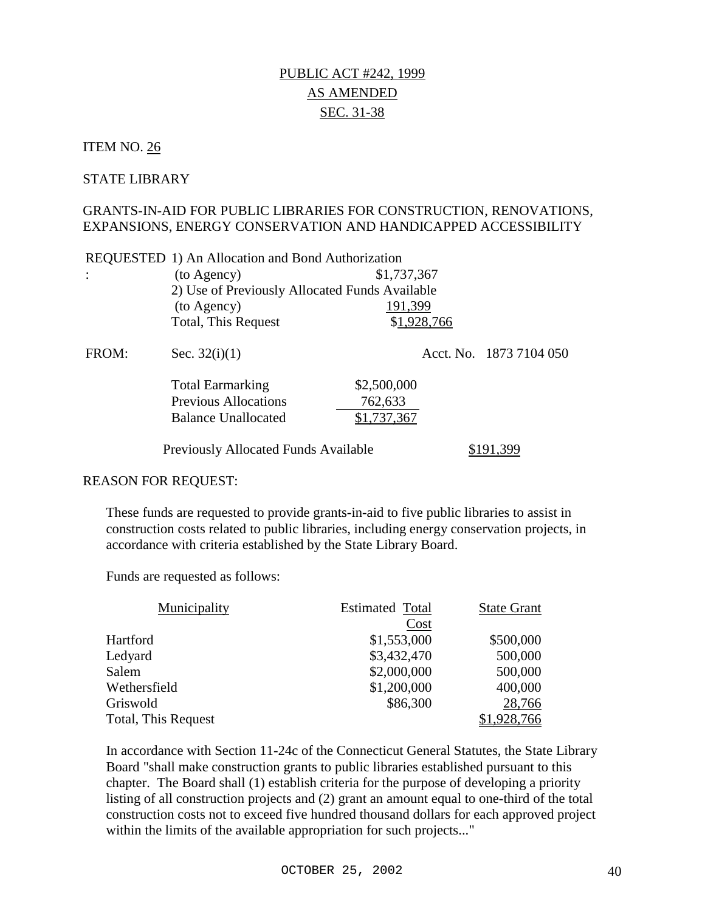## PUBLIC ACT #242, 1999 AS AMENDED SEC. 31-38

#### ITEM NO. 26

:

#### STATE LIBRARY

#### GRANTS-IN-AID FOR PUBLIC LIBRARIES FOR CONSTRUCTION, RENOVATIONS, EXPANSIONS, ENERGY CONSERVATION AND HANDICAPPED ACCESSIBILITY

| (to Agency)                                    | \$1,737,367 |
|------------------------------------------------|-------------|
| 2) Use of Previously Allocated Funds Available |             |
| (to Agency)                                    | 191,399     |
| Total, This Request                            | \$1,928,766 |

| FROM: | Sec. $32(i)(1)$                                                                      |                                       | Acct. No. 1873 7104 050 |
|-------|--------------------------------------------------------------------------------------|---------------------------------------|-------------------------|
|       | <b>Total Earmarking</b><br><b>Previous Allocations</b><br><b>Balance Unallocated</b> | \$2,500,000<br>762,633<br>\$1,737,367 |                         |
|       | <b>Previously Allocated Funds Available</b>                                          |                                       | 399                     |

#### REASON FOR REQUEST:

These funds are requested to provide grants-in-aid to five public libraries to assist in construction costs related to public libraries, including energy conservation projects, in accordance with criteria established by the State Library Board.

Funds are requested as follows:

| Municipality        | <b>Estimated Total</b> | <b>State Grant</b> |
|---------------------|------------------------|--------------------|
|                     | Cost                   |                    |
| Hartford            | \$1,553,000            | \$500,000          |
| Ledyard             | \$3,432,470            | 500,000            |
| Salem               | \$2,000,000            | 500,000            |
| Wethersfield        | \$1,200,000            | 400,000            |
| Griswold            | \$86,300               | 28,766             |
| Total, This Request |                        | ,928,766           |

In accordance with Section 11-24c of the Connecticut General Statutes, the State Library Board "shall make construction grants to public libraries established pursuant to this chapter. The Board shall (1) establish criteria for the purpose of developing a priority listing of all construction projects and (2) grant an amount equal to one-third of the total construction costs not to exceed five hundred thousand dollars for each approved project within the limits of the available appropriation for such projects..."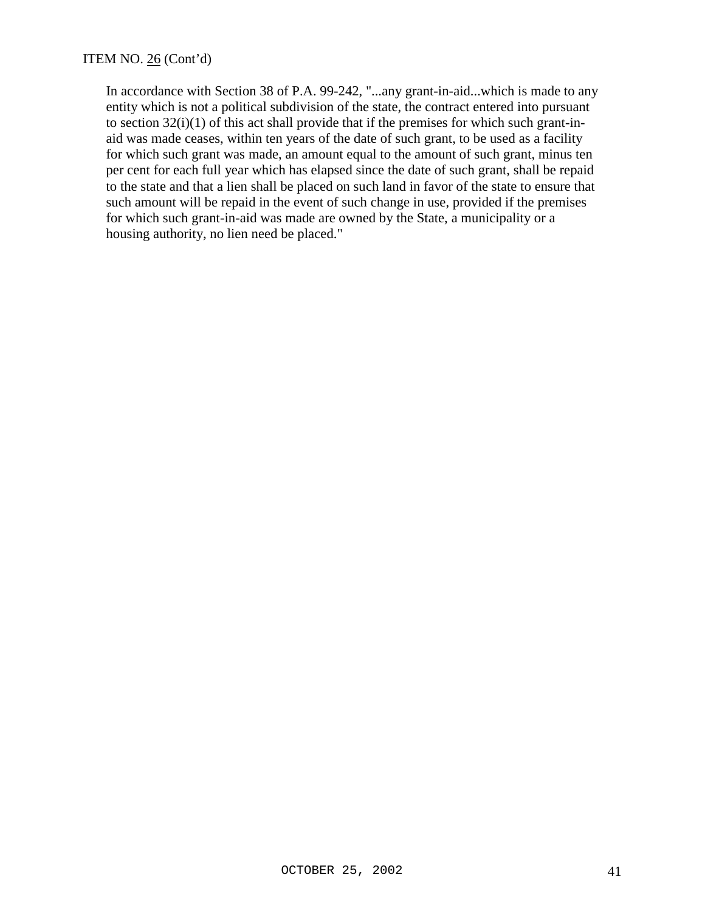In accordance with Section 38 of P.A. 99-242, "...any grant-in-aid...which is made to any entity which is not a political subdivision of the state, the contract entered into pursuant to section 32(i)(1) of this act shall provide that if the premises for which such grant-inaid was made ceases, within ten years of the date of such grant, to be used as a facility for which such grant was made, an amount equal to the amount of such grant, minus ten per cent for each full year which has elapsed since the date of such grant, shall be repaid to the state and that a lien shall be placed on such land in favor of the state to ensure that such amount will be repaid in the event of such change in use, provided if the premises for which such grant-in-aid was made are owned by the State, a municipality or a housing authority, no lien need be placed."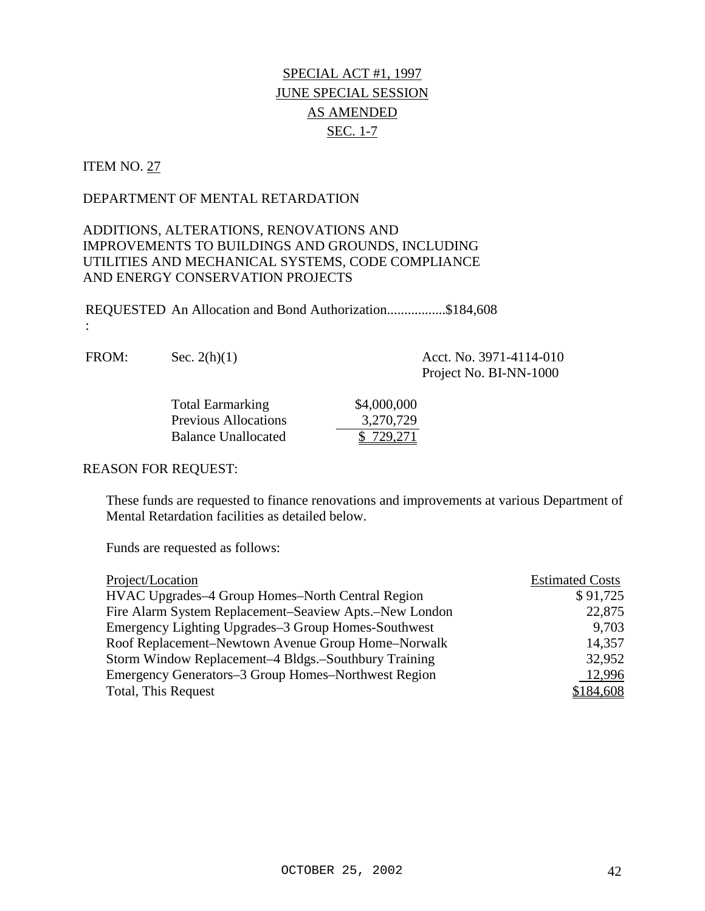# SPECIAL ACT #1, 1997 JUNE SPECIAL SESSION AS AMENDED SEC. 1-7

## ITEM NO. 27

:

#### DEPARTMENT OF MENTAL RETARDATION

## ADDITIONS, ALTERATIONS, RENOVATIONS AND IMPROVEMENTS TO BUILDINGS AND GROUNDS, INCLUDING UTILITIES AND MECHANICAL SYSTEMS, CODE COMPLIANCE AND ENERGY CONSERVATION PROJECTS

REQUESTED An Allocation and Bond Authorization.................\$184,608

| FROM: | Sec. $2(h)(1)$ | Acct. No. 3971-4114-010<br>Project No. BI-NN-1000 |
|-------|----------------|---------------------------------------------------|
|       | Total Lemma    | $A$ and and                                       |

| <b>Total Earmarking</b>     | \$4,000,000 |
|-----------------------------|-------------|
| <b>Previous Allocations</b> | 3,270,729   |
| Balance Unallocated         | \$729,271   |

#### REASON FOR REQUEST:

These funds are requested to finance renovations and improvements at various Department of Mental Retardation facilities as detailed below.

| Project/Location                                       | <b>Estimated Costs</b> |
|--------------------------------------------------------|------------------------|
| HVAC Upgrades-4 Group Homes-North Central Region       | \$91,725               |
| Fire Alarm System Replacement–Seaview Apts.–New London | 22,875                 |
| Emergency Lighting Upgrades–3 Group Homes-Southwest    | 9,703                  |
| Roof Replacement–Newtown Avenue Group Home–Norwalk     | 14,357                 |
| Storm Window Replacement–4 Bldgs.–Southbury Training   | 32,952                 |
| Emergency Generators-3 Group Homes-Northwest Region    | 12,996                 |
| Total, This Request                                    | \$184,608              |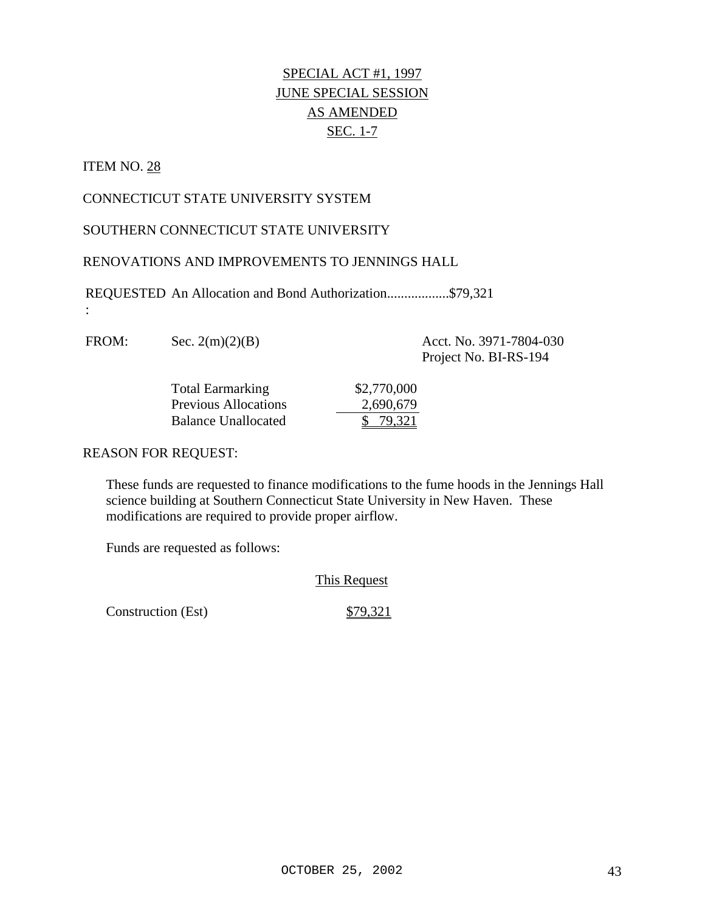# SPECIAL ACT #1, 1997 JUNE SPECIAL SESSION AS AMENDED SEC. 1-7

#### ITEM NO. 28

:

#### CONNECTICUT STATE UNIVERSITY SYSTEM

## SOUTHERN CONNECTICUT STATE UNIVERSITY

#### RENOVATIONS AND IMPROVEMENTS TO JENNINGS HALL

REQUESTED An Allocation and Bond Authorization..................\$79,321

FROM: Sec. 2(m)(2)(B) Acct. No. 3971-7804-030

Project No. BI-RS-194

| <b>Total Earmarking</b>     | \$2,770,000 |
|-----------------------------|-------------|
| <b>Previous Allocations</b> | 2,690,679   |
| <b>Balance Unallocated</b>  | \$79,321    |

#### REASON FOR REQUEST:

These funds are requested to finance modifications to the fume hoods in the Jennings Hall science building at Southern Connecticut State University in New Haven. These modifications are required to provide proper airflow.

Funds are requested as follows:

#### This Request

Construction (Est) \$79,321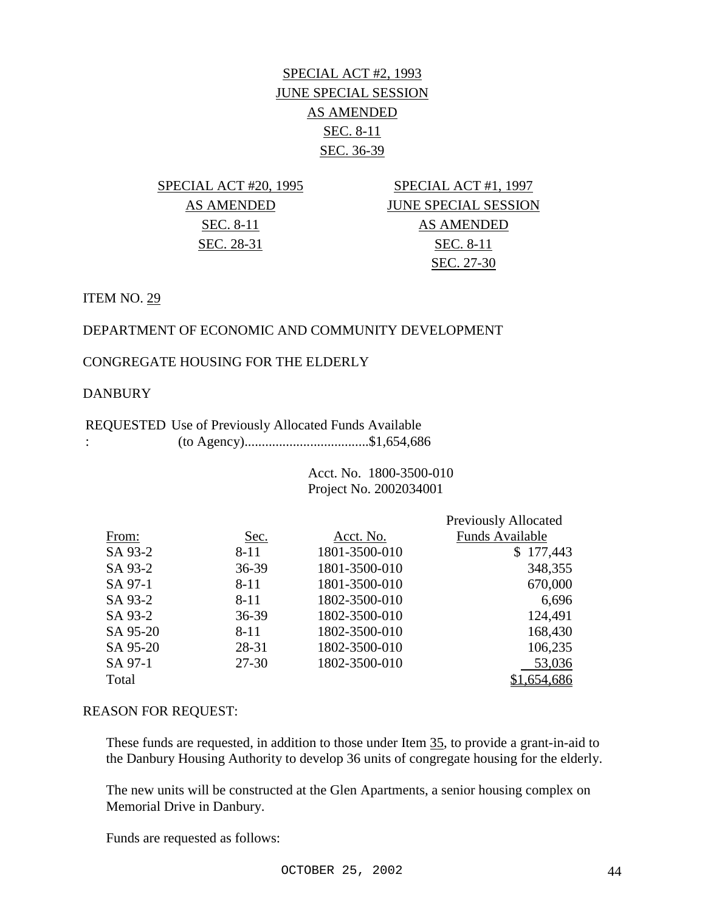# SPECIAL ACT #2, 1993 JUNE SPECIAL SESSION AS AMENDED SEC. 8-11 SEC. 36-39

SPECIAL ACT #20, 1995 SPECIAL ACT #1, 1997 AS AMENDED JUNE SPECIAL SESSION SEC. 8-11 AS AMENDED SEC. 28-31 SEC. 8-11 SEC. 27-30

ITEM NO. 29

## DEPARTMENT OF ECONOMIC AND COMMUNITY DEVELOPMENT

## CONGREGATE HOUSING FOR THE ELDERLY

#### DANBURY

#### REQUESTED Use of Previously Allocated Funds Available : (to Agency)....................................\$1,654,686

 Acct. No. 1800-3500-010 Project No. 2002034001

|          |           |               | <b>Previously Allocated</b> |
|----------|-----------|---------------|-----------------------------|
| From:    | Sec.      | Acct. No.     | <b>Funds Available</b>      |
| SA 93-2  | $8 - 11$  | 1801-3500-010 | \$177,443                   |
| SA 93-2  | 36-39     | 1801-3500-010 | 348,355                     |
| SA 97-1  | $8 - 11$  | 1801-3500-010 | 670,000                     |
| SA 93-2  | $8 - 11$  | 1802-3500-010 | 6,696                       |
| SA 93-2  | 36-39     | 1802-3500-010 | 124,491                     |
| SA 95-20 | $8 - 11$  | 1802-3500-010 | 168,430                     |
| SA 95-20 | 28-31     | 1802-3500-010 | 106,235                     |
| SA 97-1  | $27 - 30$ | 1802-3500-010 | 53,036                      |
| Total    |           |               | \$1,654,686                 |

#### REASON FOR REQUEST:

These funds are requested, in addition to those under Item 35, to provide a grant-in-aid to the Danbury Housing Authority to develop 36 units of congregate housing for the elderly.

The new units will be constructed at the Glen Apartments, a senior housing complex on Memorial Drive in Danbury.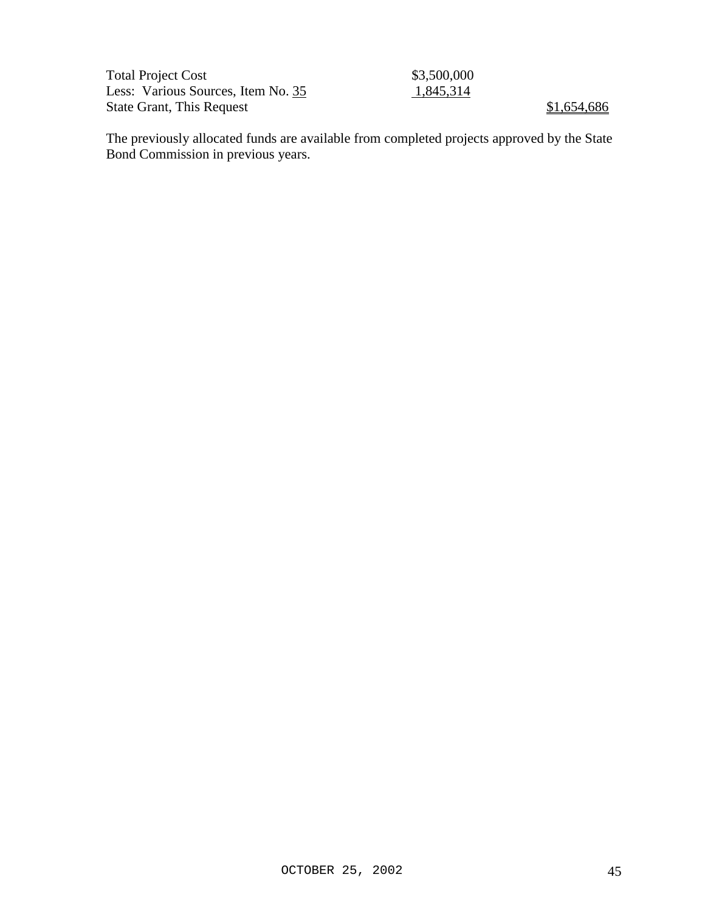| <b>Total Project Cost</b>          | \$3,500,000 |             |
|------------------------------------|-------------|-------------|
| Less: Various Sources, Item No. 35 | 1,845,314   |             |
| <b>State Grant, This Request</b>   |             | \$1,654,686 |

The previously allocated funds are available from completed projects approved by the State Bond Commission in previous years.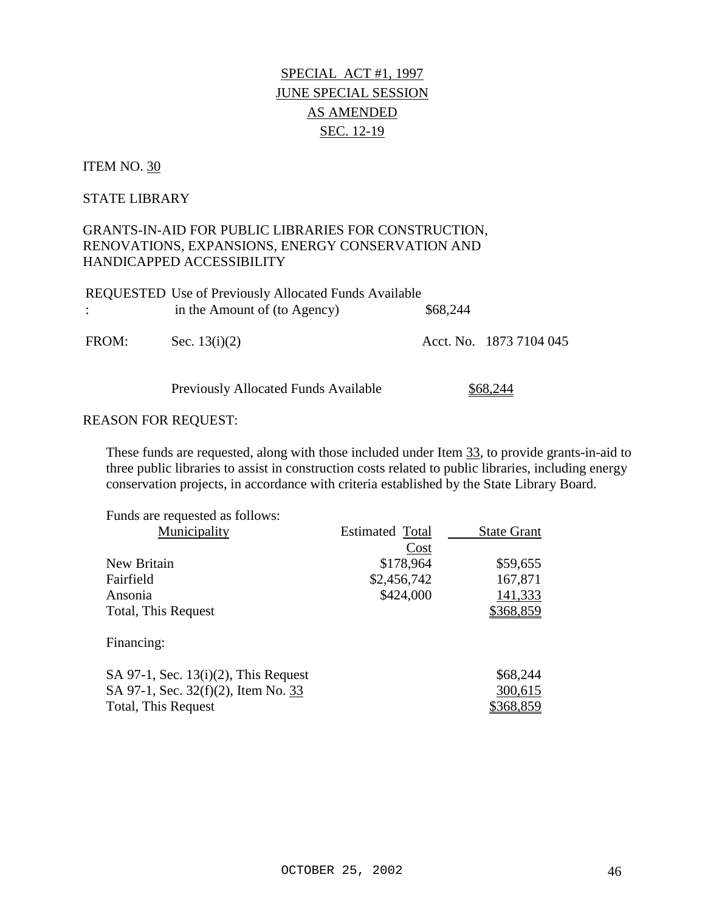# SPECIAL ACT #1, 1997 JUNE SPECIAL SESSION AS AMENDED SEC. 12-19

#### ITEM NO. 30

#### STATE LIBRARY

## GRANTS-IN-AID FOR PUBLIC LIBRARIES FOR CONSTRUCTION, RENOVATIONS, EXPANSIONS, ENERGY CONSERVATION AND HANDICAPPED ACCESSIBILITY

|       | <b>REQUESTED Use of Previously Allocated Funds Available</b> |          |                         |
|-------|--------------------------------------------------------------|----------|-------------------------|
|       | in the Amount of (to Agency)                                 | \$68,244 |                         |
| FROM: | Sec. $13(i)(2)$                                              |          | Acct. No. 1873 7104 045 |

Previously Allocated Funds Available \$68,244

#### REASON FOR REQUEST:

These funds are requested, along with those included under Item 33, to provide grants-in-aid to three public libraries to assist in construction costs related to public libraries, including energy conservation projects, in accordance with criteria established by the State Library Board.

| Funds are requested as follows:         |                        |                    |
|-----------------------------------------|------------------------|--------------------|
| Municipality                            | <b>Estimated Total</b> | <b>State Grant</b> |
|                                         | Cost                   |                    |
| New Britain                             | \$178,964              | \$59,655           |
| Fairfield                               | \$2,456,742            | 167,871            |
| Ansonia                                 | \$424,000              | 141,333            |
| Total, This Request                     |                        | \$368,859          |
| Financing:                              |                        |                    |
| SA 97-1, Sec. $13(i)(2)$ , This Request |                        | \$68,244           |
| SA 97-1, Sec. 32(f)(2), Item No. 33     |                        | 300,615            |
| Total, This Request                     |                        | <u>\$368,859</u>   |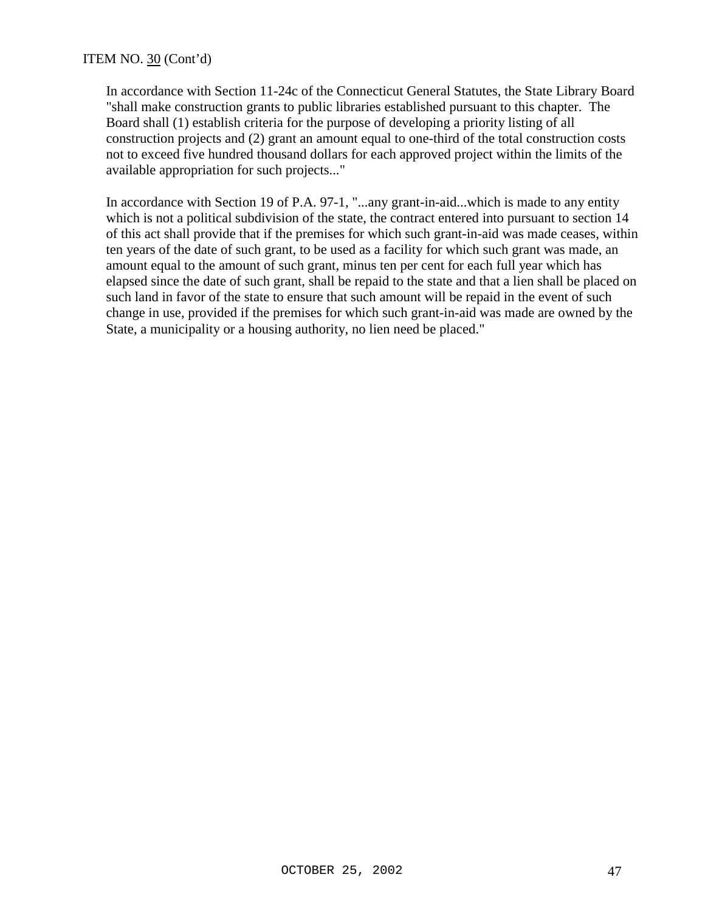#### ITEM NO. 30 (Cont'd)

In accordance with Section 11-24c of the Connecticut General Statutes, the State Library Board "shall make construction grants to public libraries established pursuant to this chapter. The Board shall (1) establish criteria for the purpose of developing a priority listing of all construction projects and (2) grant an amount equal to one-third of the total construction costs not to exceed five hundred thousand dollars for each approved project within the limits of the available appropriation for such projects..."

In accordance with Section 19 of P.A. 97-1, "...any grant-in-aid...which is made to any entity which is not a political subdivision of the state, the contract entered into pursuant to section 14 of this act shall provide that if the premises for which such grant-in-aid was made ceases, within ten years of the date of such grant, to be used as a facility for which such grant was made, an amount equal to the amount of such grant, minus ten per cent for each full year which has elapsed since the date of such grant, shall be repaid to the state and that a lien shall be placed on such land in favor of the state to ensure that such amount will be repaid in the event of such change in use, provided if the premises for which such grant-in-aid was made are owned by the State, a municipality or a housing authority, no lien need be placed."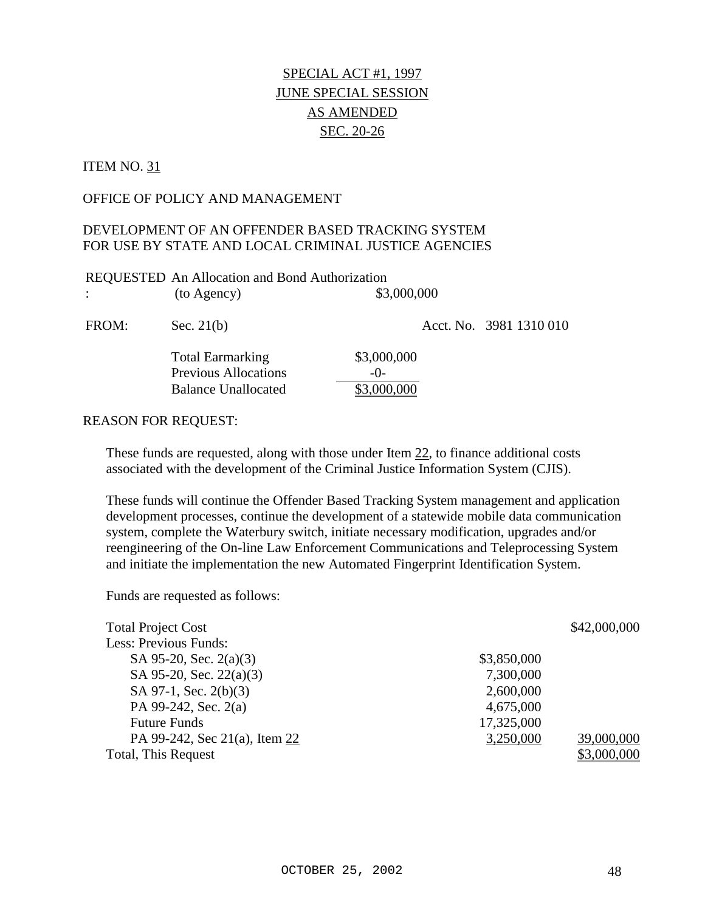# SPECIAL ACT #1, 1997 JUNE SPECIAL SESSION AS AMENDED SEC. 20-26

#### ITEM NO. 31

#### OFFICE OF POLICY AND MANAGEMENT

#### DEVELOPMENT OF AN OFFENDER BASED TRACKING SYSTEM FOR USE BY STATE AND LOCAL CRIMINAL JUSTICE AGENCIES

|               | REQUESTED An Allocation and Bond Authorization  |                      |                         |
|---------------|-------------------------------------------------|----------------------|-------------------------|
| $\mathcal{L}$ | (to Agency)                                     | \$3,000,000          |                         |
| FROM:         | Sec. $21(b)$                                    |                      | Acct. No. 3981 1310 010 |
|               | <b>Total Earmarking</b><br>Previous Allocations | \$3,000,000<br>$-()$ |                         |

Balance Unallocated \$3,000,000

#### REASON FOR REQUEST:

These funds are requested, along with those under Item 22, to finance additional costs associated with the development of the Criminal Justice Information System (CJIS).

These funds will continue the Offender Based Tracking System management and application development processes, continue the development of a statewide mobile data communication system, complete the Waterbury switch, initiate necessary modification, upgrades and/or reengineering of the On-line Law Enforcement Communications and Teleprocessing System and initiate the implementation the new Automated Fingerprint Identification System.

| <b>Total Project Cost</b>     |             | \$42,000,000 |
|-------------------------------|-------------|--------------|
| Less: Previous Funds:         |             |              |
| SA 95-20, Sec. $2(a)(3)$      | \$3,850,000 |              |
| SA 95-20, Sec. 22(a)(3)       | 7,300,000   |              |
| SA 97-1, Sec. 2(b)(3)         | 2,600,000   |              |
| PA 99-242, Sec. 2(a)          | 4,675,000   |              |
| <b>Future Funds</b>           | 17,325,000  |              |
| PA 99-242, Sec 21(a), Item 22 | 3,250,000   | 39,000,000   |
| Total, This Request           |             | \$3,000,000  |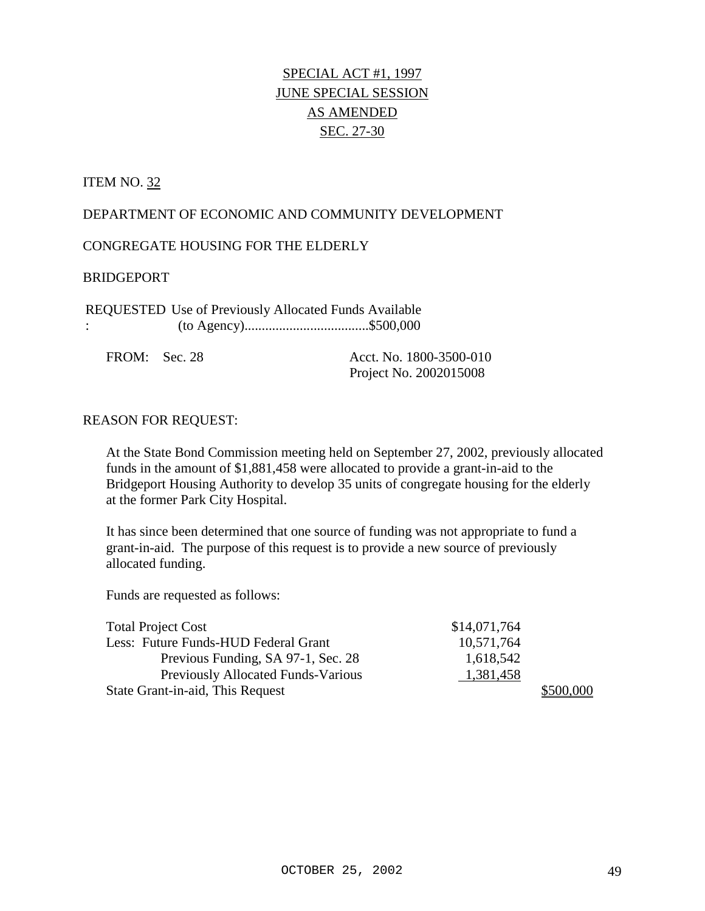# SPECIAL ACT #1, 1997 JUNE SPECIAL SESSION AS AMENDED SEC. 27-30

#### **ITEM NO. 32**

#### DEPARTMENT OF ECONOMIC AND COMMUNITY DEVELOPMENT

CONGREGATE HOUSING FOR THE ELDERLY

#### BRIDGEPORT

REQUESTED Use of Previously Allocated Funds Available : (to Agency)....................................\$500,000

FROM: Sec. 28 Acct. No. 1800-3500-010 Project No. 2002015008

#### REASON FOR REQUEST:

At the State Bond Commission meeting held on September 27, 2002, previously allocated funds in the amount of \$1,881,458 were allocated to provide a grant-in-aid to the Bridgeport Housing Authority to develop 35 units of congregate housing for the elderly at the former Park City Hospital.

It has since been determined that one source of funding was not appropriate to fund a grant-in-aid. The purpose of this request is to provide a new source of previously allocated funding.

| <b>Total Project Cost</b>                 | \$14,071,764 |           |
|-------------------------------------------|--------------|-----------|
| Less: Future Funds-HUD Federal Grant      | 10,571,764   |           |
| Previous Funding, SA 97-1, Sec. 28        | 1,618,542    |           |
| <b>Previously Allocated Funds-Various</b> | 1,381,458    |           |
| State Grant-in-aid, This Request          |              | \$500,000 |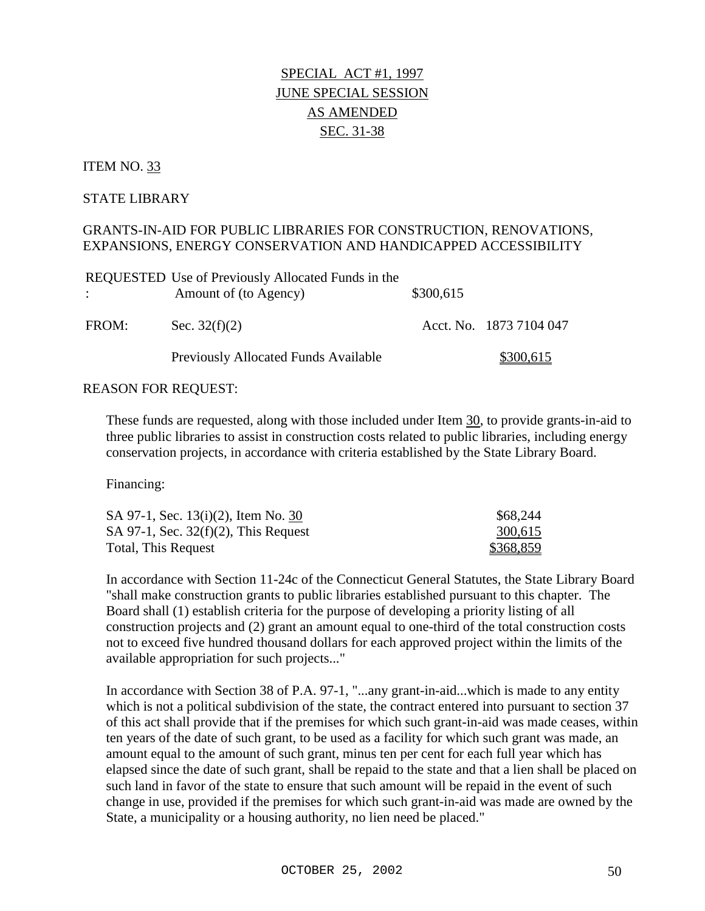# SPECIAL ACT #1, 1997 JUNE SPECIAL SESSION AS AMENDED SEC. 31-38

#### ITEM NO. 33

#### STATE LIBRARY

#### GRANTS-IN-AID FOR PUBLIC LIBRARIES FOR CONSTRUCTION, RENOVATIONS, EXPANSIONS, ENERGY CONSERVATION AND HANDICAPPED ACCESSIBILITY

|               | REQUESTED Use of Previously Allocated Funds in the |           |                         |
|---------------|----------------------------------------------------|-----------|-------------------------|
| $\mathcal{L}$ | Amount of (to Agency)                              | \$300,615 |                         |
|               |                                                    |           |                         |
| FROM:         | Sec. $32(f)(2)$                                    |           | Acct. No. 1873 7104 047 |
|               | Previously Allocated Funds Available               |           | \$300,615               |

#### REASON FOR REQUEST:

These funds are requested, along with those included under Item 30, to provide grants-in-aid to three public libraries to assist in construction costs related to public libraries, including energy conservation projects, in accordance with criteria established by the State Library Board.

Financing:

| SA 97-1, Sec. 13(i)(2), Item No. 30     | \$68,244  |
|-----------------------------------------|-----------|
| SA 97-1, Sec. $32(f)(2)$ , This Request | 300,615   |
| Total, This Request                     | \$368,859 |

In accordance with Section 11-24c of the Connecticut General Statutes, the State Library Board "shall make construction grants to public libraries established pursuant to this chapter. The Board shall (1) establish criteria for the purpose of developing a priority listing of all construction projects and (2) grant an amount equal to one-third of the total construction costs not to exceed five hundred thousand dollars for each approved project within the limits of the available appropriation for such projects..."

In accordance with Section 38 of P.A. 97-1, "...any grant-in-aid...which is made to any entity which is not a political subdivision of the state, the contract entered into pursuant to section 37 of this act shall provide that if the premises for which such grant-in-aid was made ceases, within ten years of the date of such grant, to be used as a facility for which such grant was made, an amount equal to the amount of such grant, minus ten per cent for each full year which has elapsed since the date of such grant, shall be repaid to the state and that a lien shall be placed on such land in favor of the state to ensure that such amount will be repaid in the event of such change in use, provided if the premises for which such grant-in-aid was made are owned by the State, a municipality or a housing authority, no lien need be placed."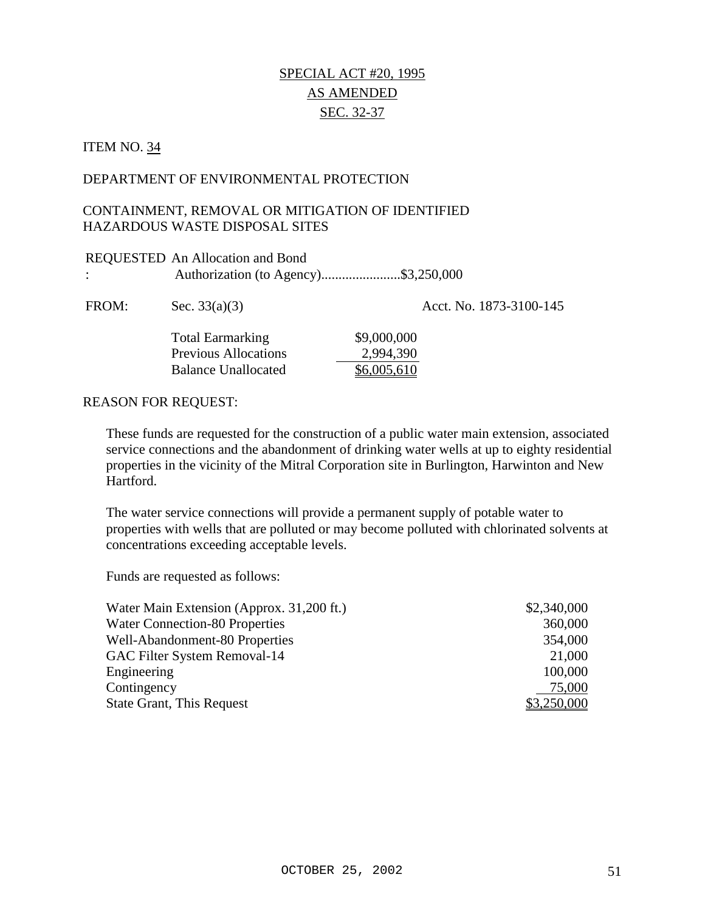## SPECIAL ACT #20, 1995 AS AMENDED SEC. 32-37

## ITEM NO. 34

#### DEPARTMENT OF ENVIRONMENTAL PROTECTION

#### CONTAINMENT, REMOVAL OR MITIGATION OF IDENTIFIED HAZARDOUS WASTE DISPOSAL SITES

| $\ddot{\phantom{a}}$ | REQUESTED An Allocation and Bond<br>Authorization (to Agency)\$3,250,000             |                                         |
|----------------------|--------------------------------------------------------------------------------------|-----------------------------------------|
| FROM:                | Sec. $33(a)(3)$                                                                      | Acct. No. 1873-3100-145                 |
|                      | <b>Total Earmarking</b><br><b>Previous Allocations</b><br><b>Balance Unallocated</b> | \$9,000,000<br>2,994,390<br>\$6,005,610 |

#### REASON FOR REQUEST:

These funds are requested for the construction of a public water main extension, associated service connections and the abandonment of drinking water wells at up to eighty residential properties in the vicinity of the Mitral Corporation site in Burlington, Harwinton and New Hartford.

The water service connections will provide a permanent supply of potable water to properties with wells that are polluted or may become polluted with chlorinated solvents at concentrations exceeding acceptable levels.

| Water Main Extension (Approx. 31,200 ft.) | \$2,340,000 |
|-------------------------------------------|-------------|
| <b>Water Connection-80 Properties</b>     | 360,000     |
| Well-Abandonment-80 Properties            | 354,000     |
| GAC Filter System Removal-14              | 21,000      |
| Engineering                               | 100,000     |
| Contingency                               | 75,000      |
| <b>State Grant, This Request</b>          | \$3,250,000 |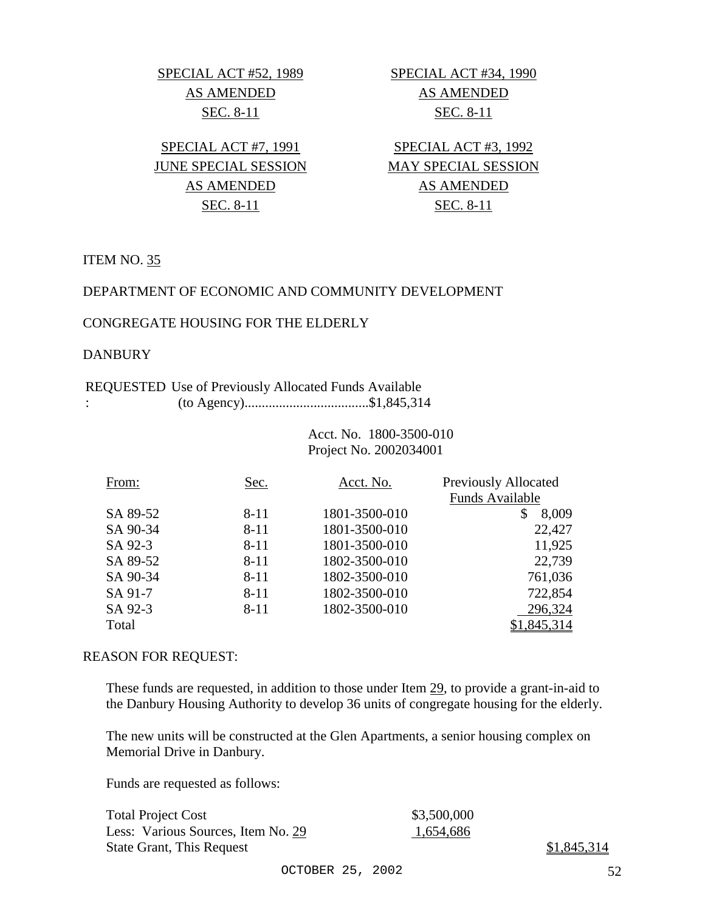SPECIAL ACT #52, 1989 SPECIAL ACT #34, 1990 AS AMENDED AS AMENDED SEC. 8-11 SEC. 8-11

JUNE SPECIAL SESSION MAY SPECIAL SESSION

SPECIAL ACT #7, 1991 SPECIAL ACT #3, 1992 AS AMENDED AS AMENDED SEC. 8-11 SEC. 8-11

ITEM NO. 35

#### DEPARTMENT OF ECONOMIC AND COMMUNITY DEVELOPMENT

#### CONGREGATE HOUSING FOR THE ELDERLY

#### **DANBURY**

#### REQUESTED Use of Previously Allocated Funds Available : (to Agency)....................................\$1,845,314

 Acct. No. 1800-3500-010 Project No. 2002034001

| From:    | Sec.     | Acct. No.     | <b>Previously Allocated</b> |
|----------|----------|---------------|-----------------------------|
|          |          |               | Funds Available             |
| SA 89-52 | 8-11     | 1801-3500-010 | 8,009<br>S                  |
| SA 90-34 | $8 - 11$ | 1801-3500-010 | 22,427                      |
| SA 92-3  | $8 - 11$ | 1801-3500-010 | 11,925                      |
| SA 89-52 | $8 - 11$ | 1802-3500-010 | 22,739                      |
| SA 90-34 | $8 - 11$ | 1802-3500-010 | 761,036                     |
| SA 91-7  | $8 - 11$ | 1802-3500-010 | 722,854                     |
| SA 92-3  | $8 - 11$ | 1802-3500-010 | 296,324                     |
| Total    |          |               | \$1,845,314                 |

#### REASON FOR REQUEST:

These funds are requested, in addition to those under Item 29, to provide a grant-in-aid to the Danbury Housing Authority to develop 36 units of congregate housing for the elderly.

The new units will be constructed at the Glen Apartments, a senior housing complex on Memorial Drive in Danbury.

Funds are requested as follows:

| <b>Total Project Cost</b>          | \$3,500,000 |
|------------------------------------|-------------|
| Less: Various Sources, Item No. 29 | 1,654,686   |
| State Grant, This Request          |             |

 $$1,845,314$ 

OCTOBER 25, 2002 52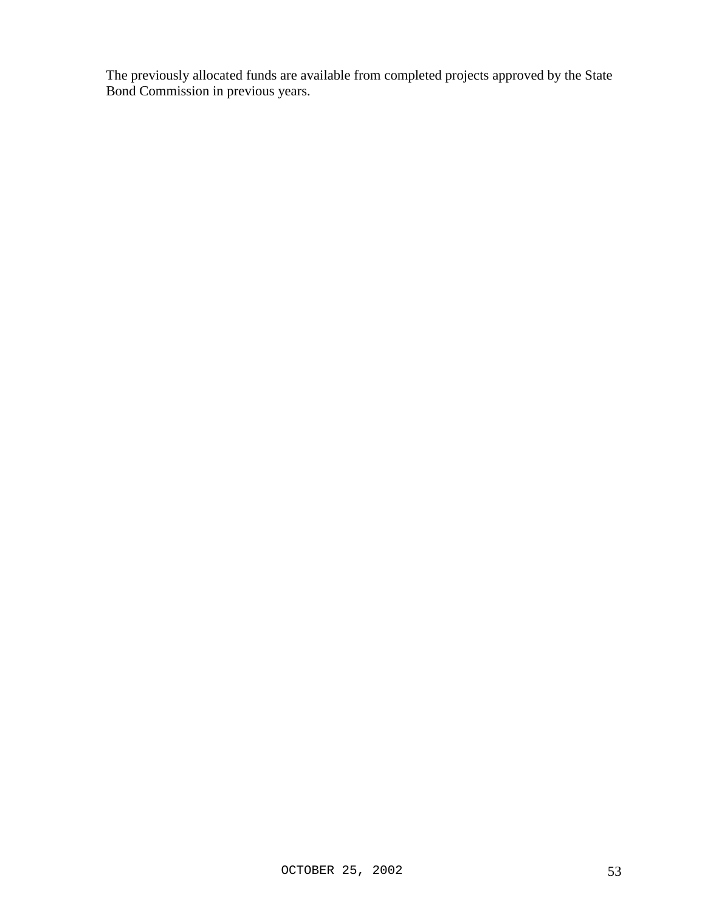The previously allocated funds are available from completed projects approved by the State Bond Commission in previous years.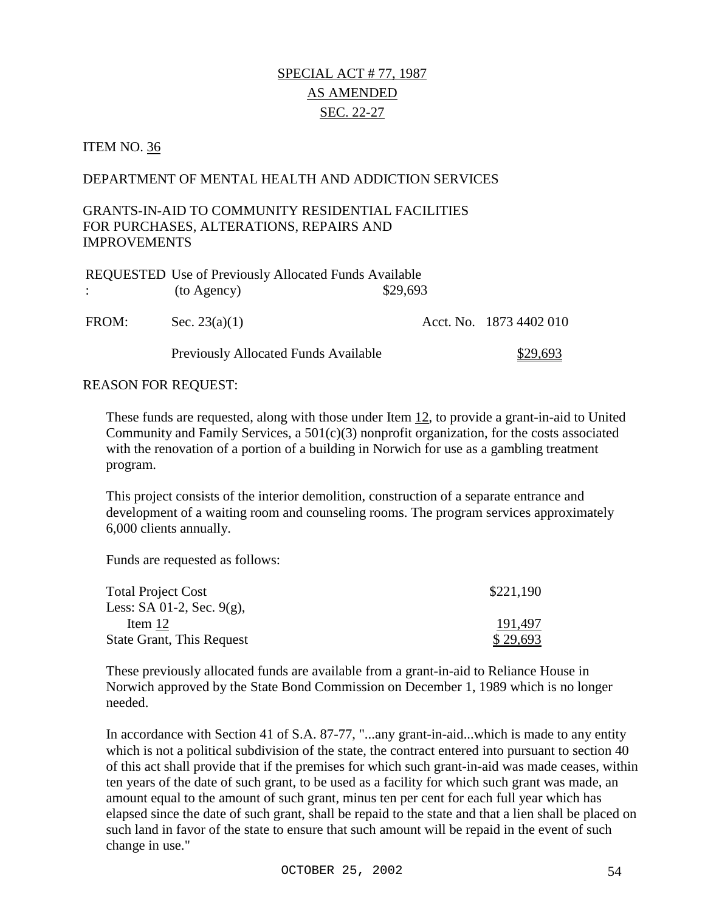# SPECIAL ACT # 77, 1987 AS AMENDED SEC. 22-27

#### ITEM NO. 36

#### DEPARTMENT OF MENTAL HEALTH AND ADDICTION SERVICES

#### GRANTS-IN-AID TO COMMUNITY RESIDENTIAL FACILITIES FOR PURCHASES, ALTERATIONS, REPAIRS AND IMPROVEMENTS

|                                 | <b>REQUESTED Use of Previously Allocated Funds Available</b> |          |                         |
|---------------------------------|--------------------------------------------------------------|----------|-------------------------|
| $\Delta \sim 1000$ km s $^{-1}$ | (to Agency)                                                  | \$29,693 |                         |
| FROM:                           | Sec. $23(a)(1)$                                              |          | Acct. No. 1873 4402 010 |
|                                 | Previously Allocated Funds Available                         |          | \$29,693                |

#### REASON FOR REQUEST:

These funds are requested, along with those under Item 12, to provide a grant-in-aid to United Community and Family Services, a 501(c)(3) nonprofit organization, for the costs associated with the renovation of a portion of a building in Norwich for use as a gambling treatment program.

This project consists of the interior demolition, construction of a separate entrance and development of a waiting room and counseling rooms. The program services approximately 6,000 clients annually.

Funds are requested as follows:

| <b>Total Project Cost</b>        | \$221,190 |
|----------------------------------|-----------|
| Less: SA 01-2, Sec. $9(g)$ ,     |           |
| Item 12                          | 191,497   |
| <b>State Grant, This Request</b> | \$29,693  |

These previously allocated funds are available from a grant-in-aid to Reliance House in Norwich approved by the State Bond Commission on December 1, 1989 which is no longer needed.

In accordance with Section 41 of S.A. 87-77, "...any grant-in-aid...which is made to any entity which is not a political subdivision of the state, the contract entered into pursuant to section 40 of this act shall provide that if the premises for which such grant-in-aid was made ceases, within ten years of the date of such grant, to be used as a facility for which such grant was made, an amount equal to the amount of such grant, minus ten per cent for each full year which has elapsed since the date of such grant, shall be repaid to the state and that a lien shall be placed on such land in favor of the state to ensure that such amount will be repaid in the event of such change in use."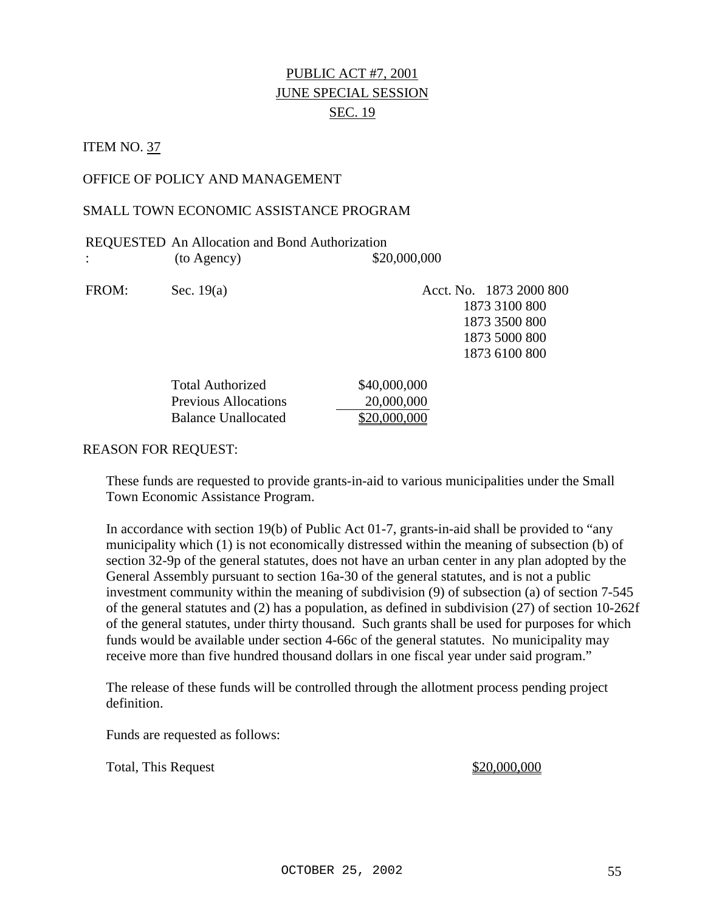# PUBLIC ACT #7, 2001 JUNE SPECIAL SESSION SEC. 19

#### **ITEM NO. 37**

#### OFFICE OF POLICY AND MANAGEMENT

#### SMALL TOWN ECONOMIC ASSISTANCE PROGRAM

|             | <b>REQUESTED</b> An Allocation and Bond Authorization |
|-------------|-------------------------------------------------------|
| (to Agency) | \$20,000,000                                          |

FROM: Sec. 19(a) Acct. No. 1873 2000 800 1873 3100 800 1873 3500 800 1873 5000 800 1873 6100 800

| <b>Total Authorized</b>     | \$40,000,000 |
|-----------------------------|--------------|
| <b>Previous Allocations</b> | 20,000,000   |
| Balance Unallocated         | \$20,000,000 |

#### REASON FOR REQUEST:

These funds are requested to provide grants-in-aid to various municipalities under the Small Town Economic Assistance Program.

In accordance with section 19(b) of Public Act 01-7, grants-in-aid shall be provided to "any municipality which (1) is not economically distressed within the meaning of subsection (b) of section 32-9p of the general statutes, does not have an urban center in any plan adopted by the General Assembly pursuant to section 16a-30 of the general statutes, and is not a public investment community within the meaning of subdivision (9) of subsection (a) of section 7-545 of the general statutes and (2) has a population, as defined in subdivision (27) of section 10-262f of the general statutes, under thirty thousand. Such grants shall be used for purposes for which funds would be available under section 4-66c of the general statutes. No municipality may receive more than five hundred thousand dollars in one fiscal year under said program."

The release of these funds will be controlled through the allotment process pending project definition.

Funds are requested as follows:

Total, This Request  $\text{\$20,000,000}$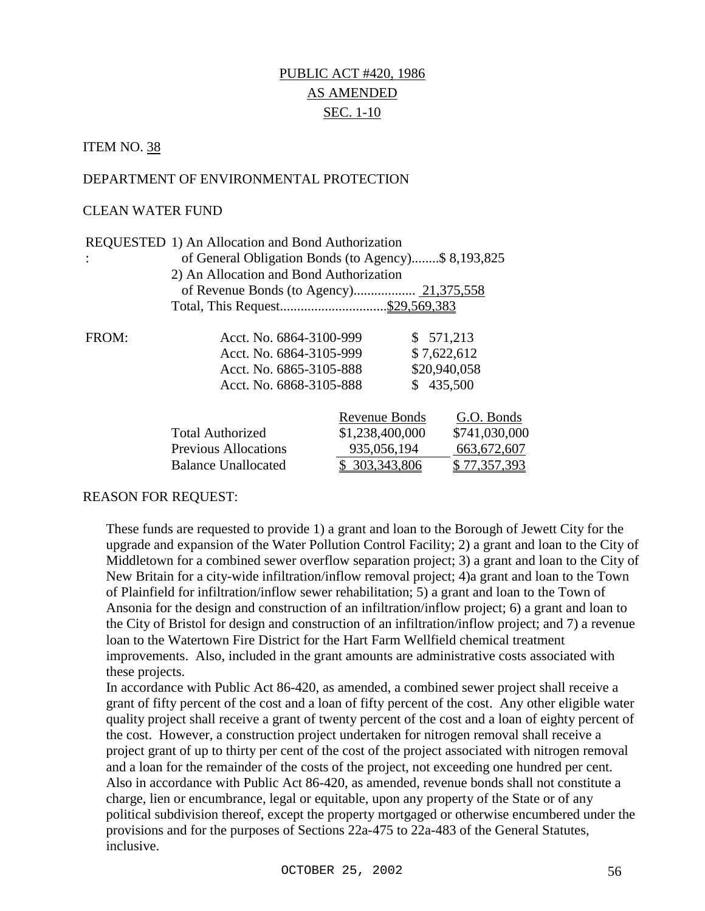# PUBLIC ACT #420, 1986 AS AMENDED SEC. 1-10

ITEM NO. 38

#### DEPARTMENT OF ENVIRONMENTAL PROTECTION

#### CLEAN WATER FUND

|       | REQUESTED 1) An Allocation and Bond Authorization   |                 |              |               |
|-------|-----------------------------------------------------|-----------------|--------------|---------------|
|       | of General Obligation Bonds (to Agency)\$ 8,193,825 |                 |              |               |
|       | 2) An Allocation and Bond Authorization             |                 |              |               |
|       |                                                     |                 |              |               |
|       |                                                     |                 |              |               |
| FROM: | Acct. No. 6864-3100-999                             |                 | \$571,213    |               |
|       | Acct. No. 6864-3105-999                             |                 | \$7,622,612  |               |
|       | Acct. No. 6865-3105-888                             |                 | \$20,940,058 |               |
|       | \$435,500<br>Acct. No. 6868-3105-888                |                 |              |               |
|       |                                                     | Revenue Bonds   |              | G.O. Bonds    |
|       | <b>Total Authorized</b>                             | \$1,238,400,000 |              | \$741,030,000 |
|       | <b>Previous Allocations</b>                         | 935,056,194     |              | 663, 672, 607 |
|       | <b>Balance Unallocated</b>                          | \$303,343,806   |              | \$77,357,393  |

#### REASON FOR REQUEST:

These funds are requested to provide 1) a grant and loan to the Borough of Jewett City for the upgrade and expansion of the Water Pollution Control Facility; 2) a grant and loan to the City of Middletown for a combined sewer overflow separation project; 3) a grant and loan to the City of New Britain for a city-wide infiltration/inflow removal project; 4)a grant and loan to the Town of Plainfield for infiltration/inflow sewer rehabilitation; 5) a grant and loan to the Town of Ansonia for the design and construction of an infiltration/inflow project; 6) a grant and loan to the City of Bristol for design and construction of an infiltration/inflow project; and 7) a revenue loan to the Watertown Fire District for the Hart Farm Wellfield chemical treatment improvements. Also, included in the grant amounts are administrative costs associated with these projects.

In accordance with Public Act 86-420, as amended, a combined sewer project shall receive a grant of fifty percent of the cost and a loan of fifty percent of the cost. Any other eligible water quality project shall receive a grant of twenty percent of the cost and a loan of eighty percent of the cost. However, a construction project undertaken for nitrogen removal shall receive a project grant of up to thirty per cent of the cost of the project associated with nitrogen removal and a loan for the remainder of the costs of the project, not exceeding one hundred per cent. Also in accordance with Public Act 86-420, as amended, revenue bonds shall not constitute a charge, lien or encumbrance, legal or equitable, upon any property of the State or of any political subdivision thereof, except the property mortgaged or otherwise encumbered under the provisions and for the purposes of Sections 22a-475 to 22a-483 of the General Statutes, inclusive.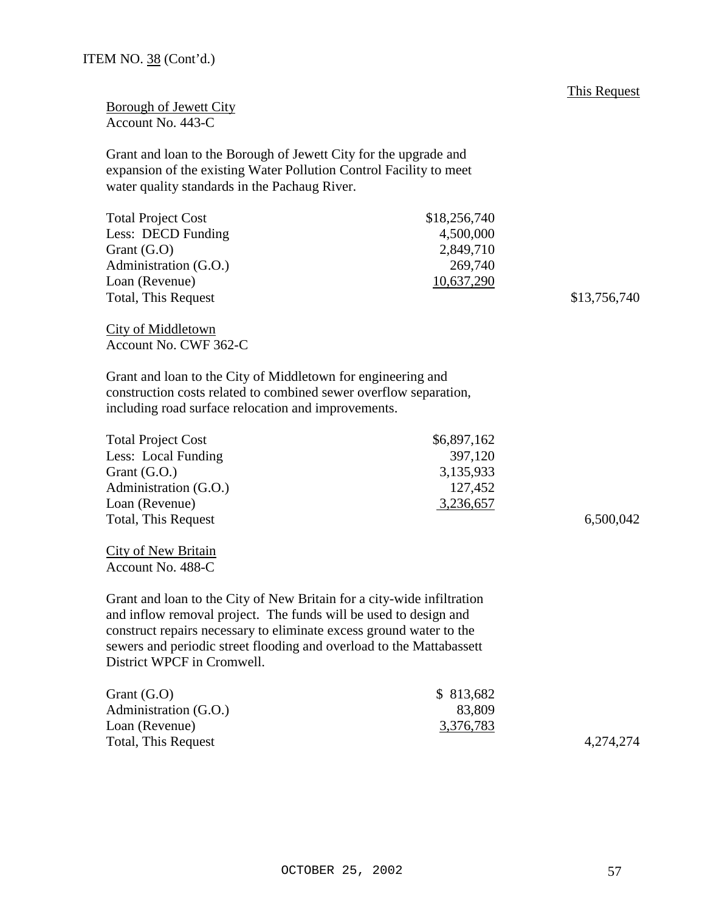| ITEM NO. 38 (Cont'd.) |  |  |  |
|-----------------------|--|--|--|
|-----------------------|--|--|--|

Borough of Jewett City Account No. 443-C

Grant and loan to the Borough of Jewett City for the upgrade and expansion of the existing Water Pollution Control Facility to meet water quality standards in the Pachaug River.

| <b>Total Project Cost</b> | \$18,256,740 |
|---------------------------|--------------|
| Less: DECD Funding        | 4,500,000    |
| Grant $(G.O)$             | 2,849,710    |
| Administration (G.O.)     | 269,740      |
| Loan (Revenue)            | 10,637,290   |
| Total, This Request       |              |

City of Middletown Account No. CWF 362-C

Grant and loan to the City of Middletown for engineering and construction costs related to combined sewer overflow separation, including road surface relocation and improvements.

| <b>Total Project Cost</b> | \$6,897,162 |           |
|---------------------------|-------------|-----------|
| Less: Local Funding       | 397,120     |           |
| Grant $(G.O.)$            | 3,135,933   |           |
| Administration (G.O.)     | 127,452     |           |
| Loan (Revenue)            | 3,236,657   |           |
| Total, This Request       |             | 6,500,042 |

City of New Britain Account No. 488-C

Grant and loan to the City of New Britain for a city-wide infiltration and inflow removal project. The funds will be used to design and construct repairs necessary to eliminate excess ground water to the sewers and periodic street flooding and overload to the Mattabassett District WPCF in Cromwell.

| Grant $(G.O)$         | \$ 813,682 |           |
|-----------------------|------------|-----------|
| Administration (G.O.) | 83,809     |           |
| Loan (Revenue)        | 3,376,783  |           |
| Total, This Request   |            | 4,274,274 |

 $$13,756,740$ 

This Request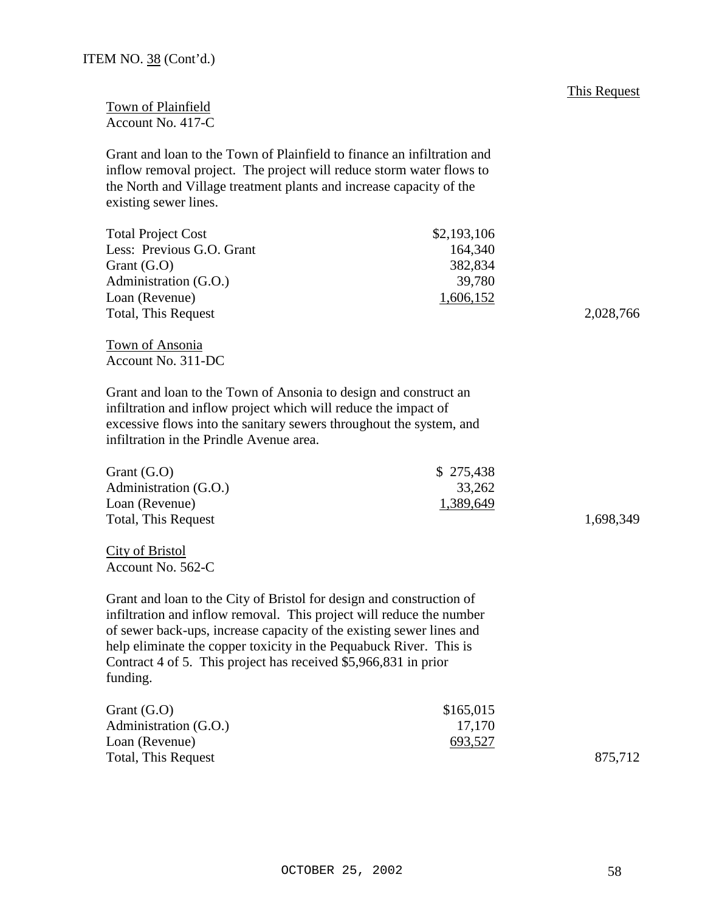Town of Plainfield Account No. 417-C

Grant and loan to the Town of Plainfield to finance an infiltration and inflow removal project. The project will reduce storm water flows to the North and Village treatment plants and increase capacity of the existing sewer lines.

| <b>Total Project Cost</b> | \$2,193,106 |           |
|---------------------------|-------------|-----------|
| Less: Previous G.O. Grant | 164.340     |           |
| Grant $(G.O)$             | 382,834     |           |
| Administration (G.O.)     | 39,780      |           |
| Loan (Revenue)            | 1,606,152   |           |
| Total, This Request       |             | 2,028,766 |

Town of Ansonia Account No. 311-DC

Grant and loan to the Town of Ansonia to design and construct an infiltration and inflow project which will reduce the impact of excessive flows into the sanitary sewers throughout the system, and infiltration in the Prindle Avenue area.

| Grant $(G.O)$         | \$275,438 |           |
|-----------------------|-----------|-----------|
| Administration (G.O.) | 33,262    |           |
| Loan (Revenue)        | 1,389,649 |           |
| Total, This Request   |           | 1,698,349 |

City of Bristol Account No. 562-C

Grant and loan to the City of Bristol for design and construction of infiltration and inflow removal. This project will reduce the number of sewer back-ups, increase capacity of the existing sewer lines and help eliminate the copper toxicity in the Pequabuck River. This is Contract 4 of 5. This project has received \$5,966,831 in prior funding.

| Grant $(G.O)$         | \$165,015 |         |
|-----------------------|-----------|---------|
| Administration (G.O.) | 17,170    |         |
| Loan (Revenue)        | 693,527   |         |
| Total, This Request   |           | 875,712 |

#### OCTOBER 25, 2002 58

This Request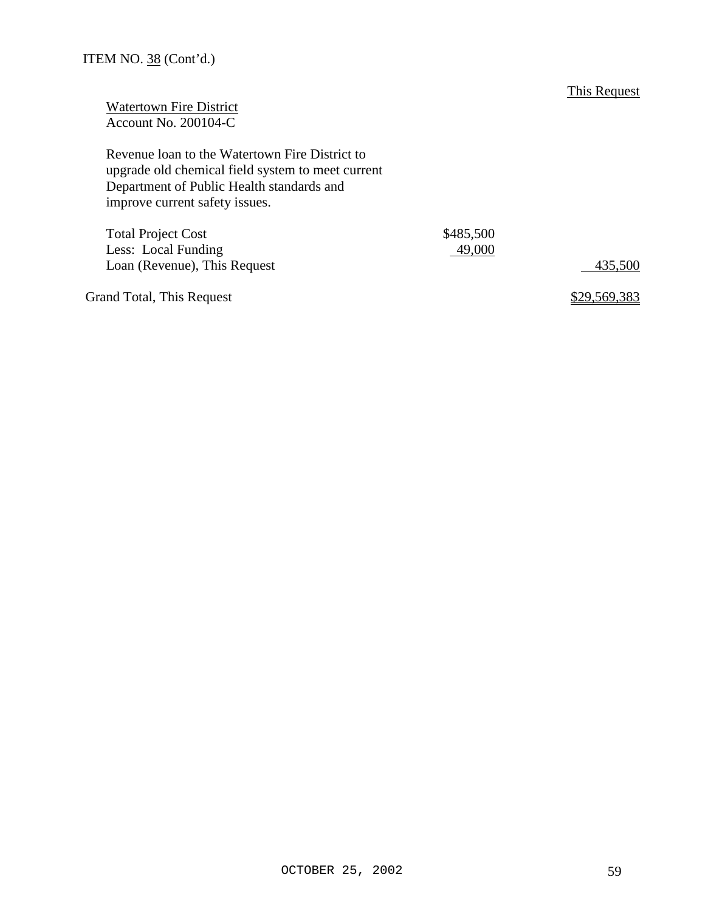This Request

| <b>Watertown Fire District</b> |
|--------------------------------|
| Account No. 200104-C           |

Revenue loan to the Watertown Fire District to upgrade old chemical field system to meet current Department of Public Health standards and improve current safety issues.

| <b>Total Project Cost</b>    | \$485,500 |         |
|------------------------------|-----------|---------|
| Less: Local Funding          | 49,000    |         |
| Loan (Revenue), This Request |           | 435,500 |
|                              |           |         |

Grand Total, This Request **\$29,569,383**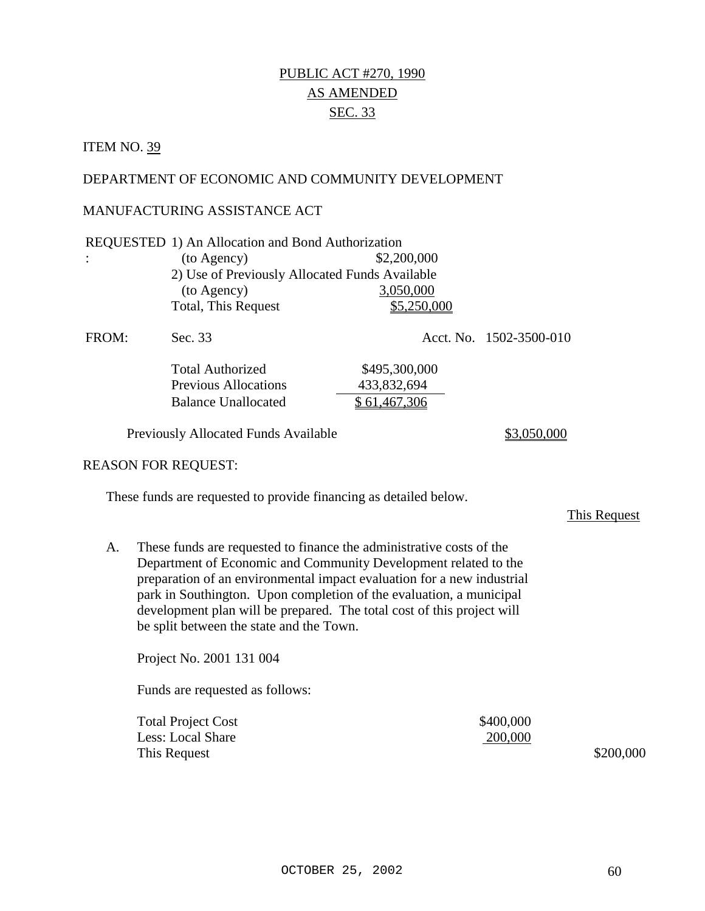# PUBLIC ACT #270, 1990 AS AMENDED SEC. 33

#### **ITEM NO. 39**

#### DEPARTMENT OF ECONOMIC AND COMMUNITY DEVELOPMENT

#### MANUFACTURING ASSISTANCE ACT

|       | REQUESTED 1) An Allocation and Bond Authorization |               |                         |  |  |
|-------|---------------------------------------------------|---------------|-------------------------|--|--|
|       | (to Agency)                                       | \$2,200,000   |                         |  |  |
|       | 2) Use of Previously Allocated Funds Available    |               |                         |  |  |
|       | (to Agency)                                       | 3,050,000     |                         |  |  |
|       | <b>Total, This Request</b>                        | \$5,250,000   |                         |  |  |
| FROM: | Sec. 33                                           |               | Acct. No. 1502-3500-010 |  |  |
|       | <b>Total Authorized</b>                           | \$495,300,000 |                         |  |  |
|       | <b>Previous Allocations</b>                       | 433,832,694   |                         |  |  |
|       | <b>Balance Unallocated</b>                        | \$61,467,306  |                         |  |  |

Previously Allocated Funds Available \$3,050,000

#### REASON FOR REQUEST:

These funds are requested to provide financing as detailed below.

This Request

A. These funds are requested to finance the administrative costs of the Department of Economic and Community Development related to the preparation of an environmental impact evaluation for a new industrial park in Southington. Upon completion of the evaluation, a municipal development plan will be prepared. The total cost of this project will be split between the state and the Town.

Project No. 2001 131 004

| <b>Total Project Cost</b> | \$400,000 |
|---------------------------|-----------|
| Less: Local Share         | 200,000   |
| This Request              | \$200,000 |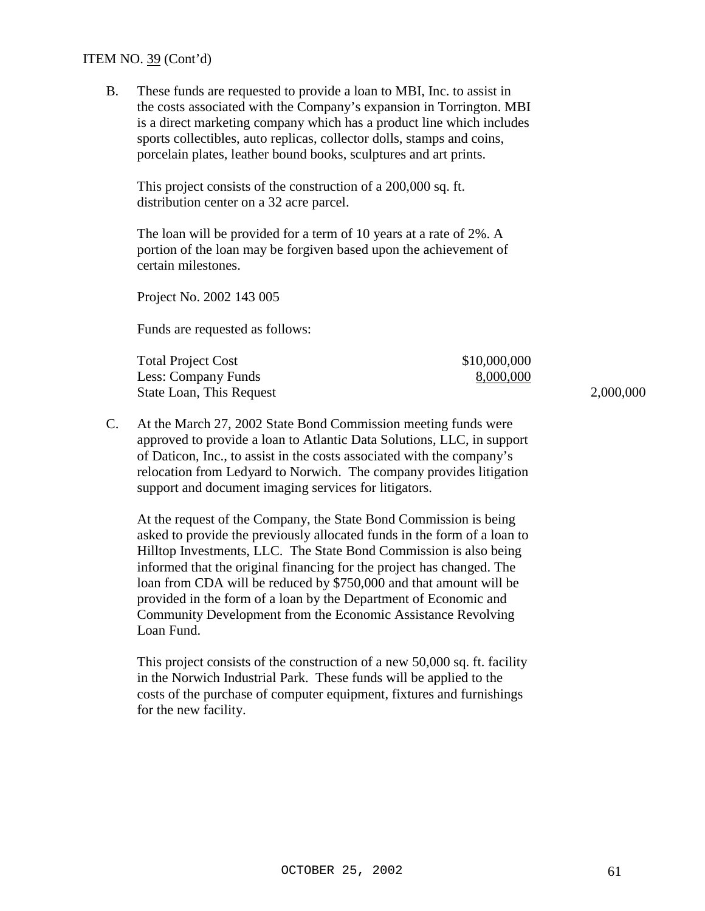#### ITEM NO. 39 (Cont'd)

B. These funds are requested to provide a loan to MBI, Inc. to assist in the costs associated with the Company's expansion in Torrington. MBI is a direct marketing company which has a product line which includes sports collectibles, auto replicas, collector dolls, stamps and coins, porcelain plates, leather bound books, sculptures and art prints.

This project consists of the construction of a 200,000 sq. ft. distribution center on a 32 acre parcel.

The loan will be provided for a term of 10 years at a rate of 2%. A portion of the loan may be forgiven based upon the achievement of certain milestones.

Project No. 2002 143 005

Funds are requested as follows:

| Total Project Cost       | \$10,000,000 |           |
|--------------------------|--------------|-----------|
| Less: Company Funds      | 8,000,000    |           |
| State Loan, This Request |              | 2,000,000 |

C. At the March 27, 2002 State Bond Commission meeting funds were approved to provide a loan to Atlantic Data Solutions, LLC, in support of Daticon, Inc., to assist in the costs associated with the company's relocation from Ledyard to Norwich. The company provides litigation support and document imaging services for litigators.

At the request of the Company, the State Bond Commission is being asked to provide the previously allocated funds in the form of a loan to Hilltop Investments, LLC. The State Bond Commission is also being informed that the original financing for the project has changed. The loan from CDA will be reduced by \$750,000 and that amount will be provided in the form of a loan by the Department of Economic and Community Development from the Economic Assistance Revolving Loan Fund.

This project consists of the construction of a new 50,000 sq. ft. facility in the Norwich Industrial Park. These funds will be applied to the costs of the purchase of computer equipment, fixtures and furnishings for the new facility.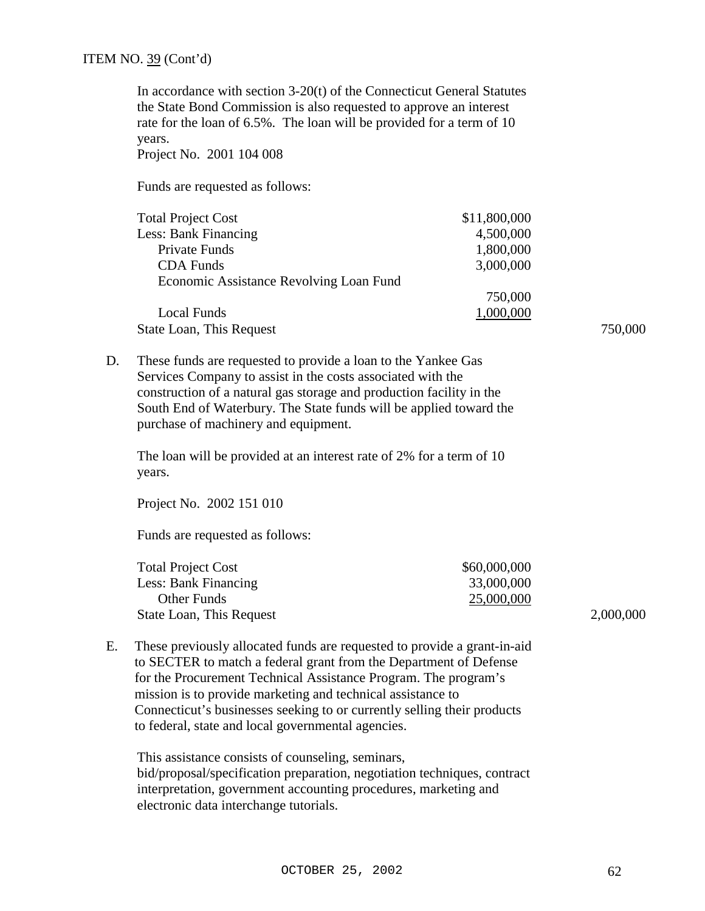In accordance with section 3-20(t) of the Connecticut General Statutes the State Bond Commission is also requested to approve an interest rate for the loan of 6.5%. The loan will be provided for a term of 10 years.

Project No. 2001 104 008

Funds are requested as follows:

| <b>Total Project Cost</b>               | \$11,800,000 |         |
|-----------------------------------------|--------------|---------|
| Less: Bank Financing                    | 4,500,000    |         |
| Private Funds                           | 1,800,000    |         |
| <b>CDA</b> Funds                        | 3,000,000    |         |
| Economic Assistance Revolving Loan Fund |              |         |
|                                         | 750,000      |         |
| Local Funds                             | 1,000,000    |         |
| State Loan, This Request                |              | 750,000 |

D. These funds are requested to provide a loan to the Yankee Gas Services Company to assist in the costs associated with the construction of a natural gas storage and production facility in the South End of Waterbury. The State funds will be applied toward the purchase of machinery and equipment.

The loan will be provided at an interest rate of 2% for a term of 10 years.

Project No. 2002 151 010

Funds are requested as follows:

| <b>Total Project Cost</b> | \$60,000,000 |           |
|---------------------------|--------------|-----------|
| Less: Bank Financing      | 33,000,000   |           |
| Other Funds               | 25,000,000   |           |
| State Loan, This Request  |              | 2,000,000 |

E. These previously allocated funds are requested to provide a grant-in-aid to SECTER to match a federal grant from the Department of Defense for the Procurement Technical Assistance Program. The program's mission is to provide marketing and technical assistance to Connecticut's businesses seeking to or currently selling their products to federal, state and local governmental agencies.

This assistance consists of counseling, seminars, bid/proposal/specification preparation, negotiation techniques, contract interpretation, government accounting procedures, marketing and electronic data interchange tutorials.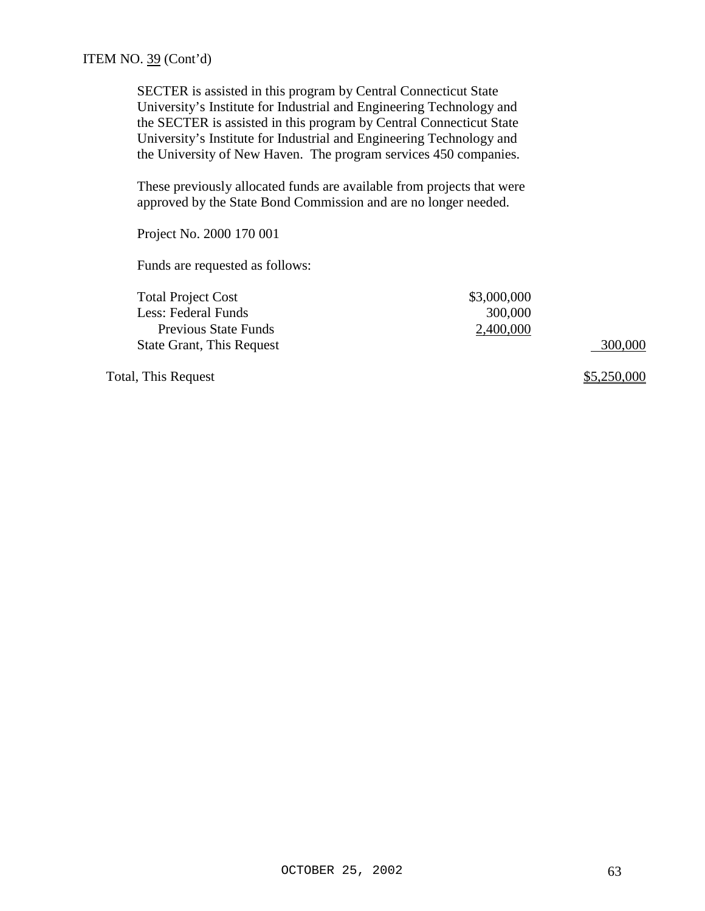SECTER is assisted in this program by Central Connecticut State University's Institute for Industrial and Engineering Technology and the SECTER is assisted in this program by Central Connecticut State University's Institute for Industrial and Engineering Technology and the University of New Haven. The program services 450 companies.

These previously allocated funds are available from projects that were approved by the State Bond Commission and are no longer needed.

Project No. 2000 170 001

Funds are requested as follows:

| <b>Total Project Cost</b>        | \$3,000,000 |         |
|----------------------------------|-------------|---------|
| Less: Federal Funds              | 300,000     |         |
| <b>Previous State Funds</b>      | 2,400,000   |         |
| <b>State Grant, This Request</b> |             | 300,000 |
|                                  |             |         |

Total, This Request  $\frac{$5,250,000}{2}$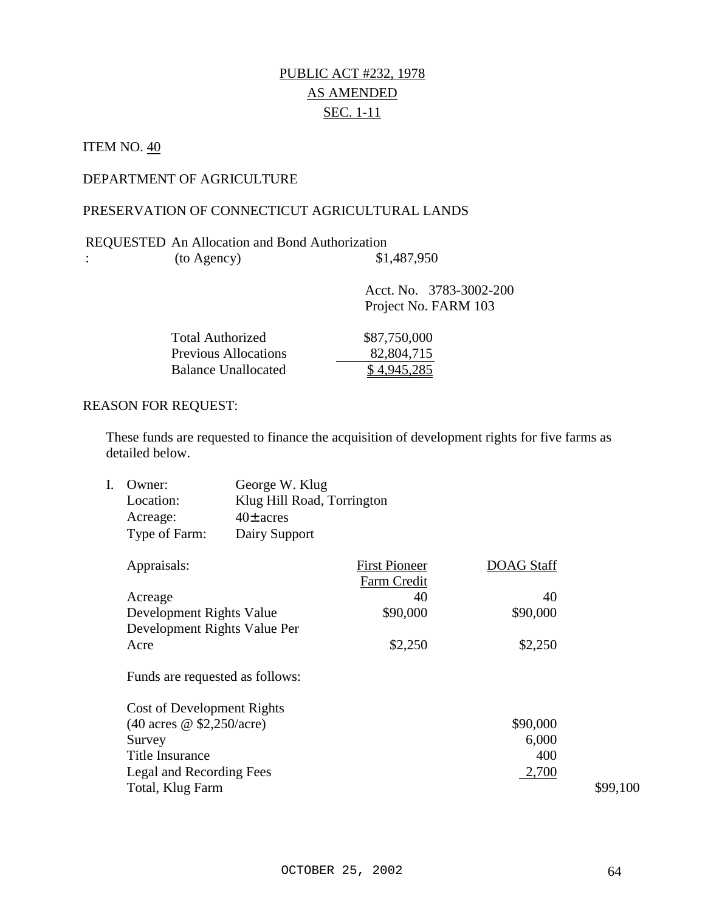# PUBLIC ACT #232, 1978 AS AMENDED SEC. 1-11

## **ITEM NO. 40**

:

## DEPARTMENT OF AGRICULTURE

## PRESERVATION OF CONNECTICUT AGRICULTURAL LANDS

#### REQUESTED An Allocation and Bond Authorization  $(10 \text{ Agency})$  \$1,487,950

| $\frac{1}{2}$               |                                                 |
|-----------------------------|-------------------------------------------------|
|                             | Acct. No. 3783-3002-200<br>Project No. FARM 103 |
| <b>Total Authorized</b>     | \$87,750,000                                    |
| <b>Previous Allocations</b> | 82,804,715                                      |
| <b>Balance Unallocated</b>  | 4,945,285                                       |

#### REASON FOR REQUEST:

These funds are requested to finance the acquisition of development rights for five farms as detailed below.

| Owner:                          | George W. Klug             |                                     |                   |          |
|---------------------------------|----------------------------|-------------------------------------|-------------------|----------|
| Location:                       | Klug Hill Road, Torrington |                                     |                   |          |
| Acreage:                        | $40\pm$ acres              |                                     |                   |          |
| Type of Farm:                   | Dairy Support              |                                     |                   |          |
| Appraisals:                     |                            | <b>First Pioneer</b><br>Farm Credit | <b>DOAG</b> Staff |          |
| Acreage                         |                            | 40                                  | 40                |          |
| Development Rights Value        |                            | \$90,000                            | \$90,000          |          |
| Development Rights Value Per    |                            |                                     |                   |          |
| Acre                            |                            | \$2,250                             | \$2,250           |          |
| Funds are requested as follows: |                            |                                     |                   |          |
| Cost of Development Rights      |                            |                                     |                   |          |
| (40 acres @ \$2,250/acre)       |                            |                                     | \$90,000          |          |
| Survey                          |                            |                                     | 6,000             |          |
| <b>Title Insurance</b>          |                            |                                     | 400               |          |
| Legal and Recording Fees        |                            |                                     | 2,700             |          |
| Total, Klug Farm                |                            |                                     |                   | \$99,100 |
|                                 |                            |                                     |                   |          |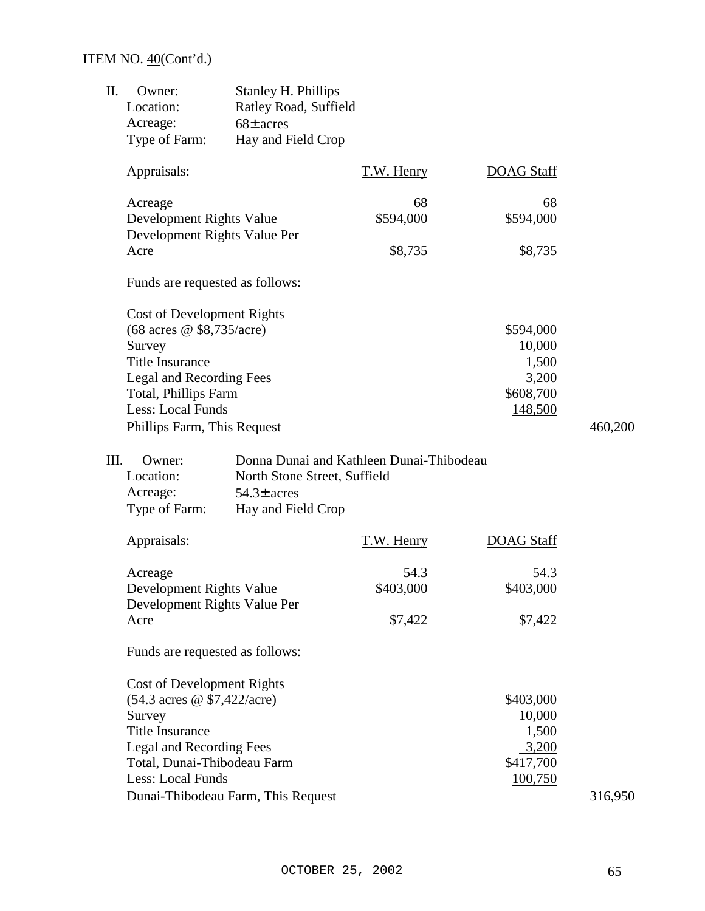# ITEM NO. 40(Cont'd.)

| II. | Owner:<br>Location:                                      | <b>Stanley H. Phillips</b><br>Ratley Road, Suffield |                                          |                     |         |
|-----|----------------------------------------------------------|-----------------------------------------------------|------------------------------------------|---------------------|---------|
|     | Acreage:<br>Type of Farm:                                | $68\pm$ acres<br>Hay and Field Crop                 |                                          |                     |         |
|     | Appraisals:                                              |                                                     | T.W. Henry                               | <b>DOAG Staff</b>   |         |
|     | Acreage<br>Development Rights Value                      |                                                     | 68<br>\$594,000                          | 68<br>\$594,000     |         |
|     | Development Rights Value Per<br>Acre                     |                                                     | \$8,735                                  | \$8,735             |         |
|     | Funds are requested as follows:                          |                                                     |                                          |                     |         |
|     | <b>Cost of Development Rights</b>                        |                                                     |                                          |                     |         |
|     | (68 acres @ \$8,735/acre)<br>Survey                      |                                                     |                                          | \$594,000<br>10,000 |         |
|     | <b>Title Insurance</b>                                   |                                                     |                                          | 1,500               |         |
|     | Legal and Recording Fees<br>Total, Phillips Farm         |                                                     |                                          | 3,200<br>\$608,700  |         |
|     | Less: Local Funds<br>Phillips Farm, This Request         |                                                     |                                          | 148,500             | 460,200 |
|     |                                                          |                                                     |                                          |                     |         |
|     | III.<br>Owner:<br>Location:                              |                                                     | Donna Dunai and Kathleen Dunai-Thibodeau |                     |         |
|     | Acreage:                                                 | North Stone Street, Suffield<br>$54.3\pm$ acres     |                                          |                     |         |
|     | Type of Farm:                                            | Hay and Field Crop                                  |                                          |                     |         |
|     | Appraisals:                                              |                                                     | T.W. Henry                               | <b>DOAG Staff</b>   |         |
|     | Acreage                                                  |                                                     | 54.3                                     | 54.3                |         |
|     | Development Rights Value<br>Development Rights Value Per |                                                     | \$403,000                                | \$403,000           |         |
|     | Acre                                                     |                                                     | \$7,422                                  | \$7,422             |         |
|     | Funds are requested as follows:                          |                                                     |                                          |                     |         |
|     | <b>Cost of Development Rights</b>                        |                                                     |                                          |                     |         |
|     | $(54.3 \text{ acres} @ $7,422/\text{acre})$<br>Survey    |                                                     |                                          | \$403,000<br>10,000 |         |
|     | <b>Title Insurance</b>                                   |                                                     |                                          | 1,500               |         |
|     | Legal and Recording Fees                                 |                                                     |                                          | 3,200               |         |
|     | Total, Dunai-Thibodeau Farm                              |                                                     |                                          | \$417,700           |         |
|     | Less: Local Funds                                        |                                                     |                                          | 100,750             |         |
|     |                                                          | Dunai-Thibodeau Farm, This Request                  |                                          |                     | 316,950 |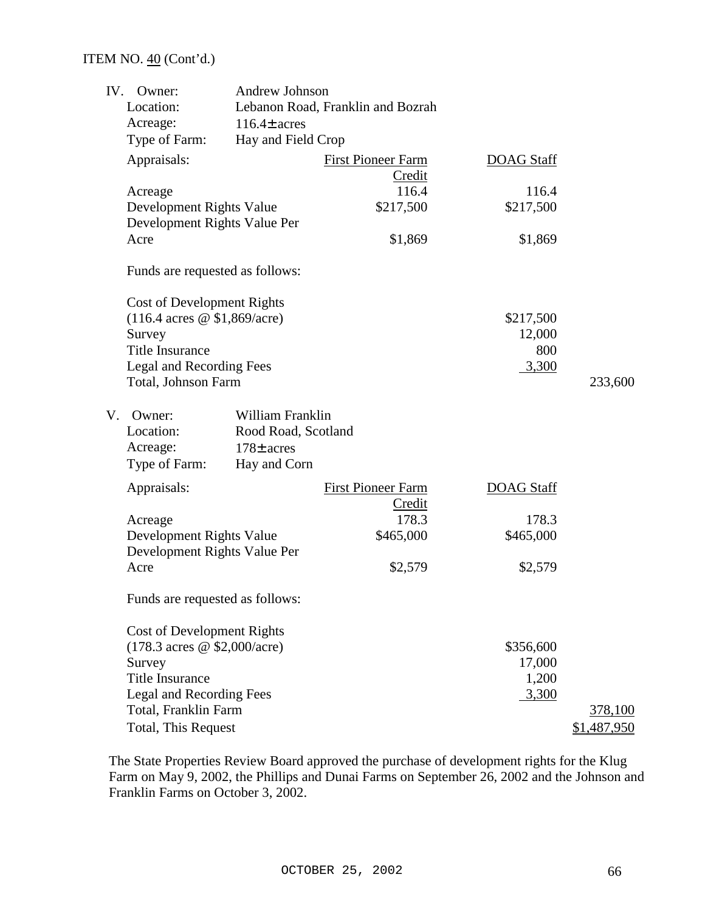## ITEM NO. 40 (Cont'd.)

| IV. | Owner:                                   | <b>Andrew Johnson</b> |                                   |                   |             |
|-----|------------------------------------------|-----------------------|-----------------------------------|-------------------|-------------|
|     | Location:                                |                       | Lebanon Road, Franklin and Bozrah |                   |             |
|     | Acreage:                                 | $116.4\pm$ acres      |                                   |                   |             |
|     | Type of Farm:                            | Hay and Field Crop    |                                   |                   |             |
|     | Appraisals:                              |                       | <b>First Pioneer Farm</b>         | <b>DOAG Staff</b> |             |
|     |                                          |                       | Credit                            |                   |             |
|     | Acreage                                  |                       | 116.4                             | 116.4             |             |
|     | Development Rights Value                 |                       | \$217,500                         | \$217,500         |             |
|     | Development Rights Value Per             |                       |                                   |                   |             |
|     | Acre                                     |                       | \$1,869                           | \$1,869           |             |
|     | Funds are requested as follows:          |                       |                                   |                   |             |
|     | <b>Cost of Development Rights</b>        |                       |                                   |                   |             |
|     | $(116.4 \text{ acres} \ @ \$1,869/acre)$ |                       |                                   | \$217,500         |             |
|     | Survey                                   |                       |                                   | 12,000            |             |
|     | <b>Title Insurance</b>                   |                       |                                   | 800               |             |
|     | Legal and Recording Fees                 |                       |                                   | 3,300             |             |
|     | Total, Johnson Farm                      |                       |                                   |                   | 233,600     |
| V.  | Owner:                                   | William Franklin      |                                   |                   |             |
|     | Location:                                | Rood Road, Scotland   |                                   |                   |             |
|     | Acreage:                                 | $178\pm$ acres        |                                   |                   |             |
|     | Type of Farm:                            | Hay and Corn          |                                   |                   |             |
|     | Appraisals:                              |                       | <b>First Pioneer Farm</b>         | <b>DOAG Staff</b> |             |
|     |                                          |                       | Credit                            |                   |             |
|     | Acreage                                  |                       | 178.3                             | 178.3             |             |
|     | Development Rights Value                 |                       | \$465,000                         | \$465,000         |             |
|     | Development Rights Value Per             |                       |                                   |                   |             |
|     | Acre                                     |                       | \$2,579                           | \$2,579           |             |
|     | Funds are requested as follows:          |                       |                                   |                   |             |
|     | Cost of Development Rights               |                       |                                   |                   |             |
|     | (178.3 acres @ \$2,000/acre)             |                       |                                   | \$356,600         |             |
|     | Survey                                   |                       |                                   | 17,000            |             |
|     | <b>Title Insurance</b>                   |                       |                                   | 1,200             |             |
|     | Legal and Recording Fees                 |                       |                                   | 3,300             |             |
|     | Total, Franklin Farm                     |                       |                                   |                   | 378,100     |
|     | Total, This Request                      |                       |                                   |                   | \$1,487,950 |

The State Properties Review Board approved the purchase of development rights for the Klug Farm on May 9, 2002, the Phillips and Dunai Farms on September 26, 2002 and the Johnson and Franklin Farms on October 3, 2002.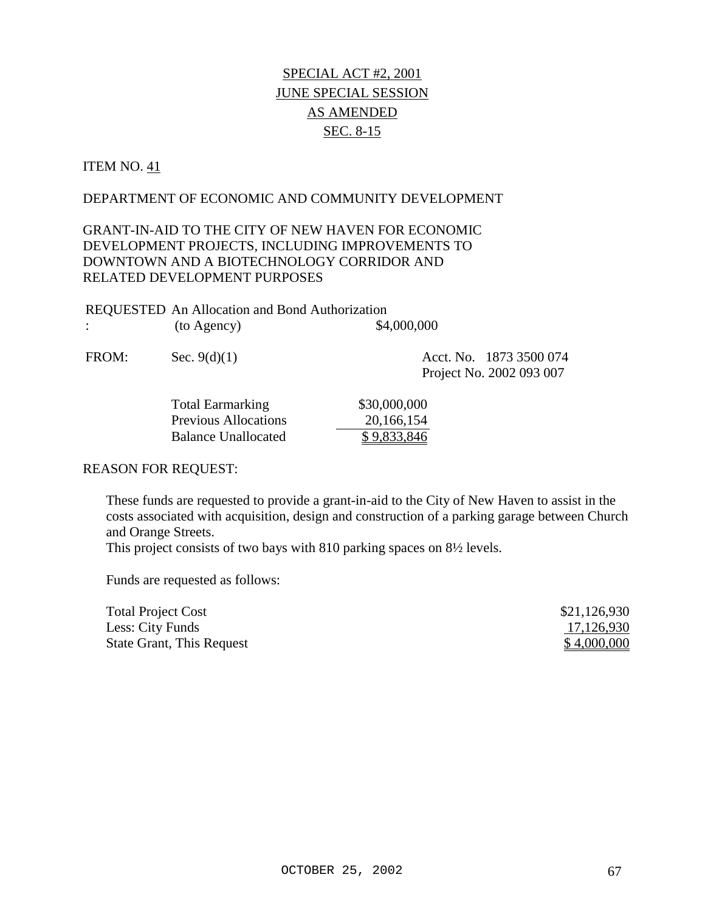# SPECIAL ACT #2, 2001 JUNE SPECIAL SESSION AS AMENDED SEC. 8-15

#### ITEM NO. 41

#### DEPARTMENT OF ECONOMIC AND COMMUNITY DEVELOPMENT

## GRANT-IN-AID TO THE CITY OF NEW HAVEN FOR ECONOMIC DEVELOPMENT PROJECTS, INCLUDING IMPROVEMENTS TO DOWNTOWN AND A BIOTECHNOLOGY CORRIDOR AND RELATED DEVELOPMENT PURPOSES

| <b>REQUESTED</b> An Allocation and Bond Authorization |             |
|-------------------------------------------------------|-------------|
| (to Agency)                                           | \$4,000,000 |

FROM: Sec. 9(d)(1) Acct. No. 1873 3500 074

Project No. 2002 093 007

| <b>Total Earmarking</b>     | \$30,000,000 |
|-----------------------------|--------------|
| <b>Previous Allocations</b> | 20, 166, 154 |
| <b>Balance Unallocated</b>  | \$9,833,846  |

#### REASON FOR REQUEST:

These funds are requested to provide a grant-in-aid to the City of New Haven to assist in the costs associated with acquisition, design and construction of a parking garage between Church and Orange Streets.

This project consists of two bays with 810 parking spaces on 8½ levels.

| <b>Total Project Cost</b> | \$21,126,930 |
|---------------------------|--------------|
| Less: City Funds          | 17,126,930   |
| State Grant, This Request | \$4,000,000  |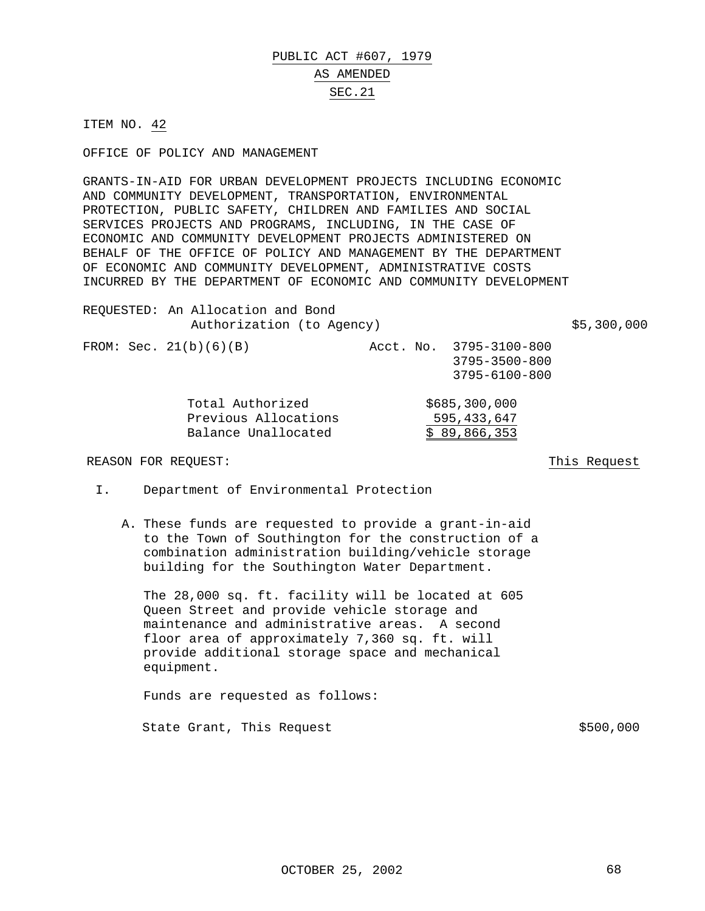## PUBLIC ACT #607, 1979 AS AMENDED SEC.21

ITEM NO. 42

OFFICE OF POLICY AND MANAGEMENT

GRANTS-IN-AID FOR URBAN DEVELOPMENT PROJECTS INCLUDING ECONOMIC AND COMMUNITY DEVELOPMENT, TRANSPORTATION, ENVIRONMENTAL PROTECTION, PUBLIC SAFETY, CHILDREN AND FAMILIES AND SOCIAL SERVICES PROJECTS AND PROGRAMS, INCLUDING, IN THE CASE OF ECONOMIC AND COMMUNITY DEVELOPMENT PROJECTS ADMINISTERED ON BEHALF OF THE OFFICE OF POLICY AND MANAGEMENT BY THE DEPARTMENT OF ECONOMIC AND COMMUNITY DEVELOPMENT, ADMINISTRATIVE COSTS INCURRED BY THE DEPARTMENT OF ECONOMIC AND COMMUNITY DEVELOPMENT

REQUESTED: An Allocation and Bond Authorization (to Agency)  $$5,300,000$ FROM: Sec. 21(b)(6)(B) Acct. No. 3795-3100-800 3795-3500-800 3795-6100-800 Total Authorized  $$685,300,000$ Previous Allocations<br>Balance Unallocated  $\frac{595,433,647}{\$ 89,866,353}$ Balance Unallocated

#### REASON FOR REQUEST: This Request

- I. Department of Environmental Protection
	- A. These funds are requested to provide a grant-in-aid to the Town of Southington for the construction of a combination administration building/vehicle storage building for the Southington Water Department.

The 28,000 sq. ft. facility will be located at 605 Queen Street and provide vehicle storage and maintenance and administrative areas. A second floor area of approximately 7,360 sq. ft. will provide additional storage space and mechanical equipment.

Funds are requested as follows: State Grant, This Request  $$500,000$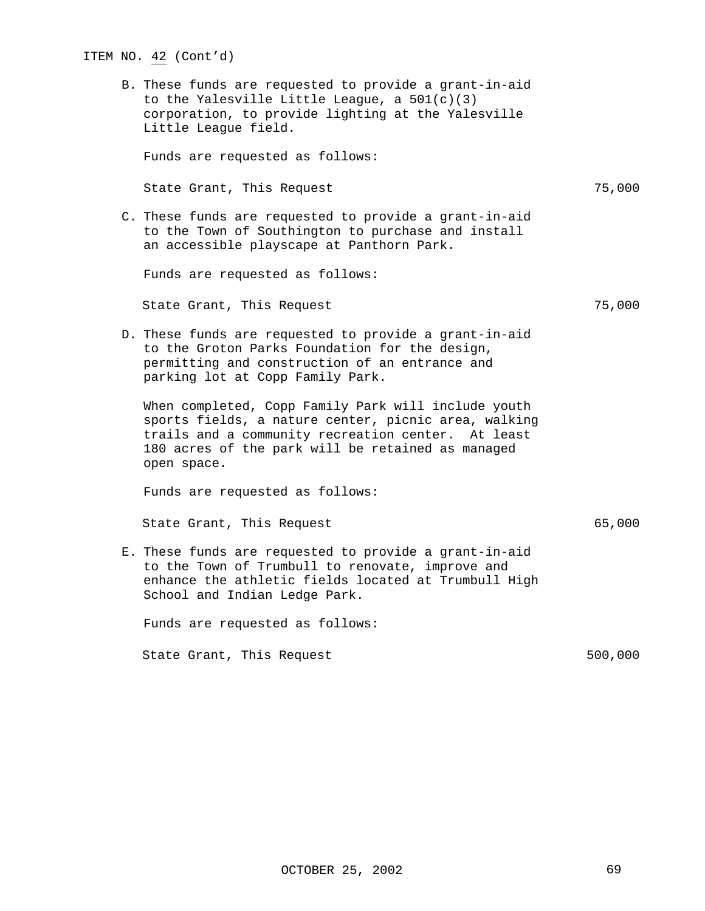# ITEM NO. 42 (Cont'd) B. These funds are requested to provide a grant-in-aid to the Yalesville Little League, a 501(c)(3) corporation, to provide lighting at the Yalesville Little League field. Funds are requested as follows: State Grant, This Request 75,000 C. These funds are requested to provide a grant-in-aid to the Town of Southington to purchase and install an accessible playscape at Panthorn Park. Funds are requested as follows: State Grant, This Request 75,000 D. These funds are requested to provide a grant-in-aid to the Groton Parks Foundation for the design, permitting and construction of an entrance and parking lot at Copp Family Park. When completed, Copp Family Park will include youth sports fields, a nature center, picnic area, walking trails and a community recreation center. At least 180 acres of the park will be retained as managed open space. Funds are requested as follows: State Grant, This Request 65,000 E. These funds are requested to provide a grant-in-aid to the Town of Trumbull to renovate, improve and enhance the athletic fields located at Trumbull High School and Indian Ledge Park. Funds are requested as follows: State Grant, This Request 500,000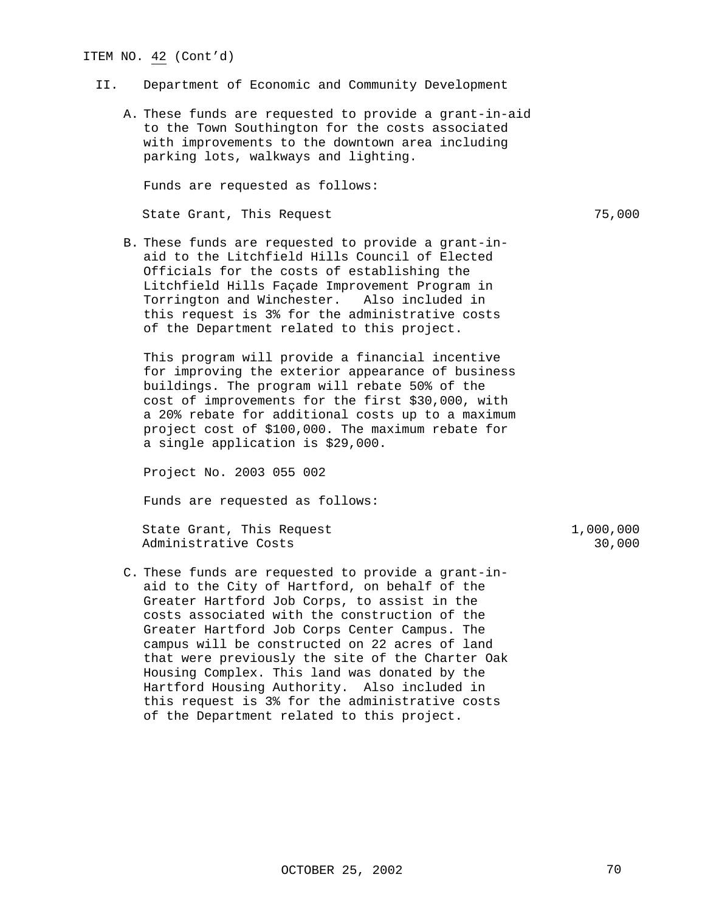#### ITEM NO. 42 (Cont'd)

#### II. Department of Economic and Community Development

A. These funds are requested to provide a grant-in-aid to the Town Southington for the costs associated with improvements to the downtown area including parking lots, walkways and lighting.

Funds are requested as follows:

State Grant, This Request 75,000

B. These funds are requested to provide a grant-inaid to the Litchfield Hills Council of Elected Officials for the costs of establishing the Litchfield Hills Façade Improvement Program in Torrington and Winchester. Also included in this request is 3% for the administrative costs of the Department related to this project.

This program will provide a financial incentive for improving the exterior appearance of business buildings. The program will rebate 50% of the cost of improvements for the first \$30,000, with a 20% rebate for additional costs up to a maximum project cost of \$100,000. The maximum rebate for a single application is \$29,000.

Project No. 2003 055 002

Funds are requested as follows:

State Grant, This Request 1,000,000 Administrative Costs 30,000

C. These funds are requested to provide a grant-inaid to the City of Hartford, on behalf of the Greater Hartford Job Corps, to assist in the costs associated with the construction of the Greater Hartford Job Corps Center Campus. The campus will be constructed on 22 acres of land that were previously the site of the Charter Oak Housing Complex. This land was donated by the Hartford Housing Authority. Also included in this request is 3% for the administrative costs of the Department related to this project.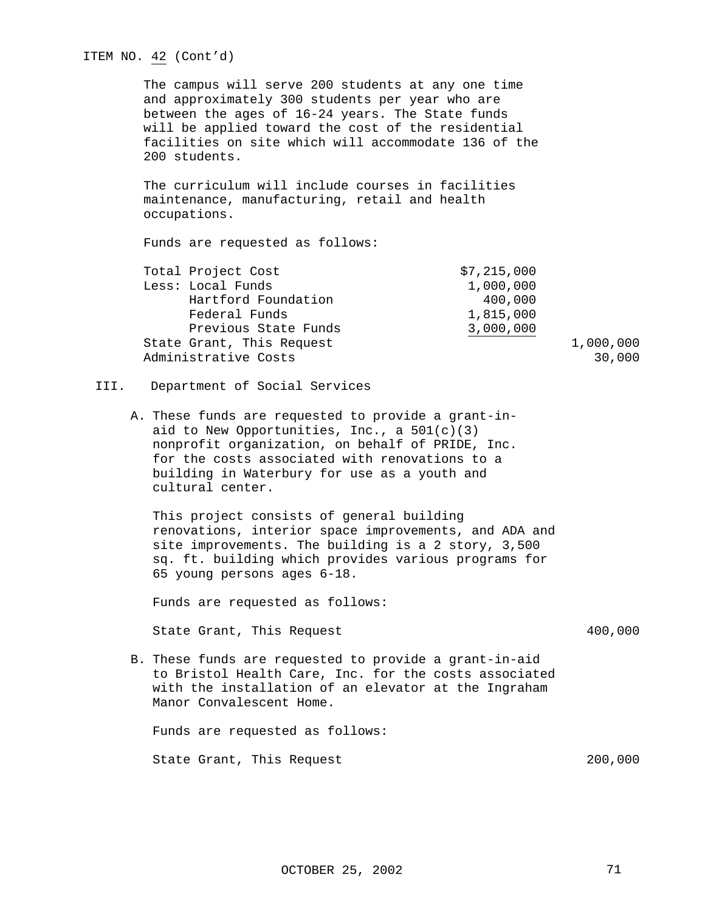|      | ITEM NO. 42 (Cont'd)                                                                                                                                                                                                                                                                     |                     |
|------|------------------------------------------------------------------------------------------------------------------------------------------------------------------------------------------------------------------------------------------------------------------------------------------|---------------------|
|      | The campus will serve 200 students at any one time<br>and approximately 300 students per year who are<br>between the ages of 16-24 years. The State funds<br>will be applied toward the cost of the residential<br>facilities on site which will accommodate 136 of the<br>200 students. |                     |
|      | The curriculum will include courses in facilities<br>maintenance, manufacturing, retail and health<br>occupations.                                                                                                                                                                       |                     |
|      | Funds are requested as follows:                                                                                                                                                                                                                                                          |                     |
|      | Total Project Cost<br>\$7,215,000<br>Less: Local Funds<br>1,000,000<br>Hartford Foundation<br>400,000<br>Federal Funds<br>1,815,000<br>Previous State Funds<br>3,000,000<br>State Grant, This Request<br>Administrative Costs                                                            | 1,000,000<br>30,000 |
| III. | Department of Social Services                                                                                                                                                                                                                                                            |                     |
|      | A. These funds are requested to provide a grant-in-<br>aid to New Opportunities, Inc., a $501(c)(3)$<br>nonprofit organization, on behalf of PRIDE, Inc.<br>for the costs associated with renovations to a<br>building in Waterbury for use as a youth and<br>cultural center.           |                     |
|      | This project consists of general building<br>renovations, interior space improvements, and ADA and<br>site improvements. The building is a 2 story, 3,500<br>sq. ft. building which provides various programs for<br>65 young persons ages 6-18.                                         |                     |
|      | Funds are requested as follows:                                                                                                                                                                                                                                                          |                     |
|      | State Grant, This Request                                                                                                                                                                                                                                                                | 400,000             |
|      | B. These funds are requested to provide a grant-in-aid<br>to Bristol Health Care, Inc. for the costs associated<br>with the installation of an elevator at the Ingraham<br>Manor Convalescent Home.                                                                                      |                     |
|      | Funds are requested as follows:                                                                                                                                                                                                                                                          |                     |
|      | State Grant, This Request                                                                                                                                                                                                                                                                | 200,000             |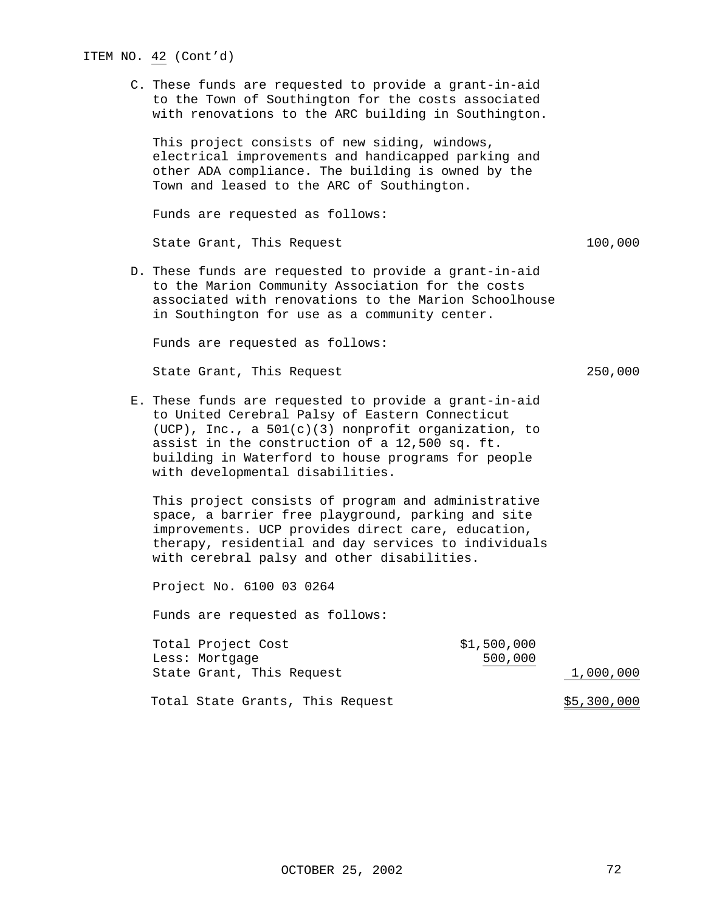# ITEM NO. 42 (Cont'd) C. These funds are requested to provide a grant-in-aid to the Town of Southington for the costs associated with renovations to the ARC building in Southington. This project consists of new siding, windows, electrical improvements and handicapped parking and other ADA compliance. The building is owned by the Town and leased to the ARC of Southington. Funds are requested as follows: State Grant, This Request 100,000 D. These funds are requested to provide a grant-in-aid to the Marion Community Association for the costs associated with renovations to the Marion Schoolhouse in Southington for use as a community center. Funds are requested as follows: State Grant, This Request 250,000 E. These funds are requested to provide a grant-in-aid to United Cerebral Palsy of Eastern Connecticut (UCP), Inc., a 501(c)(3) nonprofit organization, to assist in the construction of a 12,500 sq. ft. building in Waterford to house programs for people with developmental disabilities. This project consists of program and administrative space, a barrier free playground, parking and site improvements. UCP provides direct care, education, therapy, residential and day services to individuals with cerebral palsy and other disabilities. Project No. 6100 03 0264 Funds are requested as follows:

| Total Project Cost               | \$1,500,000 |             |
|----------------------------------|-------------|-------------|
| Less: Mortgage                   | 500,000     |             |
| State Grant, This Request        |             | 1,000,000   |
| Total State Grants, This Request |             | \$5,300,000 |